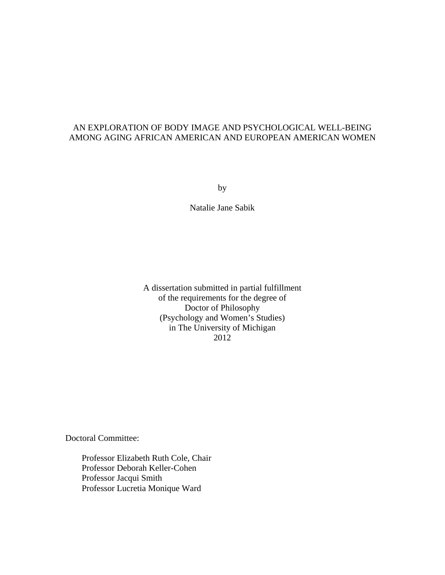### AN EXPLORATION OF BODY IMAGE AND PSYCHOLOGICAL WELL-BEING AMONG AGING AFRICAN AMERICAN AND EUROPEAN AMERICAN WOMEN

by

Natalie Jane Sabik

A dissertation submitted in partial fulfillment of the requirements for the degree of Doctor of Philosophy (Psychology and Women's Studies) in The University of Michigan 2012

Doctoral Committee:

Professor Elizabeth Ruth Cole, Chair Professor Deborah Keller-Cohen Professor Jacqui Smith Professor Lucretia Monique Ward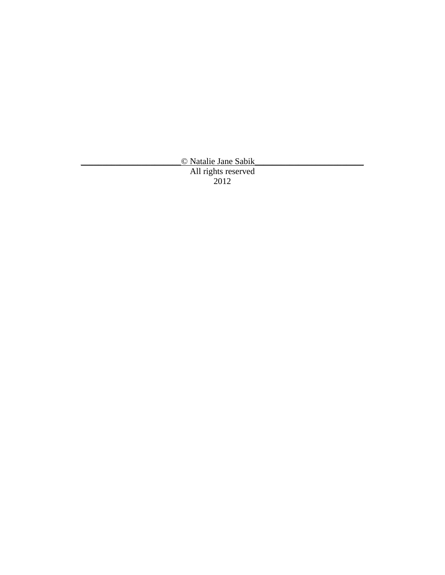\_\_\_\_\_\_\_\_\_\_\_\_\_\_\_\_\_\_\_\_\_\_\_© Natalie Jane Sabik\_\_\_\_\_\_\_\_\_\_\_\_\_\_\_\_\_\_\_\_\_\_\_\_\_ All rights reserved 2012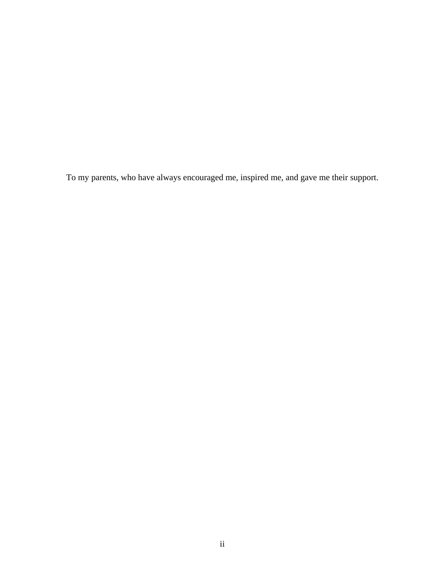To my parents, who have always encouraged me, inspired me, and gave me their support.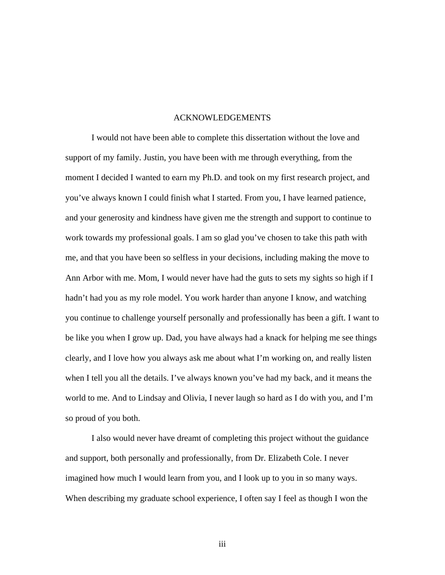#### ACKNOWLEDGEMENTS

 I would not have been able to complete this dissertation without the love and support of my family. Justin, you have been with me through everything, from the moment I decided I wanted to earn my Ph.D. and took on my first research project, and you've always known I could finish what I started. From you, I have learned patience, and your generosity and kindness have given me the strength and support to continue to work towards my professional goals. I am so glad you've chosen to take this path with me, and that you have been so selfless in your decisions, including making the move to Ann Arbor with me. Mom, I would never have had the guts to sets my sights so high if I hadn't had you as my role model. You work harder than anyone I know, and watching you continue to challenge yourself personally and professionally has been a gift. I want to be like you when I grow up. Dad, you have always had a knack for helping me see things clearly, and I love how you always ask me about what I'm working on, and really listen when I tell you all the details. I've always known you've had my back, and it means the world to me. And to Lindsay and Olivia, I never laugh so hard as I do with you, and I'm so proud of you both.

 I also would never have dreamt of completing this project without the guidance and support, both personally and professionally, from Dr. Elizabeth Cole. I never imagined how much I would learn from you, and I look up to you in so many ways. When describing my graduate school experience, I often say I feel as though I won the

iii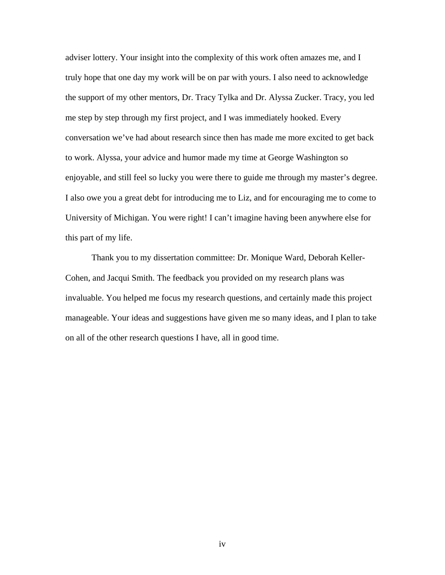adviser lottery. Your insight into the complexity of this work often amazes me, and I truly hope that one day my work will be on par with yours. I also need to acknowledge the support of my other mentors, Dr. Tracy Tylka and Dr. Alyssa Zucker. Tracy, you led me step by step through my first project, and I was immediately hooked. Every conversation we've had about research since then has made me more excited to get back to work. Alyssa, your advice and humor made my time at George Washington so enjoyable, and still feel so lucky you were there to guide me through my master's degree. I also owe you a great debt for introducing me to Liz, and for encouraging me to come to University of Michigan. You were right! I can't imagine having been anywhere else for this part of my life.

 Thank you to my dissertation committee: Dr. Monique Ward, Deborah Keller-Cohen, and Jacqui Smith. The feedback you provided on my research plans was invaluable. You helped me focus my research questions, and certainly made this project manageable. Your ideas and suggestions have given me so many ideas, and I plan to take on all of the other research questions I have, all in good time.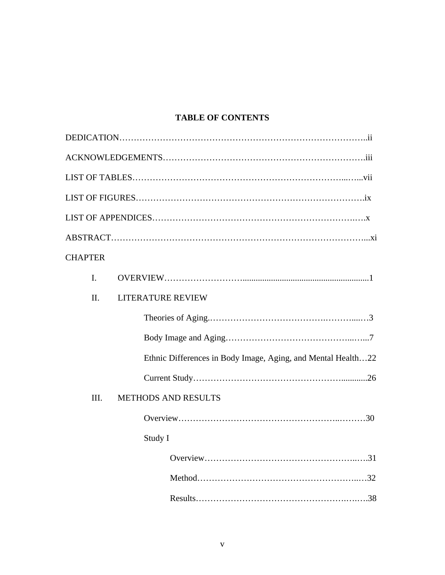## **TABLE OF CONTENTS**

| <b>CHAPTER</b> |                                                              |
|----------------|--------------------------------------------------------------|
| I.             |                                                              |
| $\Pi$ .        | <b>LITERATURE REVIEW</b>                                     |
|                |                                                              |
|                |                                                              |
|                | Ethnic Differences in Body Image, Aging, and Mental Health22 |
|                |                                                              |
| III.           | <b>METHODS AND RESULTS</b>                                   |
|                |                                                              |
|                | Study I                                                      |
|                |                                                              |
|                |                                                              |
|                |                                                              |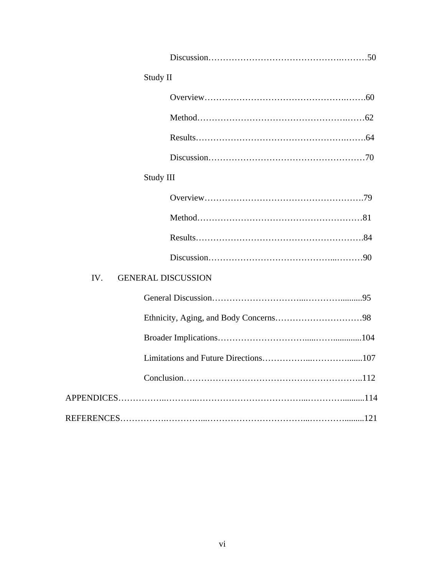| Study II                         |
|----------------------------------|
|                                  |
|                                  |
|                                  |
|                                  |
| Study III                        |
|                                  |
|                                  |
|                                  |
|                                  |
| IV.<br><b>GENERAL DISCUSSION</b> |
|                                  |
|                                  |
|                                  |
|                                  |
|                                  |
|                                  |
|                                  |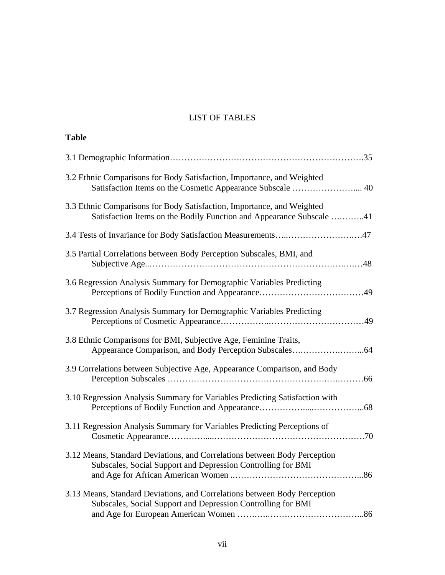## LIST OF TABLES

**Table** 

| 3.2 Ethnic Comparisons for Body Satisfaction, Importance, and Weighted<br>Satisfaction Items on the Cosmetic Appearance Subscale  40           |
|------------------------------------------------------------------------------------------------------------------------------------------------|
| 3.3 Ethnic Comparisons for Body Satisfaction, Importance, and Weighted<br>Satisfaction Items on the Bodily Function and Appearance Subscale 41 |
| 3.4 Tests of Invariance for Body Satisfaction Measurements47                                                                                   |
| 3.5 Partial Correlations between Body Perception Subscales, BMI, and                                                                           |
| 3.6 Regression Analysis Summary for Demographic Variables Predicting                                                                           |
| 3.7 Regression Analysis Summary for Demographic Variables Predicting                                                                           |
| 3.8 Ethnic Comparisons for BMI, Subjective Age, Feminine Traits,                                                                               |
| 3.9 Correlations between Subjective Age, Appearance Comparison, and Body                                                                       |
| 3.10 Regression Analysis Summary for Variables Predicting Satisfaction with                                                                    |
| 3.11 Regression Analysis Summary for Variables Predicting Perceptions of                                                                       |
| 3.12 Means, Standard Deviations, and Correlations between Body Perception<br>Subscales, Social Support and Depression Controlling for BMI      |
| 3.13 Means, Standard Deviations, and Correlations between Body Perception<br>Subscales, Social Support and Depression Controlling for BMI      |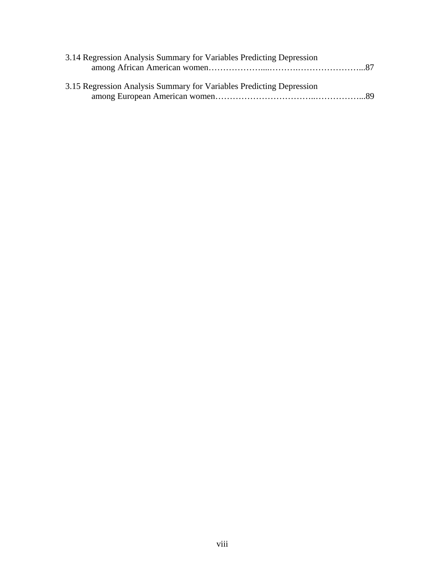| 3.14 Regression Analysis Summary for Variables Predicting Depression |
|----------------------------------------------------------------------|
|                                                                      |
|                                                                      |
| 3.15 Regression Analysis Summary for Variables Predicting Depression |
|                                                                      |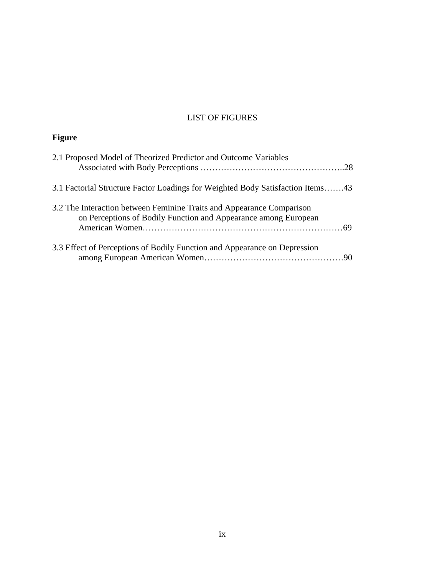### LIST OF FIGURES

# **Figure**

| 2.1 Proposed Model of Theorized Predictor and Outcome Variables                                                                          |
|------------------------------------------------------------------------------------------------------------------------------------------|
| 3.1 Factorial Structure Factor Loadings for Weighted Body Satisfaction Items43                                                           |
| 3.2 The Interaction between Feminine Traits and Appearance Comparison<br>on Perceptions of Bodily Function and Appearance among European |
| 3.3 Effect of Perceptions of Bodily Function and Appearance on Depression                                                                |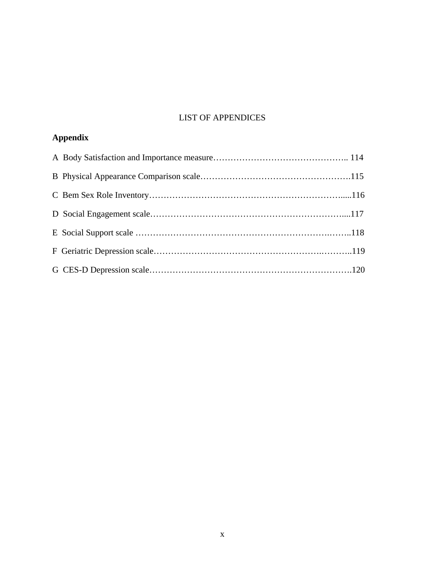### LIST OF APPENDICES

# **Appendix**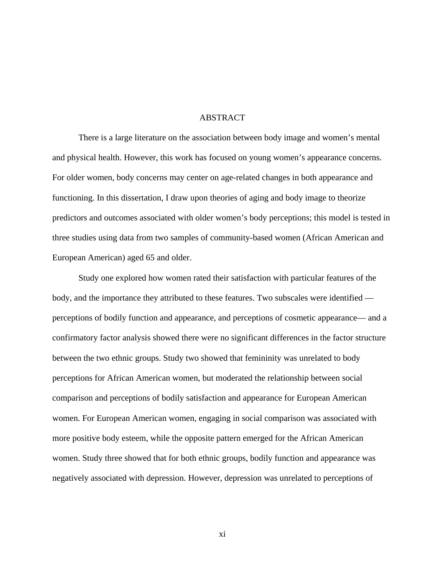#### ABSTRACT

There is a large literature on the association between body image and women's mental and physical health. However, this work has focused on young women's appearance concerns. For older women, body concerns may center on age-related changes in both appearance and functioning. In this dissertation, I draw upon theories of aging and body image to theorize predictors and outcomes associated with older women's body perceptions; this model is tested in three studies using data from two samples of community-based women (African American and European American) aged 65 and older.

Study one explored how women rated their satisfaction with particular features of the body, and the importance they attributed to these features. Two subscales were identified perceptions of bodily function and appearance, and perceptions of cosmetic appearance— and a confirmatory factor analysis showed there were no significant differences in the factor structure between the two ethnic groups. Study two showed that femininity was unrelated to body perceptions for African American women, but moderated the relationship between social comparison and perceptions of bodily satisfaction and appearance for European American women. For European American women, engaging in social comparison was associated with more positive body esteem, while the opposite pattern emerged for the African American women. Study three showed that for both ethnic groups, bodily function and appearance was negatively associated with depression. However, depression was unrelated to perceptions of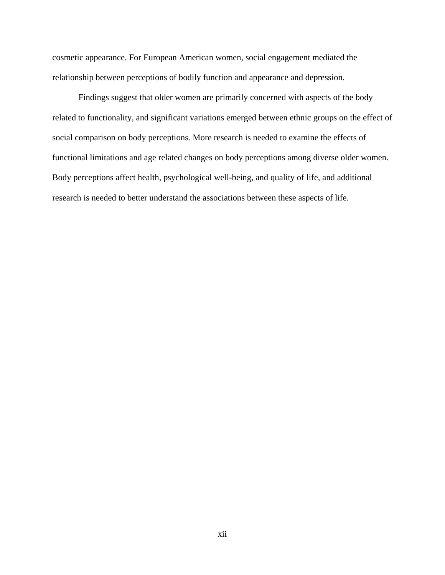cosmetic appearance. For European American women, social engagement mediated the relationship between perceptions of bodily function and appearance and depression.

Findings suggest that older women are primarily concerned with aspects of the body related to functionality, and significant variations emerged between ethnic groups on the effect of social comparison on body perceptions. More research is needed to examine the effects of functional limitations and age related changes on body perceptions among diverse older women. Body perceptions affect health, psychological well-being, and quality of life, and additional research is needed to better understand the associations between these aspects of life.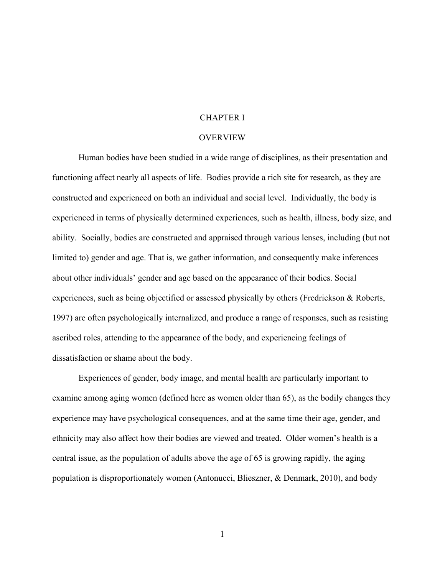#### CHAPTER I

### **OVERVIEW**

Human bodies have been studied in a wide range of disciplines, as their presentation and functioning affect nearly all aspects of life. Bodies provide a rich site for research, as they are constructed and experienced on both an individual and social level. Individually, the body is experienced in terms of physically determined experiences, such as health, illness, body size, and ability. Socially, bodies are constructed and appraised through various lenses, including (but not limited to) gender and age. That is, we gather information, and consequently make inferences about other individuals' gender and age based on the appearance of their bodies. Social experiences, such as being objectified or assessed physically by others (Fredrickson & Roberts, 1997) are often psychologically internalized, and produce a range of responses, such as resisting ascribed roles, attending to the appearance of the body, and experiencing feelings of dissatisfaction or shame about the body.

 Experiences of gender, body image, and mental health are particularly important to examine among aging women (defined here as women older than 65), as the bodily changes they experience may have psychological consequences, and at the same time their age, gender, and ethnicity may also affect how their bodies are viewed and treated. Older women's health is a central issue, as the population of adults above the age of 65 is growing rapidly, the aging population is disproportionately women (Antonucci, Blieszner, & Denmark, 2010), and body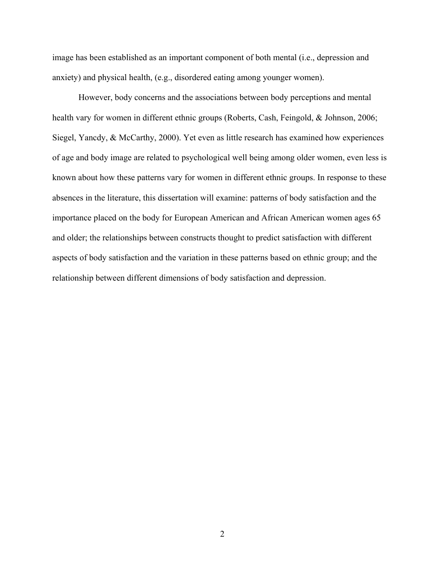image has been established as an important component of both mental (i.e., depression and anxiety) and physical health, (e.g., disordered eating among younger women).

However, body concerns and the associations between body perceptions and mental health vary for women in different ethnic groups (Roberts, Cash, Feingold, & Johnson, 2006; Siegel, Yancdy, & McCarthy, 2000). Yet even as little research has examined how experiences of age and body image are related to psychological well being among older women, even less is known about how these patterns vary for women in different ethnic groups. In response to these absences in the literature, this dissertation will examine: patterns of body satisfaction and the importance placed on the body for European American and African American women ages 65 and older; the relationships between constructs thought to predict satisfaction with different aspects of body satisfaction and the variation in these patterns based on ethnic group; and the relationship between different dimensions of body satisfaction and depression.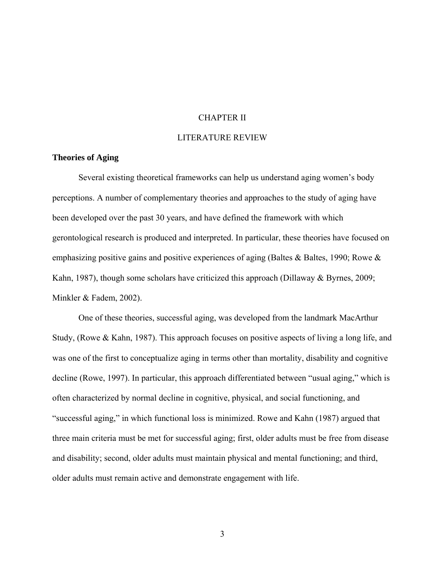#### CHAPTER II

#### LITERATURE REVIEW

#### **Theories of Aging**

Several existing theoretical frameworks can help us understand aging women's body perceptions. A number of complementary theories and approaches to the study of aging have been developed over the past 30 years, and have defined the framework with which gerontological research is produced and interpreted. In particular, these theories have focused on emphasizing positive gains and positive experiences of aging (Baltes & Baltes, 1990; Rowe  $\&$ Kahn, 1987), though some scholars have criticized this approach (Dillaway & Byrnes, 2009; Minkler & Fadem, 2002).

One of these theories, successful aging, was developed from the landmark MacArthur Study, (Rowe & Kahn, 1987). This approach focuses on positive aspects of living a long life, and was one of the first to conceptualize aging in terms other than mortality, disability and cognitive decline (Rowe, 1997). In particular, this approach differentiated between "usual aging," which is often characterized by normal decline in cognitive, physical, and social functioning, and "successful aging," in which functional loss is minimized. Rowe and Kahn (1987) argued that three main criteria must be met for successful aging; first, older adults must be free from disease and disability; second, older adults must maintain physical and mental functioning; and third, older adults must remain active and demonstrate engagement with life.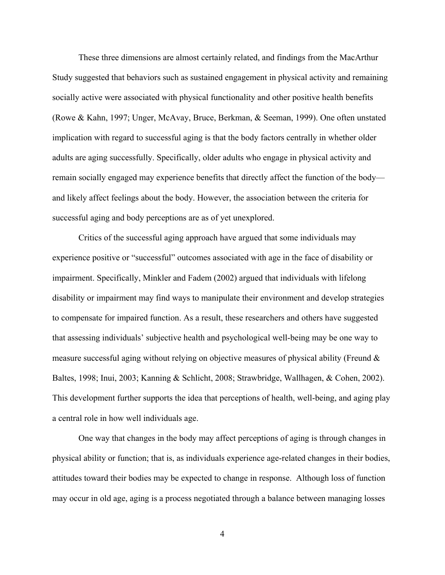These three dimensions are almost certainly related, and findings from the MacArthur Study suggested that behaviors such as sustained engagement in physical activity and remaining socially active were associated with physical functionality and other positive health benefits (Rowe & Kahn, 1997; Unger, McAvay, Bruce, Berkman, & Seeman, 1999). One often unstated implication with regard to successful aging is that the body factors centrally in whether older adults are aging successfully. Specifically, older adults who engage in physical activity and remain socially engaged may experience benefits that directly affect the function of the body and likely affect feelings about the body. However, the association between the criteria for successful aging and body perceptions are as of yet unexplored.

Critics of the successful aging approach have argued that some individuals may experience positive or "successful" outcomes associated with age in the face of disability or impairment. Specifically, Minkler and Fadem (2002) argued that individuals with lifelong disability or impairment may find ways to manipulate their environment and develop strategies to compensate for impaired function. As a result, these researchers and others have suggested that assessing individuals' subjective health and psychological well-being may be one way to measure successful aging without relying on objective measures of physical ability (Freund & Baltes, 1998; Inui, 2003; Kanning & Schlicht, 2008; Strawbridge, Wallhagen, & Cohen, 2002). This development further supports the idea that perceptions of health, well-being, and aging play a central role in how well individuals age.

One way that changes in the body may affect perceptions of aging is through changes in physical ability or function; that is, as individuals experience age-related changes in their bodies, attitudes toward their bodies may be expected to change in response. Although loss of function may occur in old age, aging is a process negotiated through a balance between managing losses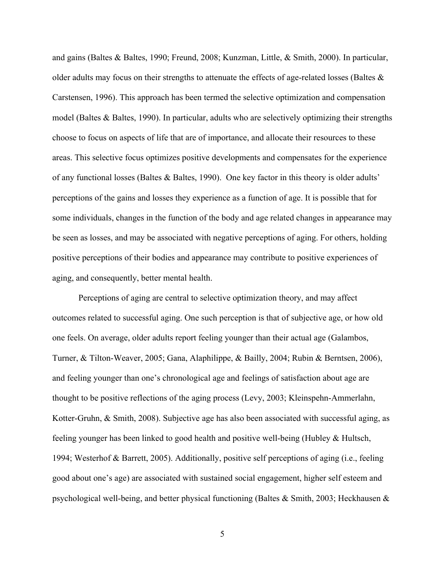and gains (Baltes & Baltes, 1990; Freund, 2008; Kunzman, Little, & Smith, 2000). In particular, older adults may focus on their strengths to attenuate the effects of age-related losses (Baltes & Carstensen, 1996). This approach has been termed the selective optimization and compensation model (Baltes & Baltes, 1990). In particular, adults who are selectively optimizing their strengths choose to focus on aspects of life that are of importance, and allocate their resources to these areas. This selective focus optimizes positive developments and compensates for the experience of any functional losses (Baltes & Baltes, 1990). One key factor in this theory is older adults' perceptions of the gains and losses they experience as a function of age. It is possible that for some individuals, changes in the function of the body and age related changes in appearance may be seen as losses, and may be associated with negative perceptions of aging. For others, holding positive perceptions of their bodies and appearance may contribute to positive experiences of aging, and consequently, better mental health.

Perceptions of aging are central to selective optimization theory, and may affect outcomes related to successful aging. One such perception is that of subjective age, or how old one feels. On average, older adults report feeling younger than their actual age (Galambos, Turner, & Tilton-Weaver, 2005; Gana, Alaphilippe, & Bailly, 2004; Rubin & Berntsen, 2006), and feeling younger than one's chronological age and feelings of satisfaction about age are thought to be positive reflections of the aging process (Levy, 2003; Kleinspehn-Ammerlahn, Kotter-Gruhn, & Smith, 2008). Subjective age has also been associated with successful aging, as feeling younger has been linked to good health and positive well-being (Hubley & Hultsch, 1994; Westerhof & Barrett, 2005). Additionally, positive self perceptions of aging (i.e., feeling good about one's age) are associated with sustained social engagement, higher self esteem and psychological well-being, and better physical functioning (Baltes & Smith, 2003; Heckhausen &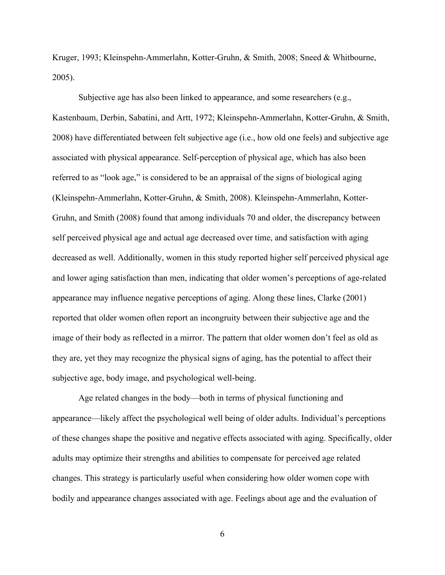Kruger, 1993; Kleinspehn-Ammerlahn, Kotter-Gruhn, & Smith, 2008; Sneed & Whitbourne, 2005).

Subjective age has also been linked to appearance, and some researchers (e.g., Kastenbaum, Derbin, Sabatini, and Artt, 1972; Kleinspehn-Ammerlahn, Kotter-Gruhn, & Smith, 2008) have differentiated between felt subjective age (i.e., how old one feels) and subjective age associated with physical appearance. Self-perception of physical age, which has also been referred to as "look age," is considered to be an appraisal of the signs of biological aging (Kleinspehn-Ammerlahn, Kotter-Gruhn, & Smith, 2008). Kleinspehn-Ammerlahn, Kotter-Gruhn, and Smith (2008) found that among individuals 70 and older, the discrepancy between self perceived physical age and actual age decreased over time, and satisfaction with aging decreased as well. Additionally, women in this study reported higher self perceived physical age and lower aging satisfaction than men, indicating that older women's perceptions of age-related appearance may influence negative perceptions of aging. Along these lines, Clarke (2001) reported that older women often report an incongruity between their subjective age and the image of their body as reflected in a mirror. The pattern that older women don't feel as old as they are, yet they may recognize the physical signs of aging, has the potential to affect their subjective age, body image, and psychological well-being.

Age related changes in the body—both in terms of physical functioning and appearance—likely affect the psychological well being of older adults. Individual's perceptions of these changes shape the positive and negative effects associated with aging. Specifically, older adults may optimize their strengths and abilities to compensate for perceived age related changes. This strategy is particularly useful when considering how older women cope with bodily and appearance changes associated with age. Feelings about age and the evaluation of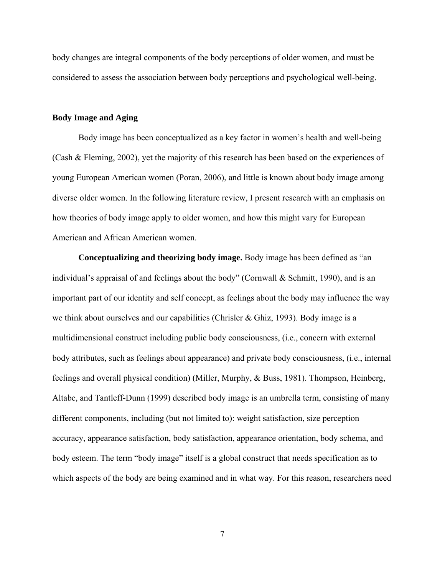body changes are integral components of the body perceptions of older women, and must be considered to assess the association between body perceptions and psychological well-being.

#### **Body Image and Aging**

Body image has been conceptualized as a key factor in women's health and well-being (Cash & Fleming, 2002), yet the majority of this research has been based on the experiences of young European American women (Poran, 2006), and little is known about body image among diverse older women. In the following literature review, I present research with an emphasis on how theories of body image apply to older women, and how this might vary for European American and African American women.

**Conceptualizing and theorizing body image.** Body image has been defined as "an individual's appraisal of and feelings about the body" (Cornwall & Schmitt, 1990), and is an important part of our identity and self concept, as feelings about the body may influence the way we think about ourselves and our capabilities (Chrisler & Ghiz, 1993). Body image is a multidimensional construct including public body consciousness, (i.e., concern with external body attributes, such as feelings about appearance) and private body consciousness, (i.e., internal feelings and overall physical condition) (Miller, Murphy, & Buss, 1981). Thompson, Heinberg, Altabe, and Tantleff-Dunn (1999) described body image is an umbrella term, consisting of many different components, including (but not limited to): weight satisfaction, size perception accuracy, appearance satisfaction, body satisfaction, appearance orientation, body schema, and body esteem. The term "body image" itself is a global construct that needs specification as to which aspects of the body are being examined and in what way. For this reason, researchers need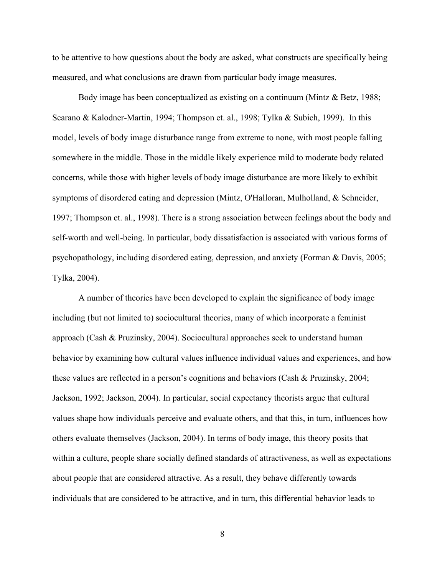to be attentive to how questions about the body are asked, what constructs are specifically being measured, and what conclusions are drawn from particular body image measures.

Body image has been conceptualized as existing on a continuum (Mintz & Betz, 1988; Scarano & Kalodner-Martin, 1994; Thompson et. al., 1998; Tylka & Subich, 1999). In this model, levels of body image disturbance range from extreme to none, with most people falling somewhere in the middle. Those in the middle likely experience mild to moderate body related concerns, while those with higher levels of body image disturbance are more likely to exhibit symptoms of disordered eating and depression (Mintz, O'Halloran, Mulholland, & Schneider, 1997; Thompson et. al., 1998). There is a strong association between feelings about the body and self-worth and well-being. In particular, body dissatisfaction is associated with various forms of psychopathology, including disordered eating, depression, and anxiety (Forman & Davis, 2005; Tylka, 2004).

A number of theories have been developed to explain the significance of body image including (but not limited to) sociocultural theories, many of which incorporate a feminist approach (Cash & Pruzinsky, 2004). Sociocultural approaches seek to understand human behavior by examining how cultural values influence individual values and experiences, and how these values are reflected in a person's cognitions and behaviors (Cash & Pruzinsky, 2004; Jackson, 1992; Jackson, 2004). In particular, social expectancy theorists argue that cultural values shape how individuals perceive and evaluate others, and that this, in turn, influences how others evaluate themselves (Jackson, 2004). In terms of body image, this theory posits that within a culture, people share socially defined standards of attractiveness, as well as expectations about people that are considered attractive. As a result, they behave differently towards individuals that are considered to be attractive, and in turn, this differential behavior leads to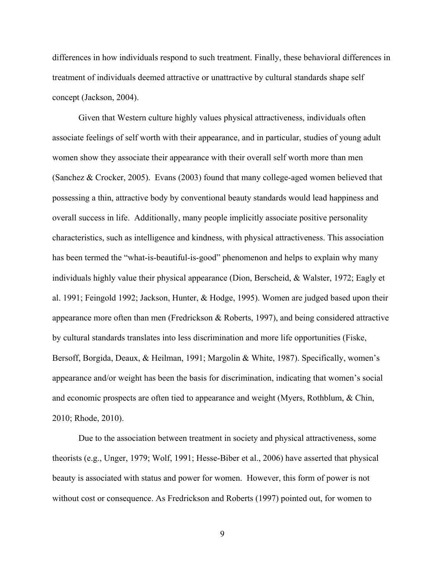differences in how individuals respond to such treatment. Finally, these behavioral differences in treatment of individuals deemed attractive or unattractive by cultural standards shape self concept (Jackson, 2004).

Given that Western culture highly values physical attractiveness, individuals often associate feelings of self worth with their appearance, and in particular, studies of young adult women show they associate their appearance with their overall self worth more than men (Sanchez & Crocker, 2005). Evans (2003) found that many college-aged women believed that possessing a thin, attractive body by conventional beauty standards would lead happiness and overall success in life. Additionally, many people implicitly associate positive personality characteristics, such as intelligence and kindness, with physical attractiveness. This association has been termed the "what-is-beautiful-is-good" phenomenon and helps to explain why many individuals highly value their physical appearance (Dion, Berscheid, & Walster, 1972; Eagly et al. 1991; Feingold 1992; Jackson, Hunter, & Hodge, 1995). Women are judged based upon their appearance more often than men (Fredrickson & Roberts, 1997), and being considered attractive by cultural standards translates into less discrimination and more life opportunities (Fiske, Bersoff, Borgida, Deaux, & Heilman, 1991; Margolin & White, 1987). Specifically, women's appearance and/or weight has been the basis for discrimination, indicating that women's social and economic prospects are often tied to appearance and weight (Myers, Rothblum, & Chin, 2010; Rhode, 2010).

Due to the association between treatment in society and physical attractiveness, some theorists (e.g., Unger, 1979; Wolf, 1991; Hesse-Biber et al., 2006) have asserted that physical beauty is associated with status and power for women. However, this form of power is not without cost or consequence. As Fredrickson and Roberts (1997) pointed out, for women to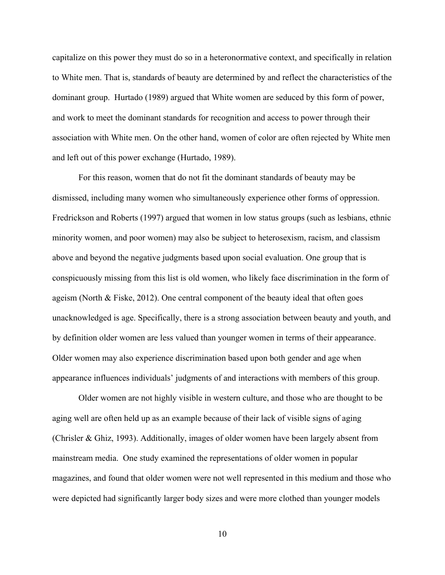capitalize on this power they must do so in a heteronormative context, and specifically in relation to White men. That is, standards of beauty are determined by and reflect the characteristics of the dominant group. Hurtado (1989) argued that White women are seduced by this form of power, and work to meet the dominant standards for recognition and access to power through their association with White men. On the other hand, women of color are often rejected by White men and left out of this power exchange (Hurtado, 1989).

For this reason, women that do not fit the dominant standards of beauty may be dismissed, including many women who simultaneously experience other forms of oppression. Fredrickson and Roberts (1997) argued that women in low status groups (such as lesbians, ethnic minority women, and poor women) may also be subject to heterosexism, racism, and classism above and beyond the negative judgments based upon social evaluation. One group that is conspicuously missing from this list is old women, who likely face discrimination in the form of ageism (North & Fiske, 2012). One central component of the beauty ideal that often goes unacknowledged is age. Specifically, there is a strong association between beauty and youth, and by definition older women are less valued than younger women in terms of their appearance. Older women may also experience discrimination based upon both gender and age when appearance influences individuals' judgments of and interactions with members of this group.

Older women are not highly visible in western culture, and those who are thought to be aging well are often held up as an example because of their lack of visible signs of aging (Chrisler & Ghiz, 1993). Additionally, images of older women have been largely absent from mainstream media. One study examined the representations of older women in popular magazines, and found that older women were not well represented in this medium and those who were depicted had significantly larger body sizes and were more clothed than younger models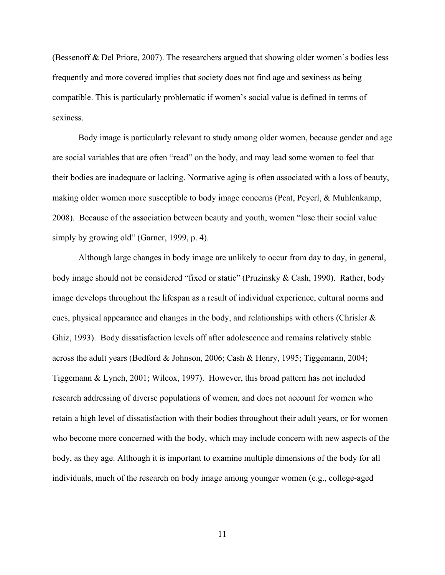(Bessenoff & Del Priore, 2007). The researchers argued that showing older women's bodies less frequently and more covered implies that society does not find age and sexiness as being compatible. This is particularly problematic if women's social value is defined in terms of sexiness.

Body image is particularly relevant to study among older women, because gender and age are social variables that are often "read" on the body, and may lead some women to feel that their bodies are inadequate or lacking. Normative aging is often associated with a loss of beauty, making older women more susceptible to body image concerns (Peat, Peyerl, & Muhlenkamp, 2008). Because of the association between beauty and youth, women "lose their social value simply by growing old" (Garner, 1999, p. 4).

Although large changes in body image are unlikely to occur from day to day, in general, body image should not be considered "fixed or static" (Pruzinsky & Cash, 1990). Rather, body image develops throughout the lifespan as a result of individual experience, cultural norms and cues, physical appearance and changes in the body, and relationships with others (Chrisler  $\&$ Ghiz, 1993). Body dissatisfaction levels off after adolescence and remains relatively stable across the adult years (Bedford & Johnson, 2006; Cash & Henry, 1995; Tiggemann, 2004; Tiggemann & Lynch, 2001; Wilcox, 1997). However, this broad pattern has not included research addressing of diverse populations of women, and does not account for women who retain a high level of dissatisfaction with their bodies throughout their adult years, or for women who become more concerned with the body, which may include concern with new aspects of the body, as they age. Although it is important to examine multiple dimensions of the body for all individuals, much of the research on body image among younger women (e.g., college-aged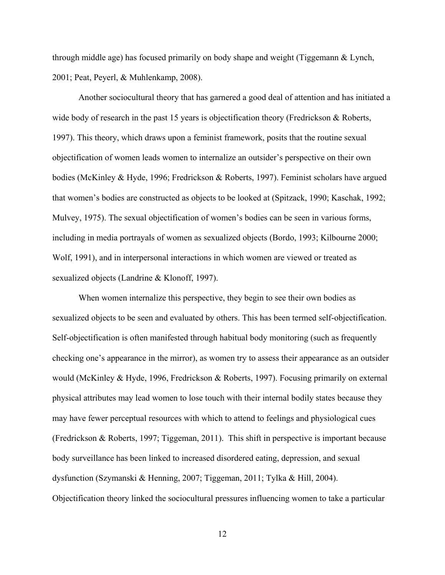through middle age) has focused primarily on body shape and weight (Tiggemann & Lynch, 2001; Peat, Peyerl, & Muhlenkamp, 2008).

Another sociocultural theory that has garnered a good deal of attention and has initiated a wide body of research in the past 15 years is objectification theory (Fredrickson & Roberts, 1997). This theory, which draws upon a feminist framework, posits that the routine sexual objectification of women leads women to internalize an outsider's perspective on their own bodies (McKinley & Hyde, 1996; Fredrickson & Roberts, 1997). Feminist scholars have argued that women's bodies are constructed as objects to be looked at (Spitzack, 1990; Kaschak, 1992; Mulvey, 1975). The sexual objectification of women's bodies can be seen in various forms, including in media portrayals of women as sexualized objects (Bordo, 1993; Kilbourne 2000; Wolf, 1991), and in interpersonal interactions in which women are viewed or treated as sexualized objects (Landrine & Klonoff, 1997).

When women internalize this perspective, they begin to see their own bodies as sexualized objects to be seen and evaluated by others. This has been termed self-objectification. Self-objectification is often manifested through habitual body monitoring (such as frequently checking one's appearance in the mirror), as women try to assess their appearance as an outsider would (McKinley & Hyde, 1996, Fredrickson & Roberts, 1997). Focusing primarily on external physical attributes may lead women to lose touch with their internal bodily states because they may have fewer perceptual resources with which to attend to feelings and physiological cues (Fredrickson & Roberts, 1997; Tiggeman, 2011). This shift in perspective is important because body surveillance has been linked to increased disordered eating, depression, and sexual dysfunction (Szymanski & Henning, 2007; Tiggeman, 2011; Tylka & Hill, 2004). Objectification theory linked the sociocultural pressures influencing women to take a particular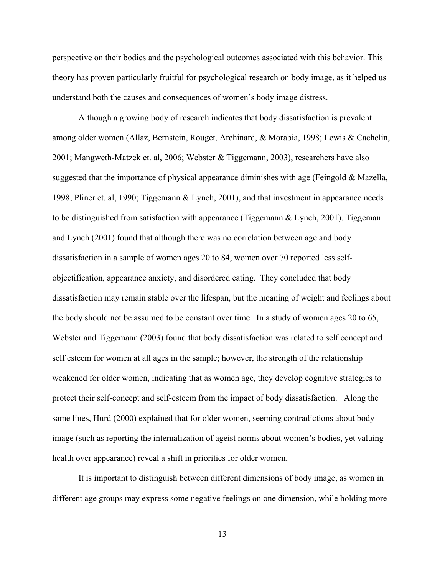perspective on their bodies and the psychological outcomes associated with this behavior. This theory has proven particularly fruitful for psychological research on body image, as it helped us understand both the causes and consequences of women's body image distress.

 Although a growing body of research indicates that body dissatisfaction is prevalent among older women (Allaz, Bernstein, Rouget, Archinard, & Morabia, 1998; Lewis & Cachelin, 2001; Mangweth-Matzek et. al, 2006; Webster & Tiggemann, 2003), researchers have also suggested that the importance of physical appearance diminishes with age (Feingold & Mazella, 1998; Pliner et. al, 1990; Tiggemann & Lynch, 2001), and that investment in appearance needs to be distinguished from satisfaction with appearance (Tiggemann & Lynch, 2001). Tiggeman and Lynch (2001) found that although there was no correlation between age and body dissatisfaction in a sample of women ages 20 to 84, women over 70 reported less selfobjectification, appearance anxiety, and disordered eating. They concluded that body dissatisfaction may remain stable over the lifespan, but the meaning of weight and feelings about the body should not be assumed to be constant over time. In a study of women ages 20 to 65, Webster and Tiggemann (2003) found that body dissatisfaction was related to self concept and self esteem for women at all ages in the sample; however, the strength of the relationship weakened for older women, indicating that as women age, they develop cognitive strategies to protect their self-concept and self-esteem from the impact of body dissatisfaction. Along the same lines, Hurd (2000) explained that for older women, seeming contradictions about body image (such as reporting the internalization of ageist norms about women's bodies, yet valuing health over appearance) reveal a shift in priorities for older women.

It is important to distinguish between different dimensions of body image, as women in different age groups may express some negative feelings on one dimension, while holding more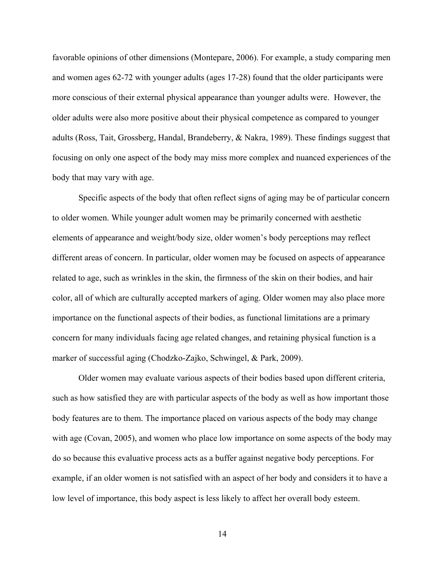favorable opinions of other dimensions (Montepare, 2006). For example, a study comparing men and women ages 62-72 with younger adults (ages 17-28) found that the older participants were more conscious of their external physical appearance than younger adults were. However, the older adults were also more positive about their physical competence as compared to younger adults (Ross, Tait, Grossberg, Handal, Brandeberry, & Nakra, 1989). These findings suggest that focusing on only one aspect of the body may miss more complex and nuanced experiences of the body that may vary with age.

Specific aspects of the body that often reflect signs of aging may be of particular concern to older women. While younger adult women may be primarily concerned with aesthetic elements of appearance and weight/body size, older women's body perceptions may reflect different areas of concern. In particular, older women may be focused on aspects of appearance related to age, such as wrinkles in the skin, the firmness of the skin on their bodies, and hair color, all of which are culturally accepted markers of aging. Older women may also place more importance on the functional aspects of their bodies, as functional limitations are a primary concern for many individuals facing age related changes, and retaining physical function is a marker of successful aging (Chodzko-Zajko, Schwingel, & Park, 2009).

Older women may evaluate various aspects of their bodies based upon different criteria, such as how satisfied they are with particular aspects of the body as well as how important those body features are to them. The importance placed on various aspects of the body may change with age (Covan, 2005), and women who place low importance on some aspects of the body may do so because this evaluative process acts as a buffer against negative body perceptions. For example, if an older women is not satisfied with an aspect of her body and considers it to have a low level of importance, this body aspect is less likely to affect her overall body esteem.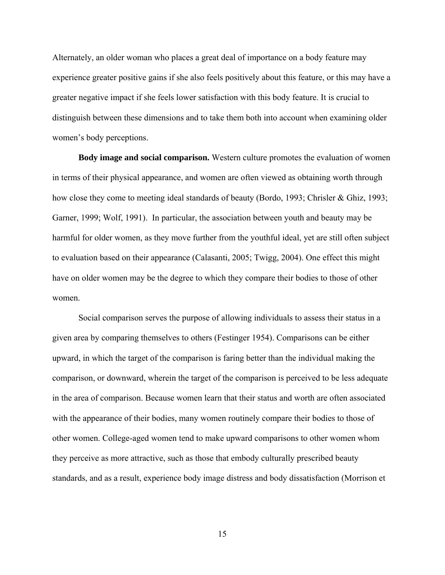Alternately, an older woman who places a great deal of importance on a body feature may experience greater positive gains if she also feels positively about this feature, or this may have a greater negative impact if she feels lower satisfaction with this body feature. It is crucial to distinguish between these dimensions and to take them both into account when examining older women's body perceptions.

**Body image and social comparison.** Western culture promotes the evaluation of women in terms of their physical appearance, and women are often viewed as obtaining worth through how close they come to meeting ideal standards of beauty (Bordo, 1993; Chrisler & Ghiz, 1993; Garner, 1999; Wolf, 1991). In particular, the association between youth and beauty may be harmful for older women, as they move further from the youthful ideal, yet are still often subject to evaluation based on their appearance (Calasanti, 2005; Twigg, 2004). One effect this might have on older women may be the degree to which they compare their bodies to those of other women.

Social comparison serves the purpose of allowing individuals to assess their status in a given area by comparing themselves to others (Festinger 1954). Comparisons can be either upward, in which the target of the comparison is faring better than the individual making the comparison, or downward, wherein the target of the comparison is perceived to be less adequate in the area of comparison. Because women learn that their status and worth are often associated with the appearance of their bodies, many women routinely compare their bodies to those of other women. College-aged women tend to make upward comparisons to other women whom they perceive as more attractive, such as those that embody culturally prescribed beauty standards, and as a result, experience body image distress and body dissatisfaction (Morrison et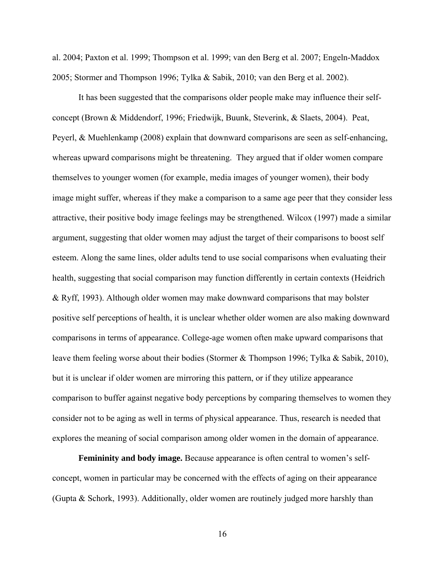al. 2004; Paxton et al. 1999; Thompson et al. 1999; van den Berg et al. 2007; Engeln-Maddox 2005; Stormer and Thompson 1996; Tylka & Sabik, 2010; van den Berg et al. 2002).

It has been suggested that the comparisons older people make may influence their selfconcept (Brown & Middendorf, 1996; Friedwijk, Buunk, Steverink, & Slaets, 2004). Peat, Peyerl, & Muehlenkamp (2008) explain that downward comparisons are seen as self-enhancing, whereas upward comparisons might be threatening. They argued that if older women compare themselves to younger women (for example, media images of younger women), their body image might suffer, whereas if they make a comparison to a same age peer that they consider less attractive, their positive body image feelings may be strengthened. Wilcox (1997) made a similar argument, suggesting that older women may adjust the target of their comparisons to boost self esteem. Along the same lines, older adults tend to use social comparisons when evaluating their health, suggesting that social comparison may function differently in certain contexts (Heidrich & Ryff, 1993). Although older women may make downward comparisons that may bolster positive self perceptions of health, it is unclear whether older women are also making downward comparisons in terms of appearance. College-age women often make upward comparisons that leave them feeling worse about their bodies (Stormer & Thompson 1996; Tylka & Sabik, 2010), but it is unclear if older women are mirroring this pattern, or if they utilize appearance comparison to buffer against negative body perceptions by comparing themselves to women they consider not to be aging as well in terms of physical appearance. Thus, research is needed that explores the meaning of social comparison among older women in the domain of appearance.

**Femininity and body image.** Because appearance is often central to women's selfconcept, women in particular may be concerned with the effects of aging on their appearance (Gupta & Schork, 1993). Additionally, older women are routinely judged more harshly than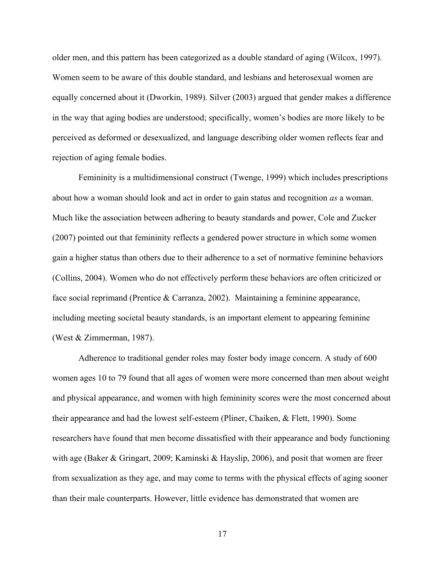older men, and this pattern has been categorized as a double standard of aging (Wilcox, 1997). Women seem to be aware of this double standard, and lesbians and heterosexual women are equally concerned about it (Dworkin, 1989). Silver (2003) argued that gender makes a difference in the way that aging bodies are understood; specifically, women's bodies are more likely to be perceived as deformed or desexualized, and language describing older women reflects fear and rejection of aging female bodies.

Femininity is a multidimensional construct (Twenge, 1999) which includes prescriptions about how a woman should look and act in order to gain status and recognition *as* a woman. Much like the association between adhering to beauty standards and power, Cole and Zucker (2007) pointed out that femininity reflects a gendered power structure in which some women gain a higher status than others due to their adherence to a set of normative feminine behaviors (Collins, 2004). Women who do not effectively perform these behaviors are often criticized or face social reprimand (Prentice & Carranza, 2002). Maintaining a feminine appearance, including meeting societal beauty standards, is an important element to appearing feminine (West & Zimmerman, 1987).

Adherence to traditional gender roles may foster body image concern. A study of 600 women ages 10 to 79 found that all ages of women were more concerned than men about weight and physical appearance, and women with high femininity scores were the most concerned about their appearance and had the lowest self-esteem (Pliner, Chaiken, & Flett, 1990). Some researchers have found that men become dissatisfied with their appearance and body functioning with age (Baker & Gringart, 2009; Kaminski & Hayslip, 2006), and posit that women are freer from sexualization as they age, and may come to terms with the physical effects of aging sooner than their male counterparts. However, little evidence has demonstrated that women are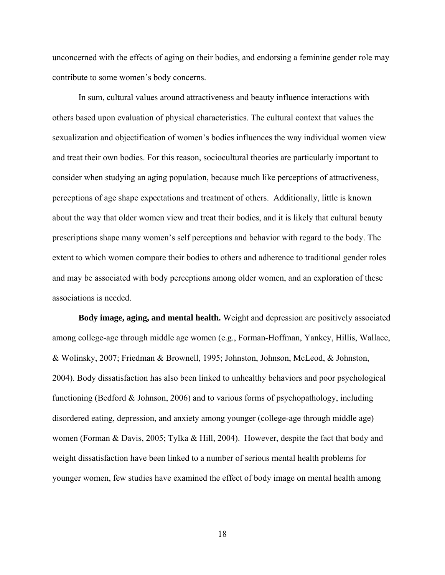unconcerned with the effects of aging on their bodies, and endorsing a feminine gender role may contribute to some women's body concerns.

In sum, cultural values around attractiveness and beauty influence interactions with others based upon evaluation of physical characteristics. The cultural context that values the sexualization and objectification of women's bodies influences the way individual women view and treat their own bodies. For this reason, sociocultural theories are particularly important to consider when studying an aging population, because much like perceptions of attractiveness, perceptions of age shape expectations and treatment of others. Additionally, little is known about the way that older women view and treat their bodies, and it is likely that cultural beauty prescriptions shape many women's self perceptions and behavior with regard to the body. The extent to which women compare their bodies to others and adherence to traditional gender roles and may be associated with body perceptions among older women, and an exploration of these associations is needed.

**Body image, aging, and mental health.** Weight and depression are positively associated among college-age through middle age women (e.g., Forman-Hoffman, Yankey, Hillis, Wallace, & Wolinsky, 2007; Friedman & Brownell, 1995; Johnston, Johnson, McLeod, & Johnston, 2004). Body dissatisfaction has also been linked to unhealthy behaviors and poor psychological functioning (Bedford & Johnson, 2006) and to various forms of psychopathology, including disordered eating, depression, and anxiety among younger (college-age through middle age) women (Forman & Davis, 2005; Tylka & Hill, 2004). However, despite the fact that body and weight dissatisfaction have been linked to a number of serious mental health problems for younger women, few studies have examined the effect of body image on mental health among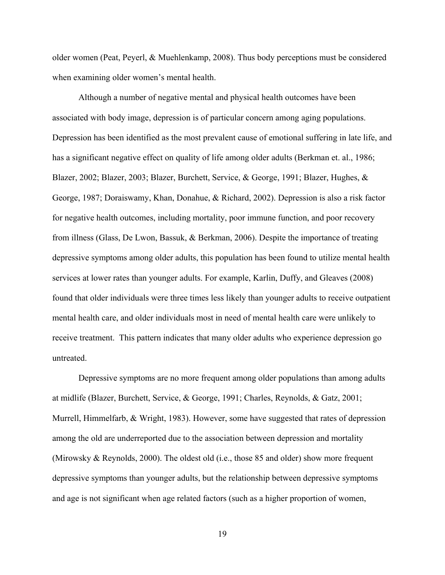older women (Peat, Peyerl, & Muehlenkamp, 2008). Thus body perceptions must be considered when examining older women's mental health.

Although a number of negative mental and physical health outcomes have been associated with body image, depression is of particular concern among aging populations. Depression has been identified as the most prevalent cause of emotional suffering in late life, and has a significant negative effect on quality of life among older adults (Berkman et. al., 1986; Blazer, 2002; Blazer, 2003; Blazer, Burchett, Service, & George, 1991; Blazer, Hughes, & George, 1987; Doraiswamy, Khan, Donahue, & Richard, 2002). Depression is also a risk factor for negative health outcomes, including mortality, poor immune function, and poor recovery from illness (Glass, De Lwon, Bassuk, & Berkman, 2006). Despite the importance of treating depressive symptoms among older adults, this population has been found to utilize mental health services at lower rates than younger adults. For example, Karlin, Duffy, and Gleaves (2008) found that older individuals were three times less likely than younger adults to receive outpatient mental health care, and older individuals most in need of mental health care were unlikely to receive treatment. This pattern indicates that many older adults who experience depression go untreated.

Depressive symptoms are no more frequent among older populations than among adults at midlife (Blazer, Burchett, Service, & George, 1991; Charles, Reynolds, & Gatz, 2001; Murrell, Himmelfarb, & Wright, 1983). However, some have suggested that rates of depression among the old are underreported due to the association between depression and mortality (Mirowsky & Reynolds, 2000). The oldest old (i.e., those 85 and older) show more frequent depressive symptoms than younger adults, but the relationship between depressive symptoms and age is not significant when age related factors (such as a higher proportion of women,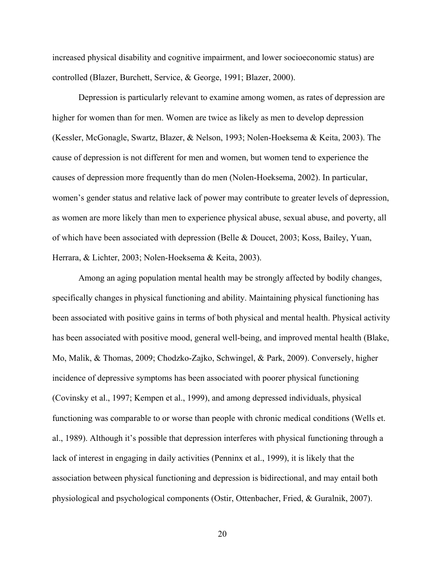increased physical disability and cognitive impairment, and lower socioeconomic status) are controlled (Blazer, Burchett, Service, & George, 1991; Blazer, 2000).

Depression is particularly relevant to examine among women, as rates of depression are higher for women than for men. Women are twice as likely as men to develop depression (Kessler, McGonagle, Swartz, Blazer, & Nelson, 1993; Nolen-Hoeksema & Keita, 2003). The cause of depression is not different for men and women, but women tend to experience the causes of depression more frequently than do men (Nolen-Hoeksema, 2002). In particular, women's gender status and relative lack of power may contribute to greater levels of depression, as women are more likely than men to experience physical abuse, sexual abuse, and poverty, all of which have been associated with depression (Belle & Doucet, 2003; Koss, Bailey, Yuan, Herrara, & Lichter, 2003; Nolen-Hoeksema & Keita, 2003).

Among an aging population mental health may be strongly affected by bodily changes, specifically changes in physical functioning and ability. Maintaining physical functioning has been associated with positive gains in terms of both physical and mental health. Physical activity has been associated with positive mood, general well-being, and improved mental health (Blake, Mo, Malik, & Thomas, 2009; Chodzko-Zajko, Schwingel, & Park, 2009). Conversely, higher incidence of depressive symptoms has been associated with poorer physical functioning (Covinsky et al., 1997; Kempen et al., 1999), and among depressed individuals, physical functioning was comparable to or worse than people with chronic medical conditions (Wells et. al., 1989). Although it's possible that depression interferes with physical functioning through a lack of interest in engaging in daily activities (Penninx et al., 1999), it is likely that the association between physical functioning and depression is bidirectional, and may entail both physiological and psychological components (Ostir, Ottenbacher, Fried, & Guralnik, 2007).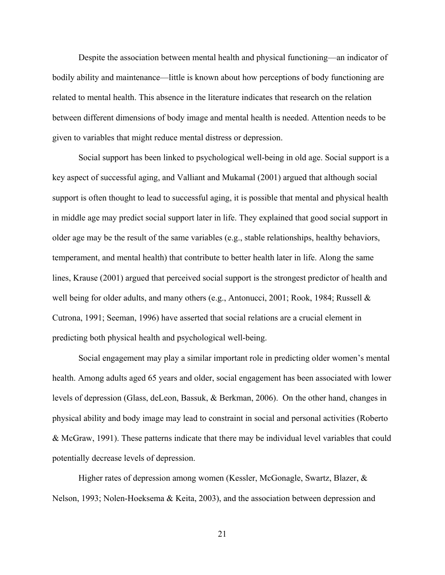Despite the association between mental health and physical functioning—an indicator of bodily ability and maintenance—little is known about how perceptions of body functioning are related to mental health. This absence in the literature indicates that research on the relation between different dimensions of body image and mental health is needed. Attention needs to be given to variables that might reduce mental distress or depression.

Social support has been linked to psychological well-being in old age. Social support is a key aspect of successful aging, and Valliant and Mukamal (2001) argued that although social support is often thought to lead to successful aging, it is possible that mental and physical health in middle age may predict social support later in life. They explained that good social support in older age may be the result of the same variables (e.g., stable relationships, healthy behaviors, temperament, and mental health) that contribute to better health later in life. Along the same lines, Krause (2001) argued that perceived social support is the strongest predictor of health and well being for older adults, and many others (e.g., Antonucci, 2001; Rook, 1984; Russell & Cutrona, 1991; Seeman, 1996) have asserted that social relations are a crucial element in predicting both physical health and psychological well-being.

Social engagement may play a similar important role in predicting older women's mental health. Among adults aged 65 years and older, social engagement has been associated with lower levels of depression (Glass, deLeon, Bassuk, & Berkman, 2006). On the other hand, changes in physical ability and body image may lead to constraint in social and personal activities (Roberto & McGraw, 1991). These patterns indicate that there may be individual level variables that could potentially decrease levels of depression.

Higher rates of depression among women (Kessler, McGonagle, Swartz, Blazer, & Nelson, 1993; Nolen-Hoeksema & Keita, 2003), and the association between depression and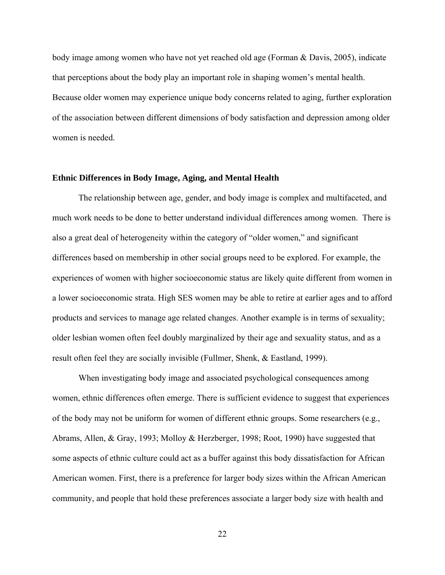body image among women who have not yet reached old age (Forman & Davis, 2005), indicate that perceptions about the body play an important role in shaping women's mental health. Because older women may experience unique body concerns related to aging, further exploration of the association between different dimensions of body satisfaction and depression among older women is needed.

#### **Ethnic Differences in Body Image, Aging, and Mental Health**

The relationship between age, gender, and body image is complex and multifaceted, and much work needs to be done to better understand individual differences among women. There is also a great deal of heterogeneity within the category of "older women," and significant differences based on membership in other social groups need to be explored. For example, the experiences of women with higher socioeconomic status are likely quite different from women in a lower socioeconomic strata. High SES women may be able to retire at earlier ages and to afford products and services to manage age related changes. Another example is in terms of sexuality; older lesbian women often feel doubly marginalized by their age and sexuality status, and as a result often feel they are socially invisible (Fullmer, Shenk, & Eastland, 1999).

When investigating body image and associated psychological consequences among women, ethnic differences often emerge. There is sufficient evidence to suggest that experiences of the body may not be uniform for women of different ethnic groups. Some researchers (e.g., Abrams, Allen, & Gray, 1993; Molloy & Herzberger, 1998; Root, 1990) have suggested that some aspects of ethnic culture could act as a buffer against this body dissatisfaction for African American women. First, there is a preference for larger body sizes within the African American community, and people that hold these preferences associate a larger body size with health and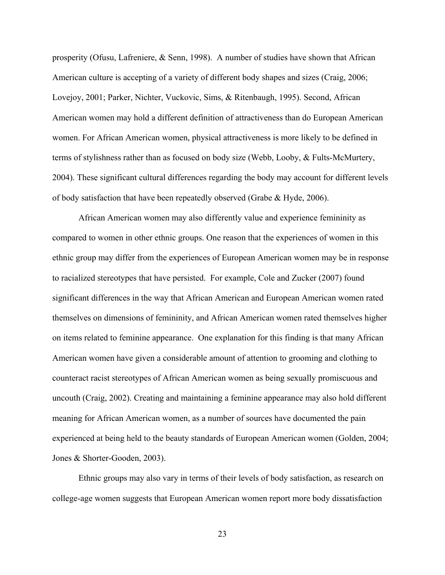prosperity (Ofusu, Lafreniere, & Senn, 1998). A number of studies have shown that African American culture is accepting of a variety of different body shapes and sizes (Craig, 2006; Lovejoy, 2001; Parker, Nichter, Vuckovic, Sims, & Ritenbaugh, 1995). Second, African American women may hold a different definition of attractiveness than do European American women. For African American women, physical attractiveness is more likely to be defined in terms of stylishness rather than as focused on body size (Webb, Looby, & Fults-McMurtery, 2004). These significant cultural differences regarding the body may account for different levels of body satisfaction that have been repeatedly observed (Grabe & Hyde, 2006).

African American women may also differently value and experience femininity as compared to women in other ethnic groups. One reason that the experiences of women in this ethnic group may differ from the experiences of European American women may be in response to racialized stereotypes that have persisted. For example, Cole and Zucker (2007) found significant differences in the way that African American and European American women rated themselves on dimensions of femininity, and African American women rated themselves higher on items related to feminine appearance. One explanation for this finding is that many African American women have given a considerable amount of attention to grooming and clothing to counteract racist stereotypes of African American women as being sexually promiscuous and uncouth (Craig, 2002). Creating and maintaining a feminine appearance may also hold different meaning for African American women, as a number of sources have documented the pain experienced at being held to the beauty standards of European American women (Golden, 2004; Jones & Shorter-Gooden, 2003).

Ethnic groups may also vary in terms of their levels of body satisfaction, as research on college-age women suggests that European American women report more body dissatisfaction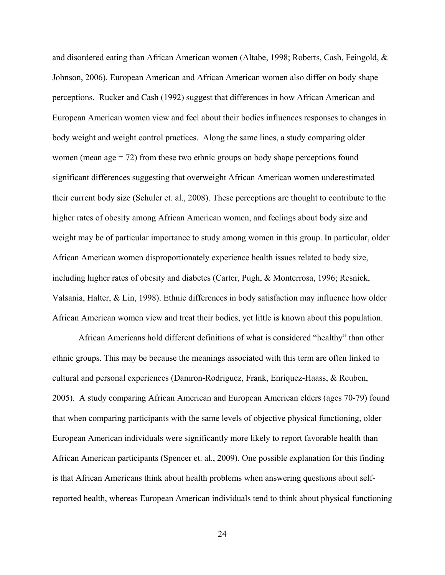and disordered eating than African American women (Altabe, 1998; Roberts, Cash, Feingold, & Johnson, 2006). European American and African American women also differ on body shape perceptions. Rucker and Cash (1992) suggest that differences in how African American and European American women view and feel about their bodies influences responses to changes in body weight and weight control practices. Along the same lines, a study comparing older women (mean  $\text{age} = 72$ ) from these two ethnic groups on body shape perceptions found significant differences suggesting that overweight African American women underestimated their current body size (Schuler et. al., 2008). These perceptions are thought to contribute to the higher rates of obesity among African American women, and feelings about body size and weight may be of particular importance to study among women in this group. In particular, older African American women disproportionately experience health issues related to body size, including higher rates of obesity and diabetes (Carter, Pugh, & Monterrosa, 1996; Resnick, Valsania, Halter, & Lin, 1998). Ethnic differences in body satisfaction may influence how older African American women view and treat their bodies, yet little is known about this population.

African Americans hold different definitions of what is considered "healthy" than other ethnic groups. This may be because the meanings associated with this term are often linked to cultural and personal experiences (Damron-Rodriguez, Frank, Enriquez-Haass, & Reuben, 2005). A study comparing African American and European American elders (ages 70-79) found that when comparing participants with the same levels of objective physical functioning, older European American individuals were significantly more likely to report favorable health than African American participants (Spencer et. al., 2009). One possible explanation for this finding is that African Americans think about health problems when answering questions about selfreported health, whereas European American individuals tend to think about physical functioning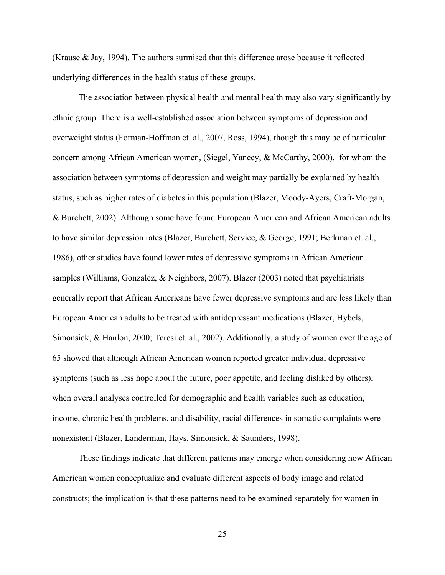(Krause & Jay, 1994). The authors surmised that this difference arose because it reflected underlying differences in the health status of these groups.

The association between physical health and mental health may also vary significantly by ethnic group. There is a well-established association between symptoms of depression and overweight status (Forman-Hoffman et. al., 2007, Ross, 1994), though this may be of particular concern among African American women, (Siegel, Yancey, & McCarthy, 2000), for whom the association between symptoms of depression and weight may partially be explained by health status, such as higher rates of diabetes in this population (Blazer, Moody-Ayers, Craft-Morgan, & Burchett, 2002). Although some have found European American and African American adults to have similar depression rates (Blazer, Burchett, Service, & George, 1991; Berkman et. al., 1986), other studies have found lower rates of depressive symptoms in African American samples (Williams, Gonzalez, & Neighbors, 2007). Blazer (2003) noted that psychiatrists generally report that African Americans have fewer depressive symptoms and are less likely than European American adults to be treated with antidepressant medications (Blazer, Hybels, Simonsick, & Hanlon, 2000; Teresi et. al., 2002). Additionally, a study of women over the age of 65 showed that although African American women reported greater individual depressive symptoms (such as less hope about the future, poor appetite, and feeling disliked by others), when overall analyses controlled for demographic and health variables such as education, income, chronic health problems, and disability, racial differences in somatic complaints were nonexistent (Blazer, Landerman, Hays, Simonsick, & Saunders, 1998).

These findings indicate that different patterns may emerge when considering how African American women conceptualize and evaluate different aspects of body image and related constructs; the implication is that these patterns need to be examined separately for women in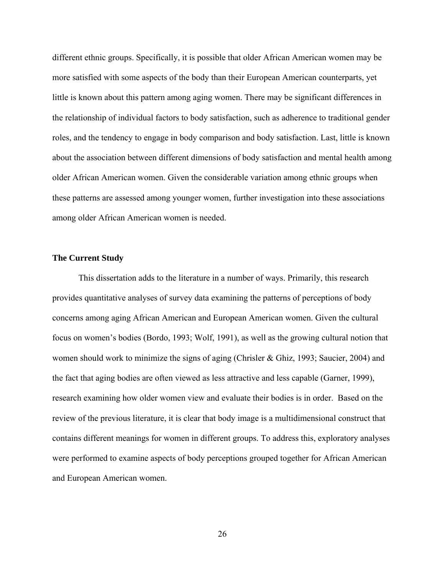different ethnic groups. Specifically, it is possible that older African American women may be more satisfied with some aspects of the body than their European American counterparts, yet little is known about this pattern among aging women. There may be significant differences in the relationship of individual factors to body satisfaction, such as adherence to traditional gender roles, and the tendency to engage in body comparison and body satisfaction. Last, little is known about the association between different dimensions of body satisfaction and mental health among older African American women. Given the considerable variation among ethnic groups when these patterns are assessed among younger women, further investigation into these associations among older African American women is needed.

### **The Current Study**

This dissertation adds to the literature in a number of ways. Primarily, this research provides quantitative analyses of survey data examining the patterns of perceptions of body concerns among aging African American and European American women. Given the cultural focus on women's bodies (Bordo, 1993; Wolf, 1991), as well as the growing cultural notion that women should work to minimize the signs of aging (Chrisler & Ghiz, 1993; Saucier, 2004) and the fact that aging bodies are often viewed as less attractive and less capable (Garner, 1999), research examining how older women view and evaluate their bodies is in order. Based on the review of the previous literature, it is clear that body image is a multidimensional construct that contains different meanings for women in different groups. To address this, exploratory analyses were performed to examine aspects of body perceptions grouped together for African American and European American women.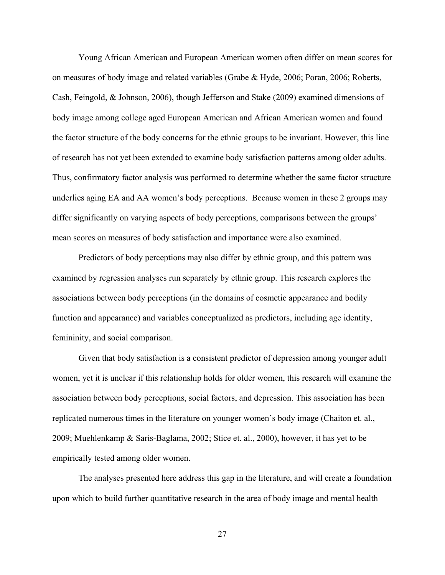Young African American and European American women often differ on mean scores for on measures of body image and related variables (Grabe & Hyde, 2006; Poran, 2006; Roberts, Cash, Feingold, & Johnson, 2006), though Jefferson and Stake (2009) examined dimensions of body image among college aged European American and African American women and found the factor structure of the body concerns for the ethnic groups to be invariant. However, this line of research has not yet been extended to examine body satisfaction patterns among older adults. Thus, confirmatory factor analysis was performed to determine whether the same factor structure underlies aging EA and AA women's body perceptions. Because women in these 2 groups may differ significantly on varying aspects of body perceptions, comparisons between the groups' mean scores on measures of body satisfaction and importance were also examined.

Predictors of body perceptions may also differ by ethnic group, and this pattern was examined by regression analyses run separately by ethnic group. This research explores the associations between body perceptions (in the domains of cosmetic appearance and bodily function and appearance) and variables conceptualized as predictors, including age identity, femininity, and social comparison.

Given that body satisfaction is a consistent predictor of depression among younger adult women, yet it is unclear if this relationship holds for older women, this research will examine the association between body perceptions, social factors, and depression. This association has been replicated numerous times in the literature on younger women's body image (Chaiton et. al., 2009; Muehlenkamp & Saris-Baglama, 2002; Stice et. al., 2000), however, it has yet to be empirically tested among older women.

The analyses presented here address this gap in the literature, and will create a foundation upon which to build further quantitative research in the area of body image and mental health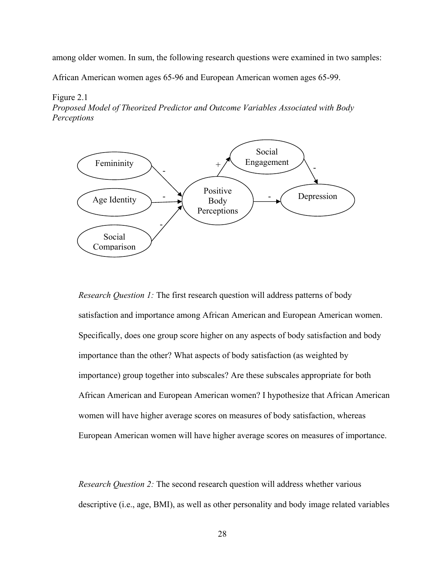among older women. In sum, the following research questions were examined in two samples:

African American women ages 65-96 and European American women ages 65-99.

#### Figure 2.1

*Proposed Model of Theorized Predictor and Outcome Variables Associated with Body Perceptions* 



*Research Question 1:* The first research question will address patterns of body satisfaction and importance among African American and European American women. Specifically, does one group score higher on any aspects of body satisfaction and body importance than the other? What aspects of body satisfaction (as weighted by importance) group together into subscales? Are these subscales appropriate for both African American and European American women? I hypothesize that African American women will have higher average scores on measures of body satisfaction, whereas European American women will have higher average scores on measures of importance.

*Research Question 2:* The second research question will address whether various descriptive (i.e., age, BMI), as well as other personality and body image related variables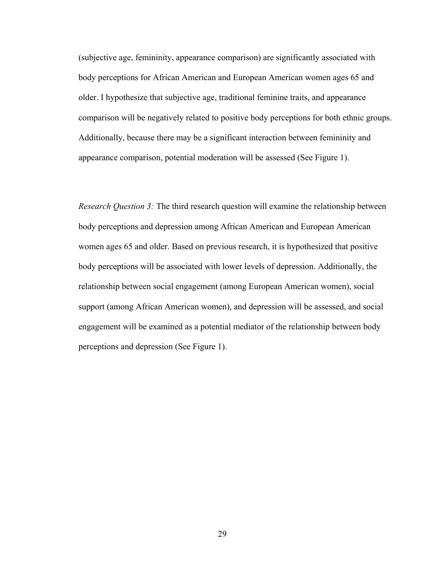(subjective age, femininity, appearance comparison) are significantly associated with body perceptions for African American and European American women ages 65 and older. I hypothesize that subjective age, traditional feminine traits, and appearance comparison will be negatively related to positive body perceptions for both ethnic groups. Additionally, because there may be a significant interaction between femininity and appearance comparison, potential moderation will be assessed (See Figure 1).

*Research Question 3:* The third research question will examine the relationship between body perceptions and depression among African American and European American women ages 65 and older. Based on previous research, it is hypothesized that positive body perceptions will be associated with lower levels of depression. Additionally, the relationship between social engagement (among European American women), social support (among African American women), and depression will be assessed, and social engagement will be examined as a potential mediator of the relationship between body perceptions and depression (See Figure 1).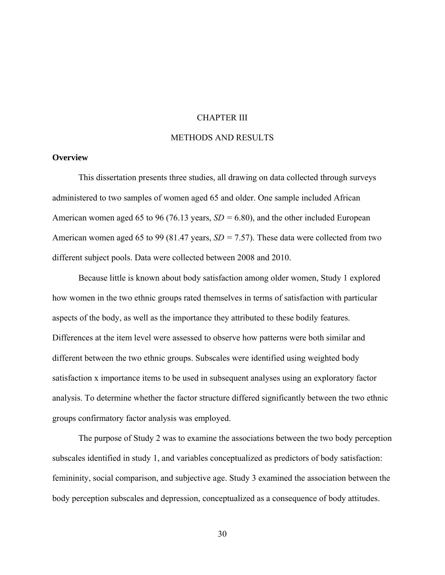### CHAPTER III

### METHODS AND RESULTS

### **Overview**

This dissertation presents three studies, all drawing on data collected through surveys administered to two samples of women aged 65 and older. One sample included African American women aged 65 to 96 (76.13 years, *SD =* 6.80), and the other included European American women aged 65 to 99 (81.47 years, *SD =* 7.57). These data were collected from two different subject pools. Data were collected between 2008 and 2010.

Because little is known about body satisfaction among older women, Study 1 explored how women in the two ethnic groups rated themselves in terms of satisfaction with particular aspects of the body, as well as the importance they attributed to these bodily features. Differences at the item level were assessed to observe how patterns were both similar and different between the two ethnic groups. Subscales were identified using weighted body satisfaction x importance items to be used in subsequent analyses using an exploratory factor analysis. To determine whether the factor structure differed significantly between the two ethnic groups confirmatory factor analysis was employed.

The purpose of Study 2 was to examine the associations between the two body perception subscales identified in study 1, and variables conceptualized as predictors of body satisfaction: femininity, social comparison, and subjective age. Study 3 examined the association between the body perception subscales and depression, conceptualized as a consequence of body attitudes.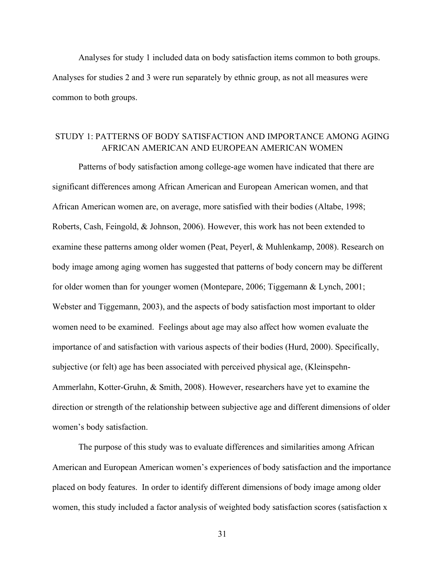Analyses for study 1 included data on body satisfaction items common to both groups. Analyses for studies 2 and 3 were run separately by ethnic group, as not all measures were common to both groups.

## STUDY 1: PATTERNS OF BODY SATISFACTION AND IMPORTANCE AMONG AGING AFRICAN AMERICAN AND EUROPEAN AMERICAN WOMEN

Patterns of body satisfaction among college-age women have indicated that there are significant differences among African American and European American women, and that African American women are, on average, more satisfied with their bodies (Altabe, 1998; Roberts, Cash, Feingold, & Johnson, 2006). However, this work has not been extended to examine these patterns among older women (Peat, Peyerl, & Muhlenkamp, 2008). Research on body image among aging women has suggested that patterns of body concern may be different for older women than for younger women (Montepare, 2006; Tiggemann & Lynch, 2001; Webster and Tiggemann, 2003), and the aspects of body satisfaction most important to older women need to be examined. Feelings about age may also affect how women evaluate the importance of and satisfaction with various aspects of their bodies (Hurd, 2000). Specifically, subjective (or felt) age has been associated with perceived physical age, (Kleinspehn-Ammerlahn, Kotter-Gruhn, & Smith, 2008). However, researchers have yet to examine the direction or strength of the relationship between subjective age and different dimensions of older women's body satisfaction.

The purpose of this study was to evaluate differences and similarities among African American and European American women's experiences of body satisfaction and the importance placed on body features. In order to identify different dimensions of body image among older women, this study included a factor analysis of weighted body satisfaction scores (satisfaction x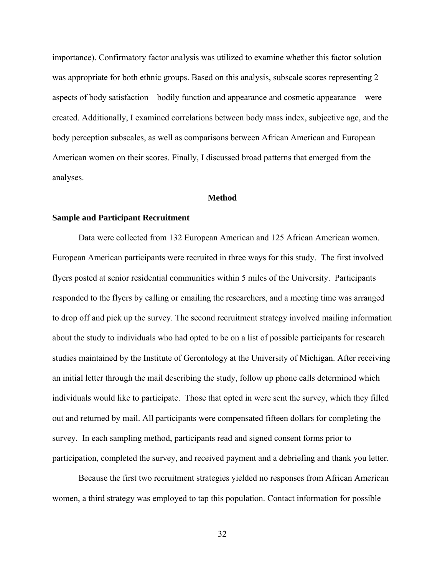importance). Confirmatory factor analysis was utilized to examine whether this factor solution was appropriate for both ethnic groups. Based on this analysis, subscale scores representing 2 aspects of body satisfaction—bodily function and appearance and cosmetic appearance—were created. Additionally, I examined correlations between body mass index, subjective age, and the body perception subscales, as well as comparisons between African American and European American women on their scores. Finally, I discussed broad patterns that emerged from the analyses.

### **Method**

### **Sample and Participant Recruitment**

Data were collected from 132 European American and 125 African American women. European American participants were recruited in three ways for this study. The first involved flyers posted at senior residential communities within 5 miles of the University. Participants responded to the flyers by calling or emailing the researchers, and a meeting time was arranged to drop off and pick up the survey. The second recruitment strategy involved mailing information about the study to individuals who had opted to be on a list of possible participants for research studies maintained by the Institute of Gerontology at the University of Michigan. After receiving an initial letter through the mail describing the study, follow up phone calls determined which individuals would like to participate. Those that opted in were sent the survey, which they filled out and returned by mail. All participants were compensated fifteen dollars for completing the survey. In each sampling method, participants read and signed consent forms prior to participation, completed the survey, and received payment and a debriefing and thank you letter.

Because the first two recruitment strategies yielded no responses from African American women, a third strategy was employed to tap this population. Contact information for possible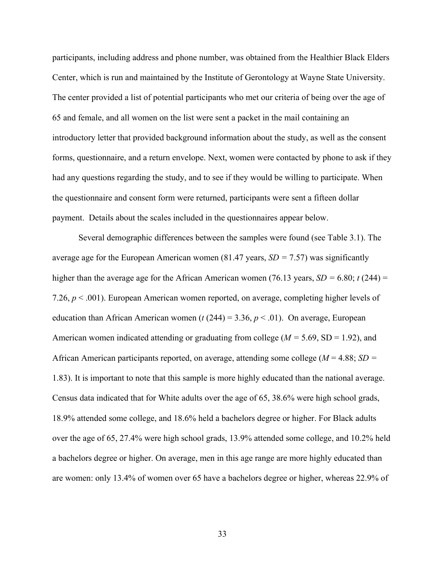participants, including address and phone number, was obtained from the Healthier Black Elders Center, which is run and maintained by the Institute of Gerontology at Wayne State University. The center provided a list of potential participants who met our criteria of being over the age of 65 and female, and all women on the list were sent a packet in the mail containing an introductory letter that provided background information about the study, as well as the consent forms, questionnaire, and a return envelope. Next, women were contacted by phone to ask if they had any questions regarding the study, and to see if they would be willing to participate. When the questionnaire and consent form were returned, participants were sent a fifteen dollar payment. Details about the scales included in the questionnaires appear below.

Several demographic differences between the samples were found (see Table 3.1). The average age for the European American women (81.47 years, *SD =* 7.57) was significantly higher than the average age for the African American women (76.13 years,  $SD = 6.80$ ; *t* (244) = 7.26, *p* < .001). European American women reported, on average, completing higher levels of education than African American women ( $t$  (244) = 3.36,  $p < .01$ ). On average, European American women indicated attending or graduating from college (*M =* 5.69, SD = 1.92), and African American participants reported, on average, attending some college (*M* = 4.88; *SD =*  1.83). It is important to note that this sample is more highly educated than the national average. Census data indicated that for White adults over the age of 65, 38.6% were high school grads, 18.9% attended some college, and 18.6% held a bachelors degree or higher. For Black adults over the age of 65, 27.4% were high school grads, 13.9% attended some college, and 10.2% held a bachelors degree or higher. On average, men in this age range are more highly educated than are women: only 13.4% of women over 65 have a bachelors degree or higher, whereas 22.9% of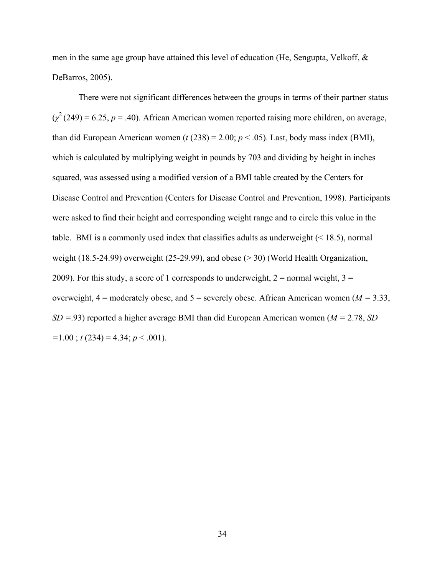men in the same age group have attained this level of education (He, Sengupta, Velkoff,  $\&$ DeBarros, 2005).

There were not significant differences between the groups in terms of their partner status  $(\chi^2(249) = 6.25, p = .40)$ . African American women reported raising more children, on average, than did European American women ( $t$  (238) = 2.00;  $p < .05$ ). Last, body mass index (BMI), which is calculated by multiplying weight in pounds by 703 and dividing by height in inches squared, was assessed using a modified version of a BMI table created by the Centers for Disease Control and Prevention (Centers for Disease Control and Prevention, 1998). Participants were asked to find their height and corresponding weight range and to circle this value in the table. BMI is a commonly used index that classifies adults as underweight  $(< 18.5)$ , normal weight (18.5-24.99) overweight (25-29.99), and obese (> 30) (World Health Organization, 2009). For this study, a score of 1 corresponds to underweight,  $2 =$  normal weight,  $3 =$ overweight,  $4 =$  moderately obese, and  $5 =$  severely obese. African American women ( $M = 3.33$ , *SD =*.93) reported a higher average BMI than did European American women (*M =* 2.78, *SD =*1.00 ; *t* (234) = 4.34; *p* < .001).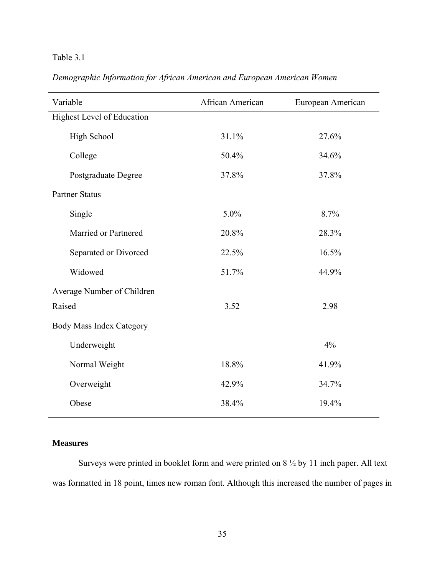# Table 3.1

| Demographic Information for African American and European American Women |  |
|--------------------------------------------------------------------------|--|
|--------------------------------------------------------------------------|--|

| Variable                        | African American | European American |
|---------------------------------|------------------|-------------------|
| Highest Level of Education      |                  |                   |
| High School                     | 31.1%            | 27.6%             |
| College                         | 50.4%            | 34.6%             |
| Postgraduate Degree             | 37.8%            | 37.8%             |
| <b>Partner Status</b>           |                  |                   |
| Single                          | 5.0%             | 8.7%              |
| Married or Partnered            | 20.8%            | 28.3%             |
| Separated or Divorced           | 22.5%            | 16.5%             |
| Widowed                         | 51.7%            | 44.9%             |
| Average Number of Children      |                  |                   |
| Raised                          | 3.52             | 2.98              |
| <b>Body Mass Index Category</b> |                  |                   |
| Underweight                     |                  | 4%                |
| Normal Weight                   | 18.8%            | 41.9%             |
| Overweight                      | 42.9%            | 34.7%             |
| Obese                           | 38.4%            | 19.4%             |

## **Measures**

Surveys were printed in booklet form and were printed on 8 ½ by 11 inch paper. All text was formatted in 18 point, times new roman font. Although this increased the number of pages in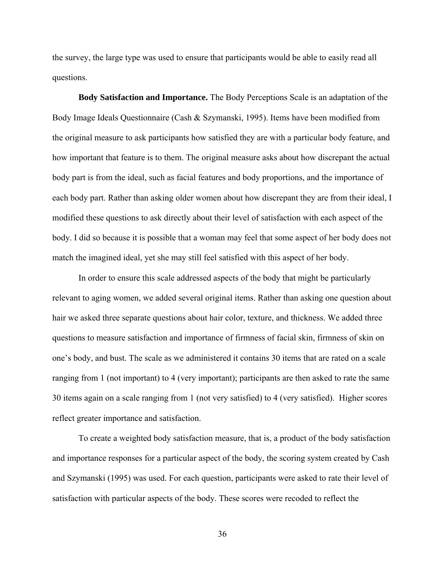the survey, the large type was used to ensure that participants would be able to easily read all questions.

**Body Satisfaction and Importance.** The Body Perceptions Scale is an adaptation of the Body Image Ideals Questionnaire (Cash & Szymanski, 1995). Items have been modified from the original measure to ask participants how satisfied they are with a particular body feature, and how important that feature is to them. The original measure asks about how discrepant the actual body part is from the ideal, such as facial features and body proportions, and the importance of each body part. Rather than asking older women about how discrepant they are from their ideal, I modified these questions to ask directly about their level of satisfaction with each aspect of the body. I did so because it is possible that a woman may feel that some aspect of her body does not match the imagined ideal, yet she may still feel satisfied with this aspect of her body.

In order to ensure this scale addressed aspects of the body that might be particularly relevant to aging women, we added several original items. Rather than asking one question about hair we asked three separate questions about hair color, texture, and thickness. We added three questions to measure satisfaction and importance of firmness of facial skin, firmness of skin on one's body, and bust. The scale as we administered it contains 30 items that are rated on a scale ranging from 1 (not important) to 4 (very important); participants are then asked to rate the same 30 items again on a scale ranging from 1 (not very satisfied) to 4 (very satisfied). Higher scores reflect greater importance and satisfaction.

To create a weighted body satisfaction measure, that is, a product of the body satisfaction and importance responses for a particular aspect of the body, the scoring system created by Cash and Szymanski (1995) was used. For each question, participants were asked to rate their level of satisfaction with particular aspects of the body. These scores were recoded to reflect the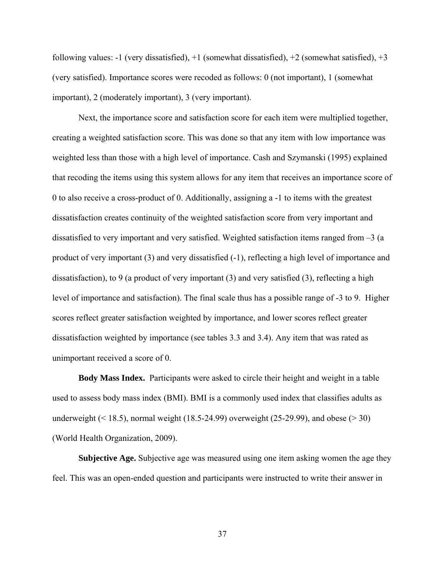following values:  $-1$  (very dissatisfied),  $+1$  (somewhat dissatisfied),  $+2$  (somewhat satisfied),  $+3$ (very satisfied). Importance scores were recoded as follows: 0 (not important), 1 (somewhat important), 2 (moderately important), 3 (very important).

Next, the importance score and satisfaction score for each item were multiplied together, creating a weighted satisfaction score. This was done so that any item with low importance was weighted less than those with a high level of importance. Cash and Szymanski (1995) explained that recoding the items using this system allows for any item that receives an importance score of 0 to also receive a cross-product of 0. Additionally, assigning a -1 to items with the greatest dissatisfaction creates continuity of the weighted satisfaction score from very important and dissatisfied to very important and very satisfied. Weighted satisfaction items ranged from –3 (a product of very important (3) and very dissatisfied (-1), reflecting a high level of importance and dissatisfaction), to 9 (a product of very important (3) and very satisfied (3), reflecting a high level of importance and satisfaction). The final scale thus has a possible range of -3 to 9. Higher scores reflect greater satisfaction weighted by importance, and lower scores reflect greater dissatisfaction weighted by importance (see tables 3.3 and 3.4). Any item that was rated as unimportant received a score of 0.

**Body Mass Index.**Participants were asked to circle their height and weight in a table used to assess body mass index (BMI). BMI is a commonly used index that classifies adults as underweight  $($  < 18.5), normal weight (18.5-24.99) overweight (25-29.99), and obese  $($  > 30) (World Health Organization, 2009).

**Subjective Age.** Subjective age was measured using one item asking women the age they feel. This was an open-ended question and participants were instructed to write their answer in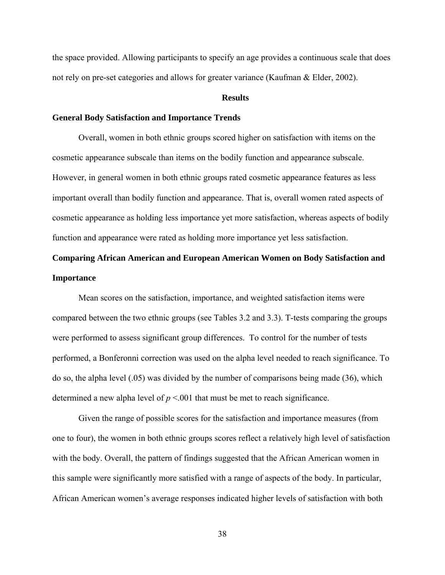the space provided. Allowing participants to specify an age provides a continuous scale that does not rely on pre-set categories and allows for greater variance (Kaufman & Elder, 2002).

#### **Results**

### **General Body Satisfaction and Importance Trends**

 Overall, women in both ethnic groups scored higher on satisfaction with items on the cosmetic appearance subscale than items on the bodily function and appearance subscale. However, in general women in both ethnic groups rated cosmetic appearance features as less important overall than bodily function and appearance. That is, overall women rated aspects of cosmetic appearance as holding less importance yet more satisfaction, whereas aspects of bodily function and appearance were rated as holding more importance yet less satisfaction.

# **Comparing African American and European American Women on Body Satisfaction and Importance**

Mean scores on the satisfaction, importance, and weighted satisfaction items were compared between the two ethnic groups (see Tables 3.2 and 3.3). T-tests comparing the groups were performed to assess significant group differences. To control for the number of tests performed, a Bonferonni correction was used on the alpha level needed to reach significance. To do so, the alpha level (.05) was divided by the number of comparisons being made (36), which determined a new alpha level of  $p \le 0.001$  that must be met to reach significance.

Given the range of possible scores for the satisfaction and importance measures (from one to four), the women in both ethnic groups scores reflect a relatively high level of satisfaction with the body. Overall, the pattern of findings suggested that the African American women in this sample were significantly more satisfied with a range of aspects of the body. In particular, African American women's average responses indicated higher levels of satisfaction with both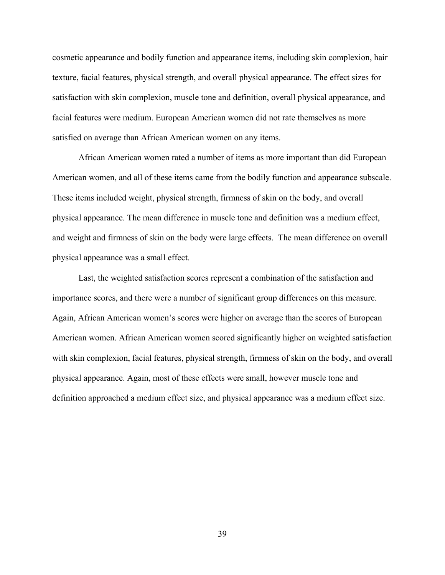cosmetic appearance and bodily function and appearance items, including skin complexion, hair texture, facial features, physical strength, and overall physical appearance. The effect sizes for satisfaction with skin complexion, muscle tone and definition, overall physical appearance, and facial features were medium. European American women did not rate themselves as more satisfied on average than African American women on any items.

African American women rated a number of items as more important than did European American women, and all of these items came from the bodily function and appearance subscale. These items included weight, physical strength, firmness of skin on the body, and overall physical appearance. The mean difference in muscle tone and definition was a medium effect, and weight and firmness of skin on the body were large effects. The mean difference on overall physical appearance was a small effect.

Last, the weighted satisfaction scores represent a combination of the satisfaction and importance scores, and there were a number of significant group differences on this measure. Again, African American women's scores were higher on average than the scores of European American women. African American women scored significantly higher on weighted satisfaction with skin complexion, facial features, physical strength, firmness of skin on the body, and overall physical appearance. Again, most of these effects were small, however muscle tone and definition approached a medium effect size, and physical appearance was a medium effect size.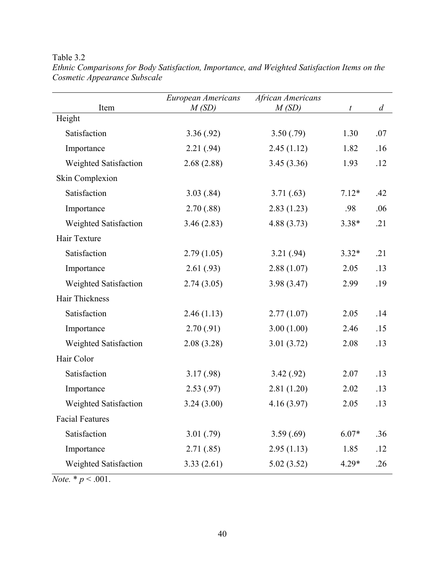# Table 3.2

| Item                         | African Americans<br>European Americans<br>M(SD)<br>M(SD) |            |         | $\overline{d}$ |
|------------------------------|-----------------------------------------------------------|------------|---------|----------------|
| Height                       |                                                           |            | t       |                |
| Satisfaction                 | 3.36(.92)                                                 | 3.50(.79)  | 1.30    | .07            |
| Importance                   | 2.21(.94)                                                 | 2.45(1.12) | 1.82    | .16            |
| <b>Weighted Satisfaction</b> | 2.68(2.88)                                                | 3.45(3.36) | 1.93    | .12            |
| Skin Complexion              |                                                           |            |         |                |
| Satisfaction                 | 3.03(.84)                                                 | 3.71(0.63) | $7.12*$ | .42            |
| Importance                   | 2.70(.88)                                                 | 2.83(1.23) | .98     | .06            |
| Weighted Satisfaction        | 3.46(2.83)                                                | 4.88(3.73) | $3.38*$ | .21            |
| Hair Texture                 |                                                           |            |         |                |
| Satisfaction                 | 2.79(1.05)                                                | 3.21(.94)  | $3.32*$ | .21            |
| Importance                   | 2.61(0.93)                                                | 2.88(1.07) | 2.05    | .13            |
| Weighted Satisfaction        | 2.74(3.05)                                                | 3.98(3.47) | 2.99    | .19            |
| Hair Thickness               |                                                           |            |         |                |
| Satisfaction                 | 2.46(1.13)                                                | 2.77(1.07) | 2.05    | .14            |
| Importance                   | 2.70(.91)                                                 | 3.00(1.00) | 2.46    | .15            |
| Weighted Satisfaction        | 2.08(3.28)                                                | 3.01(3.72) | 2.08    | .13            |
| Hair Color                   |                                                           |            |         |                |
| Satisfaction                 | 3.17(0.98)                                                | 3.42(.92)  | 2.07    | .13            |
| Importance                   | 2.53(.97)                                                 | 2.81(1.20) | 2.02    | .13            |
| Weighted Satisfaction        | 3.24(3.00)                                                | 4.16(3.97) | 2.05    | .13            |
| <b>Facial Features</b>       |                                                           |            |         |                |
| Satisfaction                 | 3.01(.79)                                                 | 3.59(.69)  | $6.07*$ | .36            |
| Importance                   | 2.71(.85)                                                 | 2.95(1.13) | 1.85    | .12            |
| Weighted Satisfaction        | 3.33(2.61)                                                | 5.02(3.52) | 4.29*   | .26            |

*Ethnic Comparisons for Body Satisfaction, Importance, and Weighted Satisfaction Items on the Cosmetic Appearance Subscale* 

*Note.*  $* p < .001$ .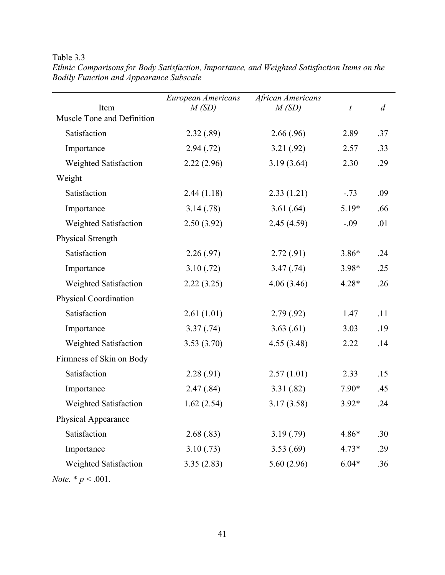# Table 3.3

|                                    | European Americans | African Americans |                  |                |
|------------------------------------|--------------------|-------------------|------------------|----------------|
| Item<br>Muscle Tone and Definition | M(SD)              | M(SD)             | $\boldsymbol{t}$ | $\overline{d}$ |
|                                    |                    |                   |                  |                |
| Satisfaction                       | 2.32(.89)          | 2.66(.96)         | 2.89             | .37            |
| Importance                         | 2.94(0.72)         | 3.21(.92)         | 2.57             | .33            |
| <b>Weighted Satisfaction</b>       | 2.22(2.96)         | 3.19(3.64)        | 2.30             | .29            |
| Weight                             |                    |                   |                  |                |
| Satisfaction                       | 2.44(1.18)         | 2.33(1.21)        | $-.73$           | .09            |
| Importance                         | 3.14(.78)          | 3.61(.64)         | $5.19*$          | .66            |
| Weighted Satisfaction              | 2.50(3.92)         | 2.45(4.59)        | $-.09$           | .01            |
| Physical Strength                  |                    |                   |                  |                |
| Satisfaction                       | 2.26(.97)          | 2.72(.91)         | $3.86*$          | .24            |
| Importance                         | 3.10(.72)          | 3.47(.74)         | 3.98*            | .25            |
| Weighted Satisfaction              | 2.22(3.25)         | 4.06(3.46)        | $4.28*$          | .26            |
| Physical Coordination              |                    |                   |                  |                |
| Satisfaction                       | 2.61(1.01)         | 2.79(.92)         | 1.47             | .11            |
| Importance                         | 3.37(.74)          | 3.63(.61)         | 3.03             | .19            |
| Weighted Satisfaction              | 3.53(3.70)         | 4.55(3.48)        | 2.22             | .14            |
| Firmness of Skin on Body           |                    |                   |                  |                |
| Satisfaction                       | 2.28(.91)          | 2.57(1.01)        | 2.33             | .15            |
| Importance                         | 2.47(.84)          | 3.31(.82)         | $7.90*$          | .45            |
| Weighted Satisfaction              | 1.62(2.54)         | 3.17(3.58)        | $3.92*$          | .24            |
| Physical Appearance                |                    |                   |                  |                |
| Satisfaction                       | 2.68(.83)          | 3.19(0.79)        | 4.86*            | .30            |
| Importance                         | 3.10(.73)          | 3.53(.69)         | $4.73*$          | .29            |
| Weighted Satisfaction              | 3.35(2.83)         | 5.60(2.96)        | $6.04*$          | .36            |

*Ethnic Comparisons for Body Satisfaction, Importance, and Weighted Satisfaction Items on the Bodily Function and Appearance Subscale* 

*Note.*  $* p < .001$ .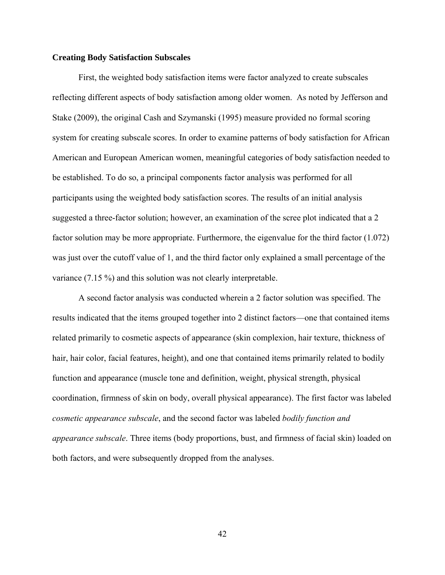### **Creating Body Satisfaction Subscales**

First, the weighted body satisfaction items were factor analyzed to create subscales reflecting different aspects of body satisfaction among older women. As noted by Jefferson and Stake (2009), the original Cash and Szymanski (1995) measure provided no formal scoring system for creating subscale scores. In order to examine patterns of body satisfaction for African American and European American women, meaningful categories of body satisfaction needed to be established. To do so, a principal components factor analysis was performed for all participants using the weighted body satisfaction scores. The results of an initial analysis suggested a three-factor solution; however, an examination of the scree plot indicated that a 2 factor solution may be more appropriate. Furthermore, the eigenvalue for the third factor (1.072) was just over the cutoff value of 1, and the third factor only explained a small percentage of the variance (7.15 %) and this solution was not clearly interpretable.

A second factor analysis was conducted wherein a 2 factor solution was specified. The results indicated that the items grouped together into 2 distinct factors—one that contained items related primarily to cosmetic aspects of appearance (skin complexion, hair texture, thickness of hair, hair color, facial features, height), and one that contained items primarily related to bodily function and appearance (muscle tone and definition, weight, physical strength, physical coordination, firmness of skin on body, overall physical appearance). The first factor was labeled *cosmetic appearance subscale*, and the second factor was labeled *bodily function and appearance subscale*. Three items (body proportions, bust, and firmness of facial skin) loaded on both factors, and were subsequently dropped from the analyses.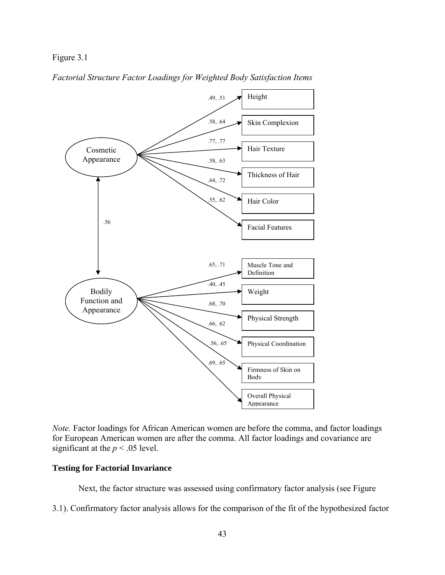### Figure 3.1





*Note.* Factor loadings for African American women are before the comma, and factor loadings for European American women are after the comma. All factor loadings and covariance are significant at the  $p < .05$  level.

### **Testing for Factorial Invariance**

Next, the factor structure was assessed using confirmatory factor analysis (see Figure

3.1). Confirmatory factor analysis allows for the comparison of the fit of the hypothesized factor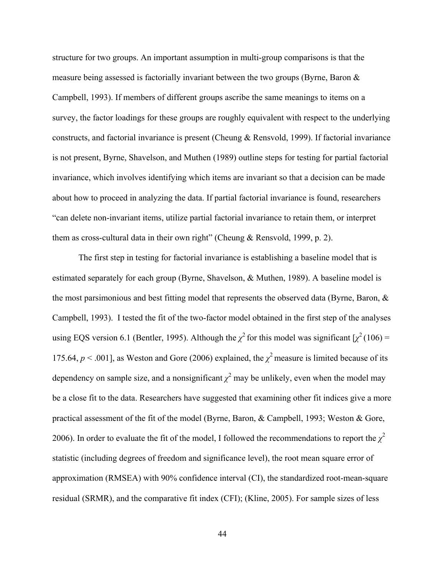structure for two groups. An important assumption in multi-group comparisons is that the measure being assessed is factorially invariant between the two groups (Byrne, Baron & Campbell, 1993). If members of different groups ascribe the same meanings to items on a survey, the factor loadings for these groups are roughly equivalent with respect to the underlying constructs, and factorial invariance is present (Cheung & Rensvold, 1999). If factorial invariance is not present, Byrne, Shavelson, and Muthen (1989) outline steps for testing for partial factorial invariance, which involves identifying which items are invariant so that a decision can be made about how to proceed in analyzing the data. If partial factorial invariance is found, researchers "can delete non-invariant items, utilize partial factorial invariance to retain them, or interpret them as cross-cultural data in their own right" (Cheung & Rensvold, 1999, p. 2).

 The first step in testing for factorial invariance is establishing a baseline model that is estimated separately for each group (Byrne, Shavelson, & Muthen, 1989). A baseline model is the most parsimonious and best fitting model that represents the observed data (Byrne, Baron, & Campbell, 1993). I tested the fit of the two-factor model obtained in the first step of the analyses using EQS version 6.1 (Bentler, 1995). Although the  $\chi^2$  for this model was significant  $\chi^2$  (106) = 175.64,  $p < .001$ ], as Weston and Gore (2006) explained, the  $\chi^2$  measure is limited because of its dependency on sample size, and a nonsignificant  $\chi^2$  may be unlikely, even when the model may be a close fit to the data. Researchers have suggested that examining other fit indices give a more practical assessment of the fit of the model (Byrne, Baron, & Campbell, 1993; Weston & Gore, 2006). In order to evaluate the fit of the model, I followed the recommendations to report the  $\chi^2$ statistic (including degrees of freedom and significance level), the root mean square error of approximation (RMSEA) with 90% confidence interval (CI), the standardized root-mean-square residual (SRMR), and the comparative fit index (CFI); (Kline, 2005). For sample sizes of less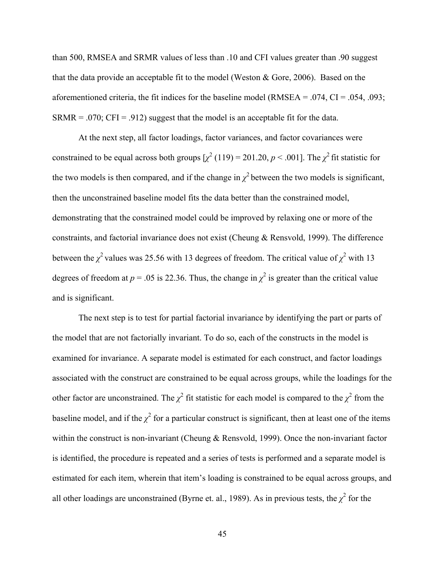than 500, RMSEA and SRMR values of less than .10 and CFI values greater than .90 suggest that the data provide an acceptable fit to the model (Weston & Gore, 2006). Based on the aforementioned criteria, the fit indices for the baseline model (RMSEA =  $.074$ , CI =  $.054$ ,  $.093$ ;  $SRMR = .070$ ;  $CFI = .912$ ) suggest that the model is an acceptable fit for the data.

 At the next step, all factor loadings, factor variances, and factor covariances were constrained to be equal across both groups  $\left[\chi^2(119) = 201.20, p \lt 0.001\right]$ . The  $\chi^2$  fit statistic for the two models is then compared, and if the change in  $\chi^2$  between the two models is significant, then the unconstrained baseline model fits the data better than the constrained model, demonstrating that the constrained model could be improved by relaxing one or more of the constraints, and factorial invariance does not exist (Cheung & Rensvold, 1999). The difference between the  $\chi^2$  values was 25.56 with 13 degrees of freedom. The critical value of  $\chi^2$  with 13 degrees of freedom at  $p = 0.05$  is 22.36. Thus, the change in  $\chi^2$  is greater than the critical value and is significant.

 The next step is to test for partial factorial invariance by identifying the part or parts of the model that are not factorially invariant. To do so, each of the constructs in the model is examined for invariance. A separate model is estimated for each construct, and factor loadings associated with the construct are constrained to be equal across groups, while the loadings for the other factor are unconstrained. The  $\chi^2$  fit statistic for each model is compared to the  $\chi^2$  from the baseline model, and if the  $\chi^2$  for a particular construct is significant, then at least one of the items within the construct is non-invariant (Cheung & Rensvold, 1999). Once the non-invariant factor is identified, the procedure is repeated and a series of tests is performed and a separate model is estimated for each item, wherein that item's loading is constrained to be equal across groups, and all other loadings are unconstrained (Byrne et. al., 1989). As in previous tests, the  $\chi^2$  for the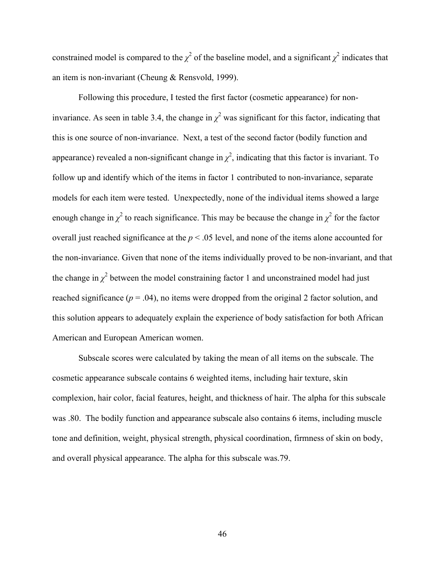constrained model is compared to the  $\chi^2$  of the baseline model, and a significant  $\chi^2$  indicates that an item is non-invariant (Cheung & Rensvold, 1999).

 Following this procedure, I tested the first factor (cosmetic appearance) for noninvariance. As seen in table 3.4, the change in  $\chi^2$  was significant for this factor, indicating that this is one source of non-invariance. Next, a test of the second factor (bodily function and appearance) revealed a non-significant change in  $\chi^2$ , indicating that this factor is invariant. To follow up and identify which of the items in factor 1 contributed to non-invariance, separate models for each item were tested. Unexpectedly, none of the individual items showed a large enough change in  $\chi^2$  to reach significance. This may be because the change in  $\chi^2$  for the factor overall just reached significance at the *p* < .05 level, and none of the items alone accounted for the non-invariance. Given that none of the items individually proved to be non-invariant, and that the change in  $\chi^2$  between the model constraining factor 1 and unconstrained model had just reached significance  $(p = .04)$ , no items were dropped from the original 2 factor solution, and this solution appears to adequately explain the experience of body satisfaction for both African American and European American women.

 Subscale scores were calculated by taking the mean of all items on the subscale. The cosmetic appearance subscale contains 6 weighted items, including hair texture, skin complexion, hair color, facial features, height, and thickness of hair. The alpha for this subscale was .80. The bodily function and appearance subscale also contains 6 items, including muscle tone and definition, weight, physical strength, physical coordination, firmness of skin on body, and overall physical appearance. The alpha for this subscale was.79.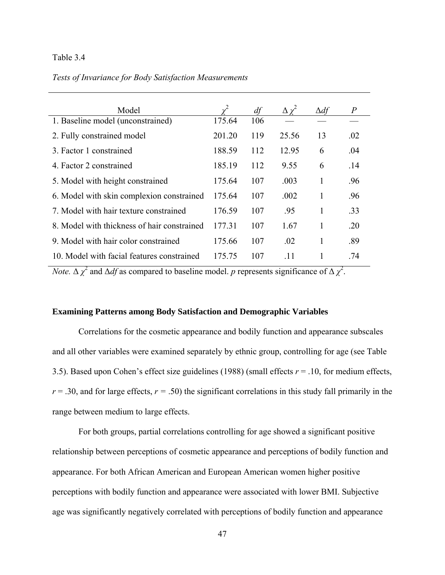### Table 3.4

*Tests of Invariance for Body Satisfaction Measurements*

| Model                                       |        | df  | $\Delta \chi^2$ | $\Delta df$ | $\overline{P}$ |
|---------------------------------------------|--------|-----|-----------------|-------------|----------------|
| 1. Baseline model (unconstrained)           | 175.64 | 106 |                 |             |                |
| 2. Fully constrained model                  | 201.20 | 119 | 25.56           | 13          | .02            |
| 3. Factor 1 constrained                     | 188.59 | 112 | 12.95           | 6           | .04            |
| 4. Factor 2 constrained                     | 185.19 | 112 | 9.55            | 6           | .14            |
| 5. Model with height constrained            | 175.64 | 107 | .003            | 1           | .96            |
| 6. Model with skin complexion constrained   | 175.64 | 107 | .002            | 1           | .96            |
| 7. Model with hair texture constrained      | 176.59 | 107 | .95             | 1           | .33            |
| 8. Model with thickness of hair constrained | 177.31 | 107 | 1.67            | 1           | .20            |
| 9. Model with hair color constrained        | 175.66 | 107 | .02             | 1           | .89            |
| 10. Model with facial features constrained  | 175.75 | 107 | -11             |             | .74            |

*Note.*  $\Delta \chi^2$  and  $\Delta df$  as compared to baseline model. *p* represents significance of  $\Delta \chi^2$ .

### **Examining Patterns among Body Satisfaction and Demographic Variables**

 Correlations for the cosmetic appearance and bodily function and appearance subscales and all other variables were examined separately by ethnic group, controlling for age (see Table 3.5). Based upon Cohen's effect size guidelines (1988) (small effects  $r = .10$ , for medium effects,  $r = .30$ , and for large effects,  $r = .50$ ) the significant correlations in this study fall primarily in the range between medium to large effects.

For both groups, partial correlations controlling for age showed a significant positive relationship between perceptions of cosmetic appearance and perceptions of bodily function and appearance. For both African American and European American women higher positive perceptions with bodily function and appearance were associated with lower BMI. Subjective age was significantly negatively correlated with perceptions of bodily function and appearance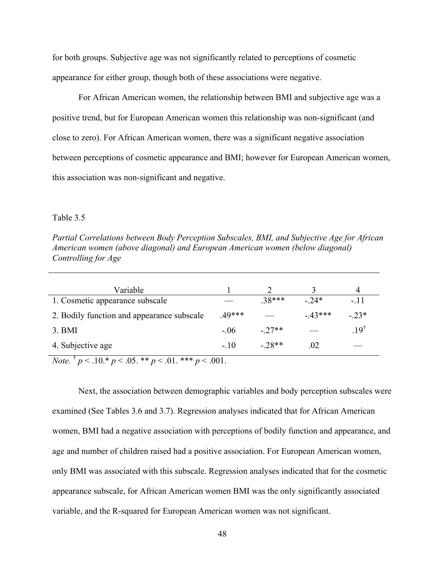for both groups. Subjective age was not significantly related to perceptions of cosmetic appearance for either group, though both of these associations were negative.

For African American women, the relationship between BMI and subjective age was a positive trend, but for European American women this relationship was non-significant (and close to zero). For African American women, there was a significant negative association between perceptions of cosmetic appearance and BMI; however for European American women, this association was non-significant and negative.

#### Table 3.5

*Partial Correlations between Body Perception Subscales, BMI, and Subjective Age for African American women (above diagonal) and European American women (below diagonal) Controlling for Age* 

| Variable                                   |       |         |          |                 |
|--------------------------------------------|-------|---------|----------|-----------------|
| 1. Cosmetic appearance subscale            |       | $38***$ | $-24*$   | $-11$           |
| 2. Bodily function and appearance subscale | 49*** |         | $-43***$ | $-23*$          |
| 3. <b>BMI</b>                              | - 06  | $-27**$ |          | $.19^{\dagger}$ |
| 4. Subjective age                          | $-10$ | $-28**$ | .02      |                 |

*Note.*  $\frac{1}{p}$   $p < .10.* p < .05.** p < .01.*** p < .001$ .

Next, the association between demographic variables and body perception subscales were examined (See Tables 3.6 and 3.7). Regression analyses indicated that for African American women, BMI had a negative association with perceptions of bodily function and appearance, and age and number of children raised had a positive association. For European American women, only BMI was associated with this subscale. Regression analyses indicated that for the cosmetic appearance subscale, for African American women BMI was the only significantly associated variable, and the R-squared for European American women was not significant.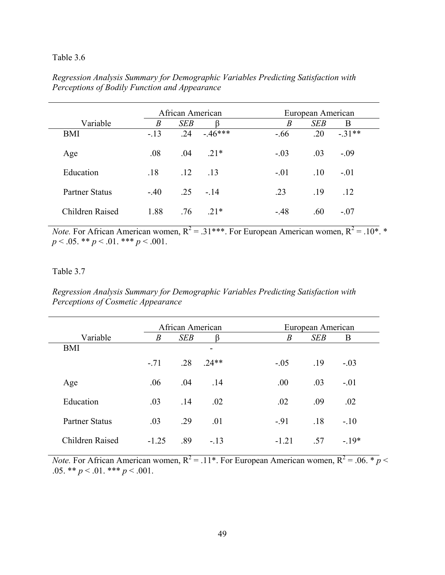### Table 3.6

*Regression Analysis Summary for Demographic Variables Predicting Satisfaction with Perceptions of Bodily Function and Appearance* 

|                       | African American |            |             |        |                  | European American |         |
|-----------------------|------------------|------------|-------------|--------|------------------|-------------------|---------|
| Variable              | $\boldsymbol{B}$ | <b>SEB</b> |             |        | $\boldsymbol{B}$ | <b>SEB</b>        | B       |
| <b>BMI</b>            | $-.13$           | .24        | $-46***$    | $-.66$ |                  | .20               | $-31**$ |
| Age                   | .08              | .04        | $21*$       | $-.03$ |                  | .03               | $-.09$  |
| Education             | .18              | .12        | - 13        | $-.01$ |                  | .10               | $-.01$  |
| <b>Partner Status</b> | $-.40$           |            | $.25 - .14$ | .23    |                  | .19               | .12     |
| Children Raised       | 1.88             | .76        | $21*$       | $-.48$ |                  | .60               | $-.07$  |

*Note.* For African American women,  $R^2 = .31***$ . For European American women,  $R^2 = .10*$ . \* *p* < .05. \*\* *p* < .01. \*\*\* *p* < .001.

### Table 3.7

*Regression Analysis Summary for Demographic Variables Predicting Satisfaction with Perceptions of Cosmetic Appearance* 

|                       | African American |            |         |                  | European American |        |  |
|-----------------------|------------------|------------|---------|------------------|-------------------|--------|--|
| Variable              | $\boldsymbol{B}$ | <b>SEB</b> |         | $\boldsymbol{B}$ | <b>SEB</b>        | B      |  |
| <b>BMI</b>            |                  |            | -       |                  |                   |        |  |
|                       | $-.71$           | .28        | $.24**$ | $-.05$           | .19               | $-.03$ |  |
| Age                   | .06              | .04        | .14     | .00.             | .03               | $-.01$ |  |
| Education             | .03              | .14        | .02     | .02              | .09               | .02    |  |
| <b>Partner Status</b> | .03              | .29        | .01     | $-91$            | .18               | $-.10$ |  |
| Children Raised       | $-1.25$          | .89        | $-.13$  | $-1.21$          | .57               | $-19*$ |  |

*Note.* For African American women,  $R^2 = .11^*$ . For European American women,  $R^2 = .06$ .  $\frac{1}{\epsilon}p <$ .05. \*\*  $p < .01$ . \*\*\*  $p < .001$ .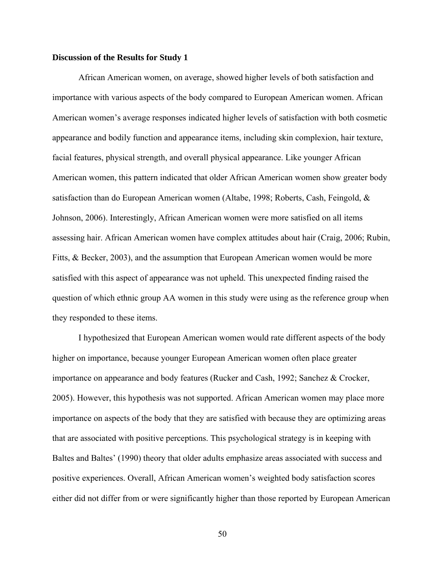#### **Discussion of the Results for Study 1**

African American women, on average, showed higher levels of both satisfaction and importance with various aspects of the body compared to European American women. African American women's average responses indicated higher levels of satisfaction with both cosmetic appearance and bodily function and appearance items, including skin complexion, hair texture, facial features, physical strength, and overall physical appearance. Like younger African American women, this pattern indicated that older African American women show greater body satisfaction than do European American women (Altabe, 1998; Roberts, Cash, Feingold, & Johnson, 2006). Interestingly, African American women were more satisfied on all items assessing hair. African American women have complex attitudes about hair (Craig, 2006; Rubin, Fitts, & Becker, 2003), and the assumption that European American women would be more satisfied with this aspect of appearance was not upheld. This unexpected finding raised the question of which ethnic group AA women in this study were using as the reference group when they responded to these items.

I hypothesized that European American women would rate different aspects of the body higher on importance, because younger European American women often place greater importance on appearance and body features (Rucker and Cash, 1992; Sanchez & Crocker, 2005). However, this hypothesis was not supported. African American women may place more importance on aspects of the body that they are satisfied with because they are optimizing areas that are associated with positive perceptions. This psychological strategy is in keeping with Baltes and Baltes' (1990) theory that older adults emphasize areas associated with success and positive experiences. Overall, African American women's weighted body satisfaction scores either did not differ from or were significantly higher than those reported by European American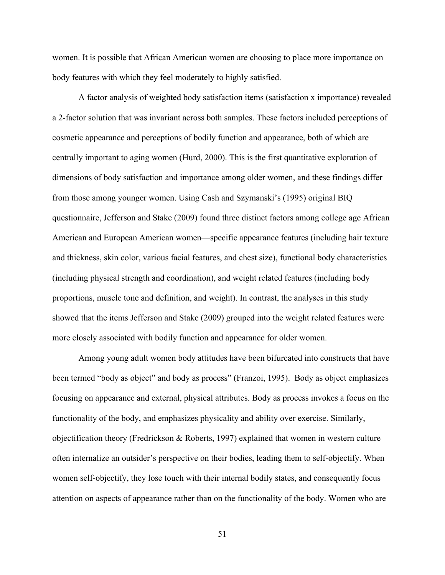women. It is possible that African American women are choosing to place more importance on body features with which they feel moderately to highly satisfied.

A factor analysis of weighted body satisfaction items (satisfaction x importance) revealed a 2-factor solution that was invariant across both samples. These factors included perceptions of cosmetic appearance and perceptions of bodily function and appearance, both of which are centrally important to aging women (Hurd, 2000). This is the first quantitative exploration of dimensions of body satisfaction and importance among older women, and these findings differ from those among younger women. Using Cash and Szymanski's (1995) original BIQ questionnaire, Jefferson and Stake (2009) found three distinct factors among college age African American and European American women—specific appearance features (including hair texture and thickness, skin color, various facial features, and chest size), functional body characteristics (including physical strength and coordination), and weight related features (including body proportions, muscle tone and definition, and weight). In contrast, the analyses in this study showed that the items Jefferson and Stake (2009) grouped into the weight related features were more closely associated with bodily function and appearance for older women.

Among young adult women body attitudes have been bifurcated into constructs that have been termed "body as object" and body as process" (Franzoi, 1995). Body as object emphasizes focusing on appearance and external, physical attributes. Body as process invokes a focus on the functionality of the body, and emphasizes physicality and ability over exercise. Similarly, objectification theory (Fredrickson & Roberts, 1997) explained that women in western culture often internalize an outsider's perspective on their bodies, leading them to self-objectify. When women self-objectify, they lose touch with their internal bodily states, and consequently focus attention on aspects of appearance rather than on the functionality of the body. Women who are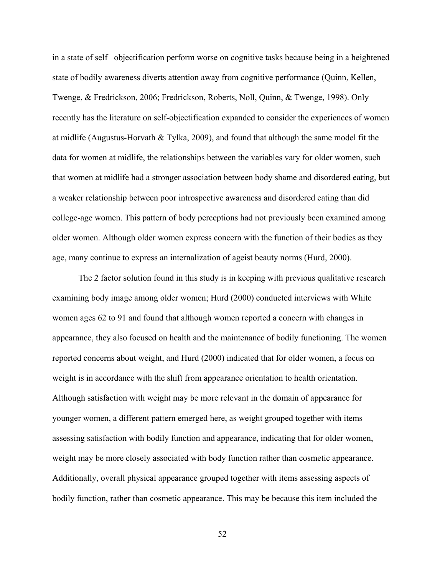in a state of self –objectification perform worse on cognitive tasks because being in a heightened state of bodily awareness diverts attention away from cognitive performance (Quinn, Kellen, Twenge, & Fredrickson, 2006; Fredrickson, Roberts, Noll, Quinn, & Twenge, 1998). Only recently has the literature on self-objectification expanded to consider the experiences of women at midlife (Augustus-Horvath  $\&$  Tylka, 2009), and found that although the same model fit the data for women at midlife, the relationships between the variables vary for older women, such that women at midlife had a stronger association between body shame and disordered eating, but a weaker relationship between poor introspective awareness and disordered eating than did college-age women. This pattern of body perceptions had not previously been examined among older women. Although older women express concern with the function of their bodies as they age, many continue to express an internalization of ageist beauty norms (Hurd, 2000).

The 2 factor solution found in this study is in keeping with previous qualitative research examining body image among older women; Hurd (2000) conducted interviews with White women ages 62 to 91 and found that although women reported a concern with changes in appearance, they also focused on health and the maintenance of bodily functioning. The women reported concerns about weight, and Hurd (2000) indicated that for older women, a focus on weight is in accordance with the shift from appearance orientation to health orientation. Although satisfaction with weight may be more relevant in the domain of appearance for younger women, a different pattern emerged here, as weight grouped together with items assessing satisfaction with bodily function and appearance, indicating that for older women, weight may be more closely associated with body function rather than cosmetic appearance. Additionally, overall physical appearance grouped together with items assessing aspects of bodily function, rather than cosmetic appearance. This may be because this item included the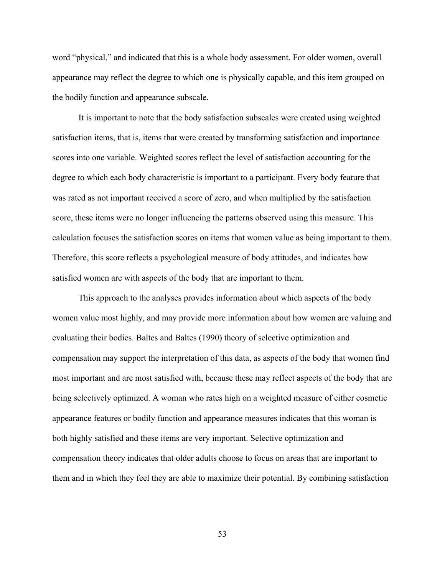word "physical," and indicated that this is a whole body assessment. For older women, overall appearance may reflect the degree to which one is physically capable, and this item grouped on the bodily function and appearance subscale.

It is important to note that the body satisfaction subscales were created using weighted satisfaction items, that is, items that were created by transforming satisfaction and importance scores into one variable. Weighted scores reflect the level of satisfaction accounting for the degree to which each body characteristic is important to a participant. Every body feature that was rated as not important received a score of zero, and when multiplied by the satisfaction score, these items were no longer influencing the patterns observed using this measure. This calculation focuses the satisfaction scores on items that women value as being important to them. Therefore, this score reflects a psychological measure of body attitudes, and indicates how satisfied women are with aspects of the body that are important to them.

This approach to the analyses provides information about which aspects of the body women value most highly, and may provide more information about how women are valuing and evaluating their bodies. Baltes and Baltes (1990) theory of selective optimization and compensation may support the interpretation of this data, as aspects of the body that women find most important and are most satisfied with, because these may reflect aspects of the body that are being selectively optimized. A woman who rates high on a weighted measure of either cosmetic appearance features or bodily function and appearance measures indicates that this woman is both highly satisfied and these items are very important. Selective optimization and compensation theory indicates that older adults choose to focus on areas that are important to them and in which they feel they are able to maximize their potential. By combining satisfaction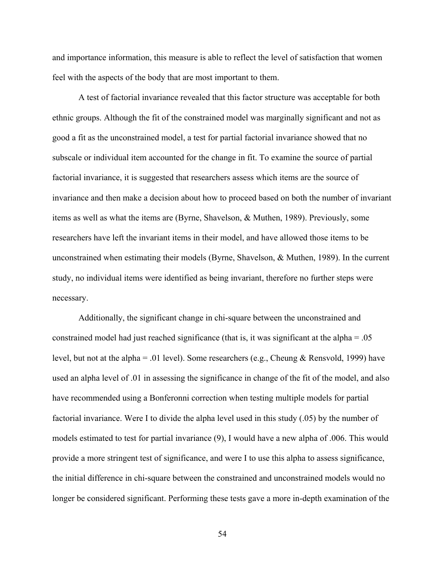and importance information, this measure is able to reflect the level of satisfaction that women feel with the aspects of the body that are most important to them.

A test of factorial invariance revealed that this factor structure was acceptable for both ethnic groups. Although the fit of the constrained model was marginally significant and not as good a fit as the unconstrained model, a test for partial factorial invariance showed that no subscale or individual item accounted for the change in fit. To examine the source of partial factorial invariance, it is suggested that researchers assess which items are the source of invariance and then make a decision about how to proceed based on both the number of invariant items as well as what the items are (Byrne, Shavelson, & Muthen, 1989). Previously, some researchers have left the invariant items in their model, and have allowed those items to be unconstrained when estimating their models (Byrne, Shavelson, & Muthen, 1989). In the current study, no individual items were identified as being invariant, therefore no further steps were necessary.

Additionally, the significant change in chi-square between the unconstrained and constrained model had just reached significance (that is, it was significant at the alpha  $= .05$ ) level, but not at the alpha = .01 level). Some researchers (e.g., Cheung & Rensvold, 1999) have used an alpha level of .01 in assessing the significance in change of the fit of the model, and also have recommended using a Bonferonni correction when testing multiple models for partial factorial invariance. Were I to divide the alpha level used in this study (.05) by the number of models estimated to test for partial invariance (9), I would have a new alpha of .006. This would provide a more stringent test of significance, and were I to use this alpha to assess significance, the initial difference in chi-square between the constrained and unconstrained models would no longer be considered significant. Performing these tests gave a more in-depth examination of the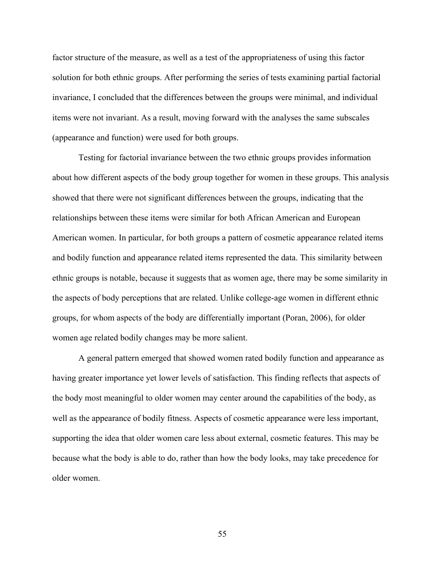factor structure of the measure, as well as a test of the appropriateness of using this factor solution for both ethnic groups. After performing the series of tests examining partial factorial invariance, I concluded that the differences between the groups were minimal, and individual items were not invariant. As a result, moving forward with the analyses the same subscales (appearance and function) were used for both groups.

 Testing for factorial invariance between the two ethnic groups provides information about how different aspects of the body group together for women in these groups. This analysis showed that there were not significant differences between the groups, indicating that the relationships between these items were similar for both African American and European American women. In particular, for both groups a pattern of cosmetic appearance related items and bodily function and appearance related items represented the data. This similarity between ethnic groups is notable, because it suggests that as women age, there may be some similarity in the aspects of body perceptions that are related. Unlike college-age women in different ethnic groups, for whom aspects of the body are differentially important (Poran, 2006), for older women age related bodily changes may be more salient.

 A general pattern emerged that showed women rated bodily function and appearance as having greater importance yet lower levels of satisfaction. This finding reflects that aspects of the body most meaningful to older women may center around the capabilities of the body, as well as the appearance of bodily fitness. Aspects of cosmetic appearance were less important, supporting the idea that older women care less about external, cosmetic features. This may be because what the body is able to do, rather than how the body looks, may take precedence for older women.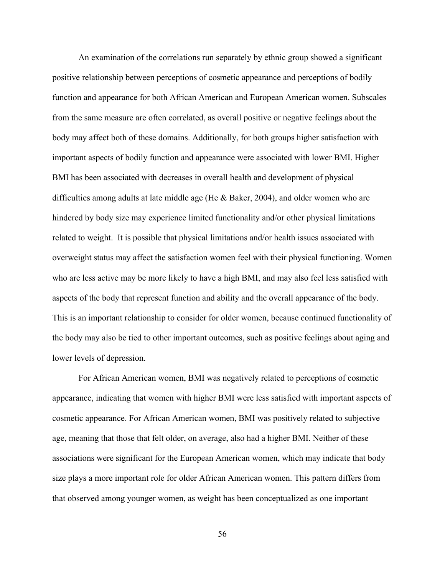An examination of the correlations run separately by ethnic group showed a significant positive relationship between perceptions of cosmetic appearance and perceptions of bodily function and appearance for both African American and European American women. Subscales from the same measure are often correlated, as overall positive or negative feelings about the body may affect both of these domains. Additionally, for both groups higher satisfaction with important aspects of bodily function and appearance were associated with lower BMI. Higher BMI has been associated with decreases in overall health and development of physical difficulties among adults at late middle age (He & Baker, 2004), and older women who are hindered by body size may experience limited functionality and/or other physical limitations related to weight. It is possible that physical limitations and/or health issues associated with overweight status may affect the satisfaction women feel with their physical functioning. Women who are less active may be more likely to have a high BMI, and may also feel less satisfied with aspects of the body that represent function and ability and the overall appearance of the body. This is an important relationship to consider for older women, because continued functionality of the body may also be tied to other important outcomes, such as positive feelings about aging and lower levels of depression.

 For African American women, BMI was negatively related to perceptions of cosmetic appearance, indicating that women with higher BMI were less satisfied with important aspects of cosmetic appearance. For African American women, BMI was positively related to subjective age, meaning that those that felt older, on average, also had a higher BMI. Neither of these associations were significant for the European American women, which may indicate that body size plays a more important role for older African American women. This pattern differs from that observed among younger women, as weight has been conceptualized as one important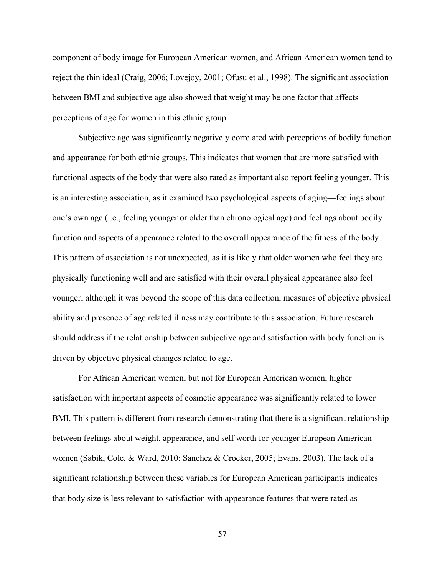component of body image for European American women, and African American women tend to reject the thin ideal (Craig, 2006; Lovejoy, 2001; Ofusu et al., 1998). The significant association between BMI and subjective age also showed that weight may be one factor that affects perceptions of age for women in this ethnic group.

Subjective age was significantly negatively correlated with perceptions of bodily function and appearance for both ethnic groups. This indicates that women that are more satisfied with functional aspects of the body that were also rated as important also report feeling younger. This is an interesting association, as it examined two psychological aspects of aging—feelings about one's own age (i.e., feeling younger or older than chronological age) and feelings about bodily function and aspects of appearance related to the overall appearance of the fitness of the body. This pattern of association is not unexpected, as it is likely that older women who feel they are physically functioning well and are satisfied with their overall physical appearance also feel younger; although it was beyond the scope of this data collection, measures of objective physical ability and presence of age related illness may contribute to this association. Future research should address if the relationship between subjective age and satisfaction with body function is driven by objective physical changes related to age.

For African American women, but not for European American women, higher satisfaction with important aspects of cosmetic appearance was significantly related to lower BMI. This pattern is different from research demonstrating that there is a significant relationship between feelings about weight, appearance, and self worth for younger European American women (Sabik, Cole, & Ward, 2010; Sanchez & Crocker, 2005; Evans, 2003). The lack of a significant relationship between these variables for European American participants indicates that body size is less relevant to satisfaction with appearance features that were rated as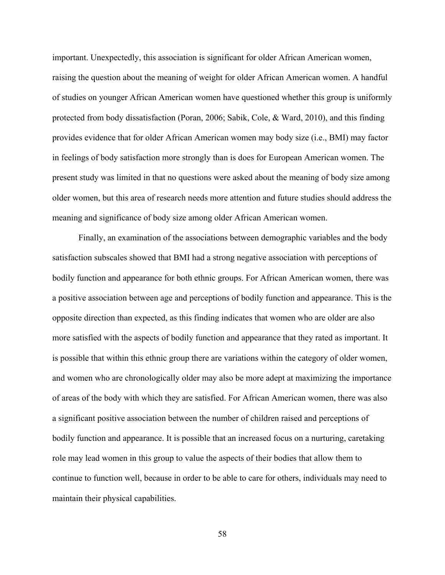important. Unexpectedly, this association is significant for older African American women, raising the question about the meaning of weight for older African American women. A handful of studies on younger African American women have questioned whether this group is uniformly protected from body dissatisfaction (Poran, 2006; Sabik, Cole, & Ward, 2010), and this finding provides evidence that for older African American women may body size (i.e., BMI) may factor in feelings of body satisfaction more strongly than is does for European American women. The present study was limited in that no questions were asked about the meaning of body size among older women, but this area of research needs more attention and future studies should address the meaning and significance of body size among older African American women.

 Finally, an examination of the associations between demographic variables and the body satisfaction subscales showed that BMI had a strong negative association with perceptions of bodily function and appearance for both ethnic groups. For African American women, there was a positive association between age and perceptions of bodily function and appearance. This is the opposite direction than expected, as this finding indicates that women who are older are also more satisfied with the aspects of bodily function and appearance that they rated as important. It is possible that within this ethnic group there are variations within the category of older women, and women who are chronologically older may also be more adept at maximizing the importance of areas of the body with which they are satisfied. For African American women, there was also a significant positive association between the number of children raised and perceptions of bodily function and appearance. It is possible that an increased focus on a nurturing, caretaking role may lead women in this group to value the aspects of their bodies that allow them to continue to function well, because in order to be able to care for others, individuals may need to maintain their physical capabilities.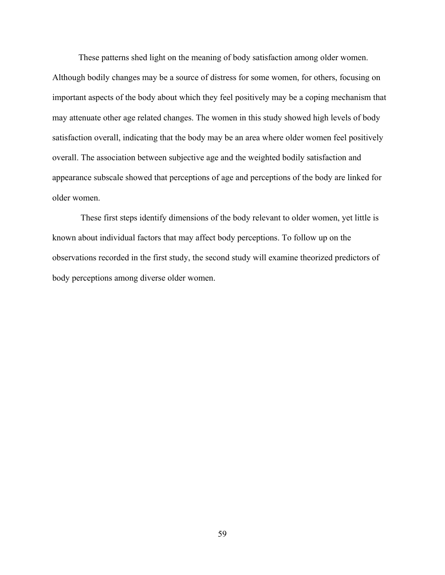These patterns shed light on the meaning of body satisfaction among older women. Although bodily changes may be a source of distress for some women, for others, focusing on important aspects of the body about which they feel positively may be a coping mechanism that may attenuate other age related changes. The women in this study showed high levels of body satisfaction overall, indicating that the body may be an area where older women feel positively overall. The association between subjective age and the weighted bodily satisfaction and appearance subscale showed that perceptions of age and perceptions of the body are linked for older women.

 These first steps identify dimensions of the body relevant to older women, yet little is known about individual factors that may affect body perceptions. To follow up on the observations recorded in the first study, the second study will examine theorized predictors of body perceptions among diverse older women.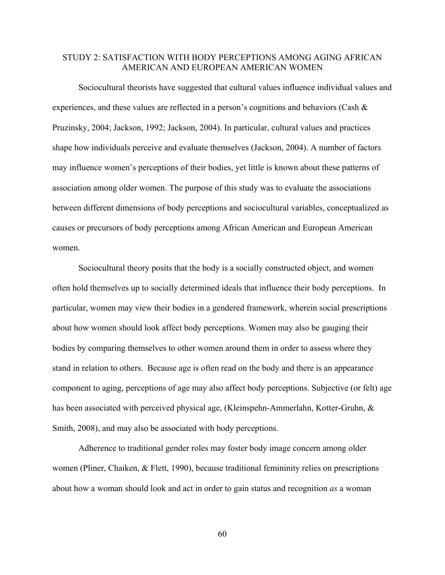# STUDY 2: SATISFACTION WITH BODY PERCEPTIONS AMONG AGING AFRICAN AMERICAN AND EUROPEAN AMERICAN WOMEN

Sociocultural theorists have suggested that cultural values influence individual values and experiences, and these values are reflected in a person's cognitions and behaviors (Cash & Pruzinsky, 2004; Jackson, 1992; Jackson, 2004). In particular, cultural values and practices shape how individuals perceive and evaluate themselves (Jackson, 2004). A number of factors may influence women's perceptions of their bodies, yet little is known about these patterns of association among older women. The purpose of this study was to evaluate the associations between different dimensions of body perceptions and sociocultural variables, conceptualized as causes or precursors of body perceptions among African American and European American women.

Sociocultural theory posits that the body is a socially constructed object, and women often hold themselves up to socially determined ideals that influence their body perceptions. In particular, women may view their bodies in a gendered framework, wherein social prescriptions about how women should look affect body perceptions. Women may also be gauging their bodies by comparing themselves to other women around them in order to assess where they stand in relation to others. Because age is often read on the body and there is an appearance component to aging, perceptions of age may also affect body perceptions. Subjective (or felt) age has been associated with perceived physical age, (Kleinspehn-Ammerlahn, Kotter-Gruhn, & Smith, 2008), and may also be associated with body perceptions.

Adherence to traditional gender roles may foster body image concern among older women (Pliner, Chaiken, & Flett, 1990), because traditional femininity relies on prescriptions about how a woman should look and act in order to gain status and recognition *as* a woman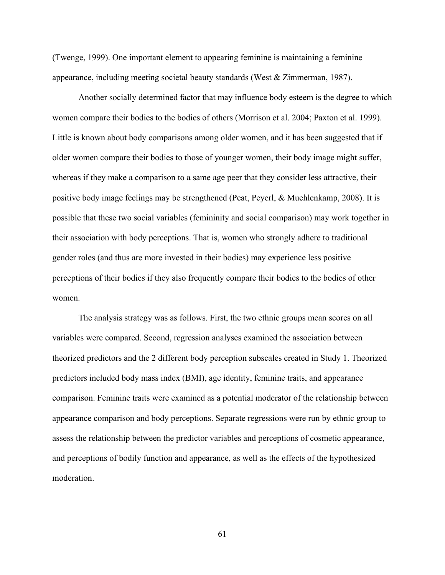(Twenge, 1999). One important element to appearing feminine is maintaining a feminine appearance, including meeting societal beauty standards (West & Zimmerman, 1987).

Another socially determined factor that may influence body esteem is the degree to which women compare their bodies to the bodies of others (Morrison et al. 2004; Paxton et al. 1999). Little is known about body comparisons among older women, and it has been suggested that if older women compare their bodies to those of younger women, their body image might suffer, whereas if they make a comparison to a same age peer that they consider less attractive, their positive body image feelings may be strengthened (Peat, Peyerl, & Muehlenkamp, 2008). It is possible that these two social variables (femininity and social comparison) may work together in their association with body perceptions. That is, women who strongly adhere to traditional gender roles (and thus are more invested in their bodies) may experience less positive perceptions of their bodies if they also frequently compare their bodies to the bodies of other women.

The analysis strategy was as follows. First, the two ethnic groups mean scores on all variables were compared. Second, regression analyses examined the association between theorized predictors and the 2 different body perception subscales created in Study 1. Theorized predictors included body mass index (BMI), age identity, feminine traits, and appearance comparison. Feminine traits were examined as a potential moderator of the relationship between appearance comparison and body perceptions. Separate regressions were run by ethnic group to assess the relationship between the predictor variables and perceptions of cosmetic appearance, and perceptions of bodily function and appearance, as well as the effects of the hypothesized moderation.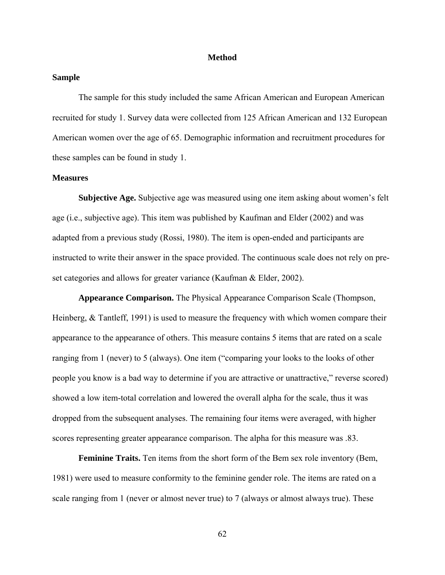#### **Method**

## **Sample**

The sample for this study included the same African American and European American recruited for study 1. Survey data were collected from 125 African American and 132 European American women over the age of 65. Demographic information and recruitment procedures for these samples can be found in study 1.

#### **Measures**

**Subjective Age.** Subjective age was measured using one item asking about women's felt age (i.e., subjective age). This item was published by Kaufman and Elder (2002) and was adapted from a previous study (Rossi, 1980). The item is open-ended and participants are instructed to write their answer in the space provided. The continuous scale does not rely on preset categories and allows for greater variance (Kaufman & Elder, 2002).

**Appearance Comparison.** The Physical Appearance Comparison Scale (Thompson, Heinberg, & Tantleff, 1991) is used to measure the frequency with which women compare their appearance to the appearance of others. This measure contains 5 items that are rated on a scale ranging from 1 (never) to 5 (always). One item ("comparing your looks to the looks of other people you know is a bad way to determine if you are attractive or unattractive," reverse scored) showed a low item-total correlation and lowered the overall alpha for the scale, thus it was dropped from the subsequent analyses. The remaining four items were averaged, with higher scores representing greater appearance comparison. The alpha for this measure was .83.

**Feminine Traits.** Ten items from the short form of the Bem sex role inventory (Bem, 1981) were used to measure conformity to the feminine gender role. The items are rated on a scale ranging from 1 (never or almost never true) to 7 (always or almost always true). These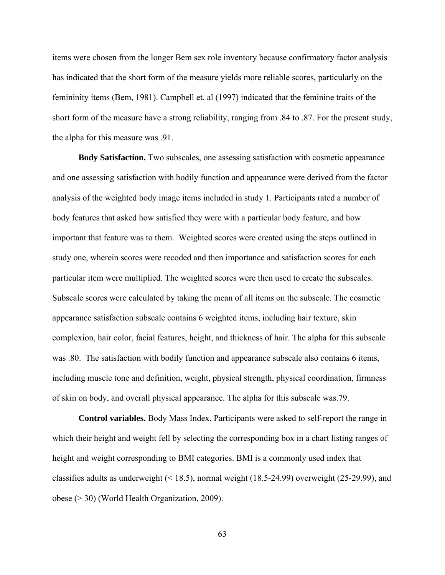items were chosen from the longer Bem sex role inventory because confirmatory factor analysis has indicated that the short form of the measure yields more reliable scores, particularly on the femininity items (Bem, 1981). Campbell et. al (1997) indicated that the feminine traits of the short form of the measure have a strong reliability, ranging from .84 to .87. For the present study, the alpha for this measure was .91.

**Body Satisfaction.** Two subscales, one assessing satisfaction with cosmetic appearance and one assessing satisfaction with bodily function and appearance were derived from the factor analysis of the weighted body image items included in study 1. Participants rated a number of body features that asked how satisfied they were with a particular body feature, and how important that feature was to them. Weighted scores were created using the steps outlined in study one, wherein scores were recoded and then importance and satisfaction scores for each particular item were multiplied. The weighted scores were then used to create the subscales. Subscale scores were calculated by taking the mean of all items on the subscale. The cosmetic appearance satisfaction subscale contains 6 weighted items, including hair texture, skin complexion, hair color, facial features, height, and thickness of hair. The alpha for this subscale was .80. The satisfaction with bodily function and appearance subscale also contains 6 items, including muscle tone and definition, weight, physical strength, physical coordination, firmness of skin on body, and overall physical appearance. The alpha for this subscale was.79.

**Control variables.** Body Mass Index. Participants were asked to self-report the range in which their height and weight fell by selecting the corresponding box in a chart listing ranges of height and weight corresponding to BMI categories. BMI is a commonly used index that classifies adults as underweight (< 18.5), normal weight (18.5-24.99) overweight (25-29.99), and obese (> 30) (World Health Organization, 2009).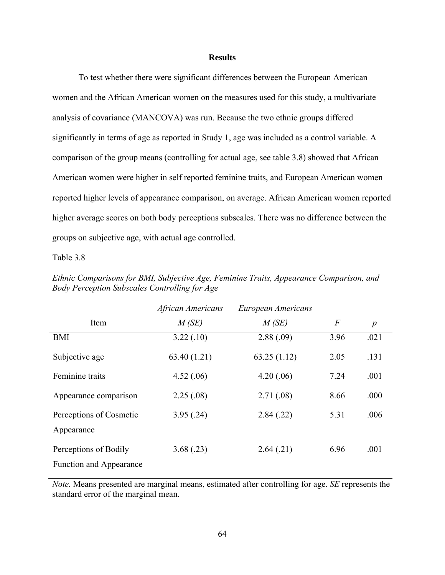## **Results**

To test whether there were significant differences between the European American women and the African American women on the measures used for this study, a multivariate analysis of covariance (MANCOVA) was run. Because the two ethnic groups differed significantly in terms of age as reported in Study 1, age was included as a control variable. A comparison of the group means (controlling for actual age, see table 3.8) showed that African American women were higher in self reported feminine traits, and European American women reported higher levels of appearance comparison, on average. African American women reported higher average scores on both body perceptions subscales. There was no difference between the groups on subjective age, with actual age controlled.

#### Table 3.8

|                                | African Americans | European Americans |                |                  |
|--------------------------------|-------------------|--------------------|----------------|------------------|
| Item                           | M(SE)             | M(SE)              | $\overline{F}$ | $\boldsymbol{p}$ |
| <b>BMI</b>                     | 3.22(.10)         | 2.88(.09)          | 3.96           | .021             |
| Subjective age                 | 63.40 (1.21)      | 63.25(1.12)        | 2.05           | .131             |
| Feminine traits                | 4.52(.06)         | 4.20(.06)          | 7.24           | .001             |
| Appearance comparison          | 2.25(.08)         | 2.71(.08)          | 8.66           | .000             |
| Perceptions of Cosmetic        | 3.95(.24)         | 2.84(.22)          | 5.31           | .006             |
| Appearance                     |                   |                    |                |                  |
| Perceptions of Bodily          | 3.68(.23)         | 2.64(.21)          | 6.96           | .001             |
| <b>Function and Appearance</b> |                   |                    |                |                  |

*Ethnic Comparisons for BMI, Subjective Age, Feminine Traits, Appearance Comparison, and Body Perception Subscales Controlling for Age* 

*Note.* Means presented are marginal means, estimated after controlling for age. *SE* represents the standard error of the marginal mean.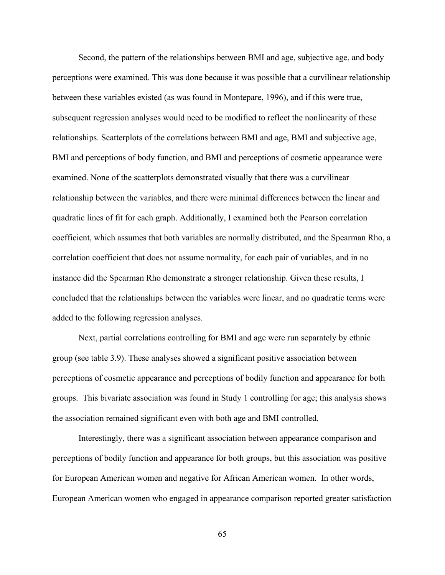Second, the pattern of the relationships between BMI and age, subjective age, and body perceptions were examined. This was done because it was possible that a curvilinear relationship between these variables existed (as was found in Montepare, 1996), and if this were true, subsequent regression analyses would need to be modified to reflect the nonlinearity of these relationships. Scatterplots of the correlations between BMI and age, BMI and subjective age, BMI and perceptions of body function, and BMI and perceptions of cosmetic appearance were examined. None of the scatterplots demonstrated visually that there was a curvilinear relationship between the variables, and there were minimal differences between the linear and quadratic lines of fit for each graph. Additionally, I examined both the Pearson correlation coefficient, which assumes that both variables are normally distributed, and the Spearman Rho, a correlation coefficient that does not assume normality, for each pair of variables, and in no instance did the Spearman Rho demonstrate a stronger relationship. Given these results, I concluded that the relationships between the variables were linear, and no quadratic terms were added to the following regression analyses.

 Next, partial correlations controlling for BMI and age were run separately by ethnic group (see table 3.9). These analyses showed a significant positive association between perceptions of cosmetic appearance and perceptions of bodily function and appearance for both groups. This bivariate association was found in Study 1 controlling for age; this analysis shows the association remained significant even with both age and BMI controlled.

Interestingly, there was a significant association between appearance comparison and perceptions of bodily function and appearance for both groups, but this association was positive for European American women and negative for African American women. In other words, European American women who engaged in appearance comparison reported greater satisfaction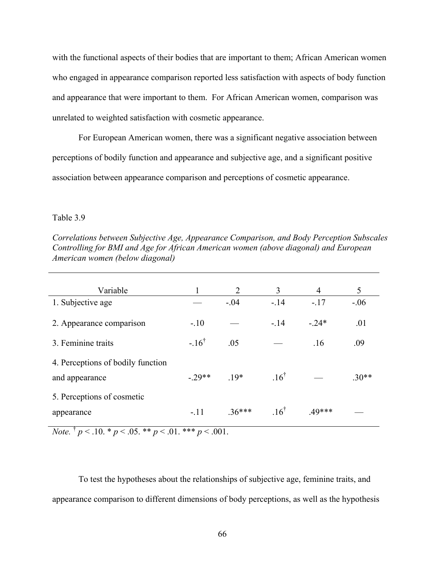with the functional aspects of their bodies that are important to them; African American women who engaged in appearance comparison reported less satisfaction with aspects of body function and appearance that were important to them. For African American women, comparison was unrelated to weighted satisfaction with cosmetic appearance.

For European American women, there was a significant negative association between perceptions of bodily function and appearance and subjective age, and a significant positive association between appearance comparison and perceptions of cosmetic appearance.

### Table 3.9

| Variable                                            |                 | $\overline{2}$ | 3               | $\overline{4}$ | 5       |
|-----------------------------------------------------|-----------------|----------------|-----------------|----------------|---------|
| 1. Subjective age                                   |                 | $-.04$         | $-.14$          | $-.17$         | $-.06$  |
| 2. Appearance comparison                            | $-.10$          |                | $-.14$          | $-24*$         | .01     |
| 3. Feminine traits                                  | $-16^{\dagger}$ | .05            |                 | .16            | .09     |
| 4. Perceptions of bodily function<br>and appearance | $-29**$         | $19*$          | $16^{\dagger}$  |                | $.30**$ |
| 5. Perceptions of cosmetic<br>appearance            | $-.11$          | $.36***$       | $.16^{\dagger}$ | $.49***$       |         |

*Correlations between Subjective Age, Appearance Comparison, and Body Perception Subscales Controlling for BMI and Age for African American women (above diagonal) and European American women (below diagonal)* 

*Note.* <sup>†</sup>  $p < .10.$  \*  $p < .05.$  \*\*  $p < .01.$  \*\*\*  $p < .001.$ 

 To test the hypotheses about the relationships of subjective age, feminine traits, and appearance comparison to different dimensions of body perceptions, as well as the hypothesis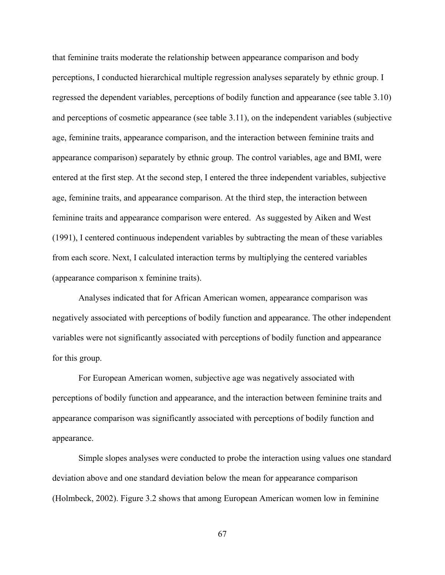that feminine traits moderate the relationship between appearance comparison and body perceptions, I conducted hierarchical multiple regression analyses separately by ethnic group. I regressed the dependent variables, perceptions of bodily function and appearance (see table 3.10) and perceptions of cosmetic appearance (see table 3.11), on the independent variables (subjective age, feminine traits, appearance comparison, and the interaction between feminine traits and appearance comparison) separately by ethnic group. The control variables, age and BMI, were entered at the first step. At the second step, I entered the three independent variables, subjective age, feminine traits, and appearance comparison. At the third step, the interaction between feminine traits and appearance comparison were entered. As suggested by Aiken and West (1991), I centered continuous independent variables by subtracting the mean of these variables from each score. Next, I calculated interaction terms by multiplying the centered variables (appearance comparison x feminine traits).

Analyses indicated that for African American women, appearance comparison was negatively associated with perceptions of bodily function and appearance. The other independent variables were not significantly associated with perceptions of bodily function and appearance for this group.

For European American women, subjective age was negatively associated with perceptions of bodily function and appearance, and the interaction between feminine traits and appearance comparison was significantly associated with perceptions of bodily function and appearance.

Simple slopes analyses were conducted to probe the interaction using values one standard deviation above and one standard deviation below the mean for appearance comparison (Holmbeck, 2002). Figure 3.2 shows that among European American women low in feminine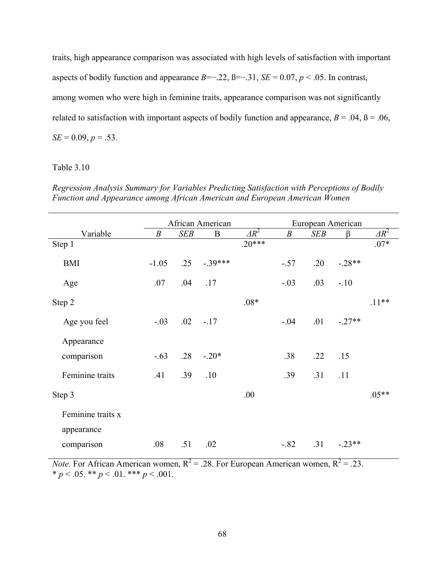traits, high appearance comparison was associated with high levels of satisfaction with important aspects of bodily function and appearance  $B=-.22$ ,  $B=-.31$ ,  $SE = 0.07$ ,  $p < .05$ . In contrast, among women who were high in feminine traits, appearance comparison was not significantly related to satisfaction with important aspects of bodily function and appearance,  $B = .04$ ,  $B = .06$ ,  $SE = 0.09, p = .53$ .

# Table 3.10

*Regression Analysis Summary for Variables Predicting Satisfaction with Perceptions of Bodily Function and Appearance among African American and European American Women* 

|                   | African American |            |                  | European American |                  |            |          |              |
|-------------------|------------------|------------|------------------|-------------------|------------------|------------|----------|--------------|
| Variable          | $\boldsymbol{B}$ | <b>SEB</b> | $\boldsymbol{B}$ | $\Delta R^2$      | $\boldsymbol{B}$ | <b>SEB</b> | $\beta$  | $\Delta R^2$ |
| Step 1            |                  |            |                  | $.20***$          |                  |            |          | $.07*$       |
| <b>BMI</b>        | $-1.05$          | .25        | $-.39***$        |                   | $-.57$           | .20        | $-.28**$ |              |
| Age               | .07              | .04        | .17              |                   | $-.03$           | .03        | $-.10$   |              |
| Step 2            |                  |            |                  | $.08*$            |                  |            |          | $.11**$      |
| Age you feel      | $-.03$           |            | $.02 - .17$      |                   | $-.04$           | .01        | $-.27**$ |              |
| Appearance        |                  |            |                  |                   |                  |            |          |              |
| comparison        | $-.63$           | .28        | $-.20*$          |                   | .38              | .22        | .15      |              |
| Feminine traits   | .41              | .39        | .10              |                   | .39              | .31        | .11      |              |
| Step 3            |                  |            |                  | .00               |                  |            |          | $.05**$      |
| Feminine traits x |                  |            |                  |                   |                  |            |          |              |
| appearance        |                  |            |                  |                   |                  |            |          |              |
| comparison        | .08              | .51        | .02              |                   | $-.82$           | .31        | $-.23**$ |              |

*Note.* For African American women,  $R^2 = .28$ . For European American women,  $R^2 = .23$ .  $* p < .05.$  \*\*  $p < .01.$  \*\*\*  $p < .001.$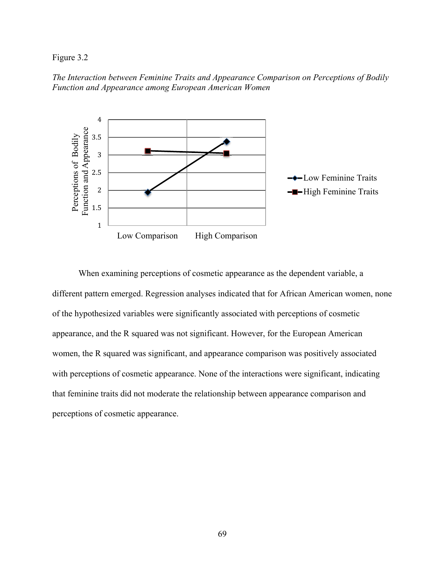## Figure 3.2

*The Interaction between Feminine Traits and Appearance Comparison on Perceptions of Bodily Function and Appearance among European American Women* 



When examining perceptions of cosmetic appearance as the dependent variable, a different pattern emerged. Regression analyses indicated that for African American women, none of the hypothesized variables were significantly associated with perceptions of cosmetic appearance, and the R squared was not significant. However, for the European American women, the R squared was significant, and appearance comparison was positively associated with perceptions of cosmetic appearance. None of the interactions were significant, indicating that feminine traits did not moderate the relationship between appearance comparison and perceptions of cosmetic appearance.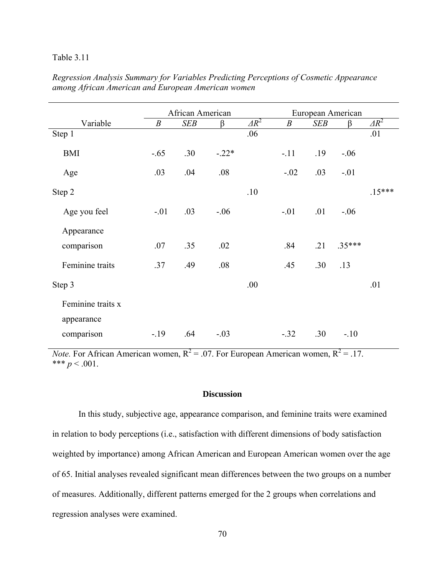## Table 3.11

|                   | African American |            |         | European American |                  |            |          |              |
|-------------------|------------------|------------|---------|-------------------|------------------|------------|----------|--------------|
| Variable          | $\boldsymbol{B}$ | <b>SEB</b> | β       | $\overline{AR^2}$ | $\boldsymbol{B}$ | <b>SEB</b> | β        | $\Delta R^2$ |
| Step 1            |                  |            |         | .06               |                  |            |          | .01          |
| <b>BMI</b>        | $-.65$           | .30        | $-.22*$ |                   | $-.11$           | .19        | $-.06$   |              |
| Age               | .03              | .04        | .08     |                   | $-.02$           | .03        | $-.01$   |              |
| Step 2            |                  |            |         | .10               |                  |            |          | $.15***$     |
| Age you feel      | $-.01$           | .03        | $-.06$  |                   | $-.01$           | .01        | $-.06$   |              |
| Appearance        |                  |            |         |                   |                  |            |          |              |
| comparison        | .07              | .35        | .02     |                   | .84              | .21        | $.35***$ |              |
| Feminine traits   | .37              | .49        | .08     |                   | .45              | .30        | .13      |              |
| Step 3            |                  |            |         | .00               |                  |            |          | .01          |
| Feminine traits x |                  |            |         |                   |                  |            |          |              |
| appearance        |                  |            |         |                   |                  |            |          |              |
| comparison        | $-19$            | .64        | $-.03$  |                   | $-.32$           | .30        | $-.10$   |              |

# *Regression Analysis Summary for Variables Predicting Perceptions of Cosmetic Appearance among African American and European American women*

*Note.* For African American women,  $R^2 = 0.07$ . For European American women,  $R^2 = 0.17$ . \*\*\*  $p < .001$ .

## **Discussion**

 In this study, subjective age, appearance comparison, and feminine traits were examined in relation to body perceptions (i.e., satisfaction with different dimensions of body satisfaction weighted by importance) among African American and European American women over the age of 65. Initial analyses revealed significant mean differences between the two groups on a number of measures. Additionally, different patterns emerged for the 2 groups when correlations and regression analyses were examined.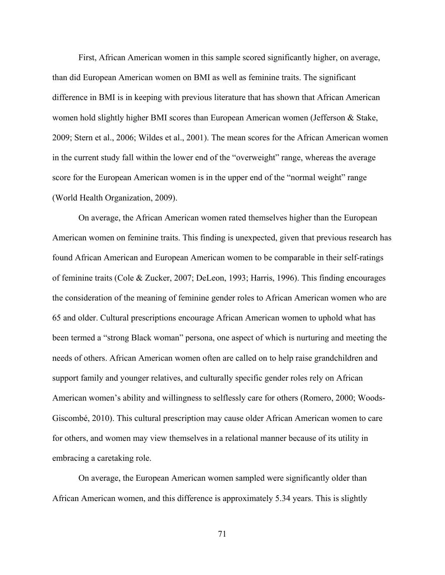First, African American women in this sample scored significantly higher, on average, than did European American women on BMI as well as feminine traits. The significant difference in BMI is in keeping with previous literature that has shown that African American women hold slightly higher BMI scores than European American women (Jefferson & Stake, 2009; Stern et al., 2006; Wildes et al., 2001). The mean scores for the African American women in the current study fall within the lower end of the "overweight" range, whereas the average score for the European American women is in the upper end of the "normal weight" range (World Health Organization, 2009).

 On average, the African American women rated themselves higher than the European American women on feminine traits. This finding is unexpected, given that previous research has found African American and European American women to be comparable in their self-ratings of feminine traits (Cole & Zucker, 2007; DeLeon, 1993; Harris, 1996). This finding encourages the consideration of the meaning of feminine gender roles to African American women who are 65 and older. Cultural prescriptions encourage African American women to uphold what has been termed a "strong Black woman" persona, one aspect of which is nurturing and meeting the needs of others. African American women often are called on to help raise grandchildren and support family and younger relatives, and culturally specific gender roles rely on African American women's ability and willingness to selflessly care for others (Romero, 2000; Woods-Giscombé, 2010). This cultural prescription may cause older African American women to care for others, and women may view themselves in a relational manner because of its utility in embracing a caretaking role.

On average, the European American women sampled were significantly older than African American women, and this difference is approximately 5.34 years. This is slightly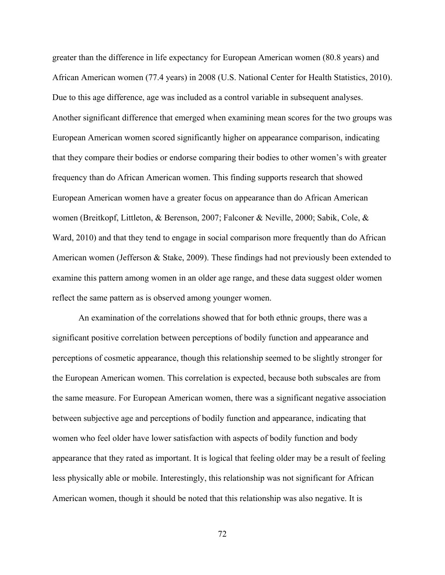greater than the difference in life expectancy for European American women (80.8 years) and African American women (77.4 years) in 2008 (U.S. National Center for Health Statistics, 2010). Due to this age difference, age was included as a control variable in subsequent analyses. Another significant difference that emerged when examining mean scores for the two groups was European American women scored significantly higher on appearance comparison, indicating that they compare their bodies or endorse comparing their bodies to other women's with greater frequency than do African American women. This finding supports research that showed European American women have a greater focus on appearance than do African American women (Breitkopf, Littleton, & Berenson, 2007; Falconer & Neville, 2000; Sabik, Cole, & Ward, 2010) and that they tend to engage in social comparison more frequently than do African American women (Jefferson & Stake, 2009). These findings had not previously been extended to examine this pattern among women in an older age range, and these data suggest older women reflect the same pattern as is observed among younger women.

An examination of the correlations showed that for both ethnic groups, there was a significant positive correlation between perceptions of bodily function and appearance and perceptions of cosmetic appearance, though this relationship seemed to be slightly stronger for the European American women. This correlation is expected, because both subscales are from the same measure. For European American women, there was a significant negative association between subjective age and perceptions of bodily function and appearance, indicating that women who feel older have lower satisfaction with aspects of bodily function and body appearance that they rated as important. It is logical that feeling older may be a result of feeling less physically able or mobile. Interestingly, this relationship was not significant for African American women, though it should be noted that this relationship was also negative. It is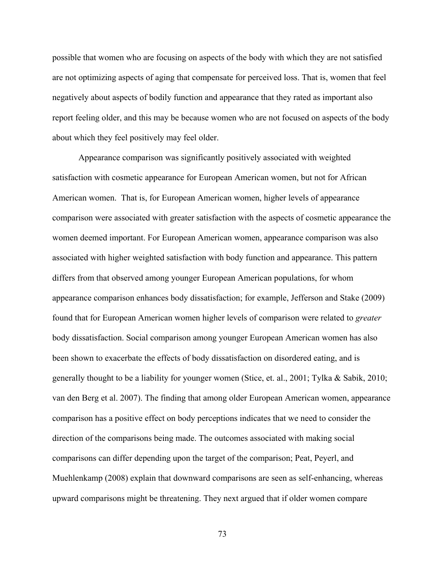possible that women who are focusing on aspects of the body with which they are not satisfied are not optimizing aspects of aging that compensate for perceived loss. That is, women that feel negatively about aspects of bodily function and appearance that they rated as important also report feeling older, and this may be because women who are not focused on aspects of the body about which they feel positively may feel older.

Appearance comparison was significantly positively associated with weighted satisfaction with cosmetic appearance for European American women, but not for African American women. That is, for European American women, higher levels of appearance comparison were associated with greater satisfaction with the aspects of cosmetic appearance the women deemed important. For European American women, appearance comparison was also associated with higher weighted satisfaction with body function and appearance. This pattern differs from that observed among younger European American populations, for whom appearance comparison enhances body dissatisfaction; for example, Jefferson and Stake (2009) found that for European American women higher levels of comparison were related to *greater* body dissatisfaction. Social comparison among younger European American women has also been shown to exacerbate the effects of body dissatisfaction on disordered eating, and is generally thought to be a liability for younger women (Stice, et. al., 2001; Tylka & Sabik, 2010; van den Berg et al. 2007). The finding that among older European American women, appearance comparison has a positive effect on body perceptions indicates that we need to consider the direction of the comparisons being made. The outcomes associated with making social comparisons can differ depending upon the target of the comparison; Peat, Peyerl, and Muehlenkamp (2008) explain that downward comparisons are seen as self-enhancing, whereas upward comparisons might be threatening. They next argued that if older women compare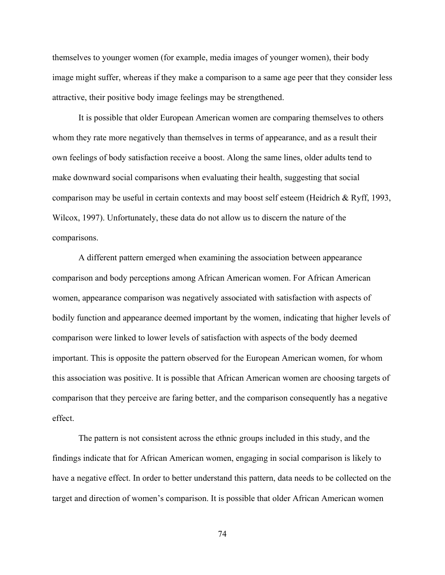themselves to younger women (for example, media images of younger women), their body image might suffer, whereas if they make a comparison to a same age peer that they consider less attractive, their positive body image feelings may be strengthened.

It is possible that older European American women are comparing themselves to others whom they rate more negatively than themselves in terms of appearance, and as a result their own feelings of body satisfaction receive a boost. Along the same lines, older adults tend to make downward social comparisons when evaluating their health, suggesting that social comparison may be useful in certain contexts and may boost self esteem (Heidrich & Ryff, 1993, Wilcox, 1997). Unfortunately, these data do not allow us to discern the nature of the comparisons.

A different pattern emerged when examining the association between appearance comparison and body perceptions among African American women. For African American women, appearance comparison was negatively associated with satisfaction with aspects of bodily function and appearance deemed important by the women, indicating that higher levels of comparison were linked to lower levels of satisfaction with aspects of the body deemed important. This is opposite the pattern observed for the European American women, for whom this association was positive. It is possible that African American women are choosing targets of comparison that they perceive are faring better, and the comparison consequently has a negative effect.

The pattern is not consistent across the ethnic groups included in this study, and the findings indicate that for African American women, engaging in social comparison is likely to have a negative effect. In order to better understand this pattern, data needs to be collected on the target and direction of women's comparison. It is possible that older African American women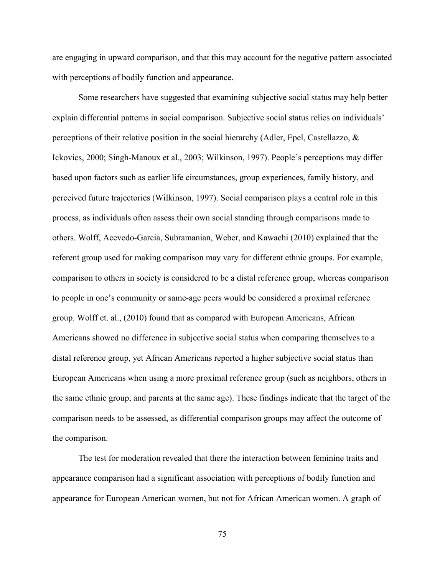are engaging in upward comparison, and that this may account for the negative pattern associated with perceptions of bodily function and appearance.

 Some researchers have suggested that examining subjective social status may help better explain differential patterns in social comparison. Subjective social status relies on individuals' perceptions of their relative position in the social hierarchy (Adler, Epel, Castellazzo, & Ickovics, 2000; Singh-Manoux et al., 2003; Wilkinson, 1997). People's perceptions may differ based upon factors such as earlier life circumstances, group experiences, family history, and perceived future trajectories (Wilkinson, 1997). Social comparison plays a central role in this process, as individuals often assess their own social standing through comparisons made to others. Wolff, Acevedo-Garcia, Subramanian, Weber, and Kawachi (2010) explained that the referent group used for making comparison may vary for different ethnic groups. For example, comparison to others in society is considered to be a distal reference group, whereas comparison to people in one's community or same-age peers would be considered a proximal reference group. Wolff et. al., (2010) found that as compared with European Americans, African Americans showed no difference in subjective social status when comparing themselves to a distal reference group, yet African Americans reported a higher subjective social status than European Americans when using a more proximal reference group (such as neighbors, others in the same ethnic group, and parents at the same age). These findings indicate that the target of the comparison needs to be assessed, as differential comparison groups may affect the outcome of the comparison.

The test for moderation revealed that there the interaction between feminine traits and appearance comparison had a significant association with perceptions of bodily function and appearance for European American women, but not for African American women. A graph of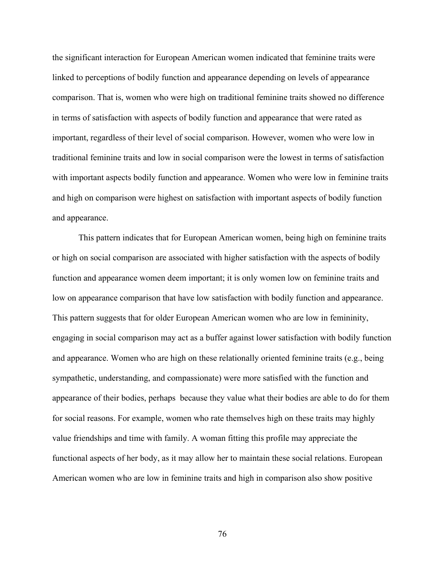the significant interaction for European American women indicated that feminine traits were linked to perceptions of bodily function and appearance depending on levels of appearance comparison. That is, women who were high on traditional feminine traits showed no difference in terms of satisfaction with aspects of bodily function and appearance that were rated as important, regardless of their level of social comparison. However, women who were low in traditional feminine traits and low in social comparison were the lowest in terms of satisfaction with important aspects bodily function and appearance. Women who were low in feminine traits and high on comparison were highest on satisfaction with important aspects of bodily function and appearance.

This pattern indicates that for European American women, being high on feminine traits or high on social comparison are associated with higher satisfaction with the aspects of bodily function and appearance women deem important; it is only women low on feminine traits and low on appearance comparison that have low satisfaction with bodily function and appearance. This pattern suggests that for older European American women who are low in femininity, engaging in social comparison may act as a buffer against lower satisfaction with bodily function and appearance. Women who are high on these relationally oriented feminine traits (e.g., being sympathetic, understanding, and compassionate) were more satisfied with the function and appearance of their bodies, perhaps because they value what their bodies are able to do for them for social reasons. For example, women who rate themselves high on these traits may highly value friendships and time with family. A woman fitting this profile may appreciate the functional aspects of her body, as it may allow her to maintain these social relations. European American women who are low in feminine traits and high in comparison also show positive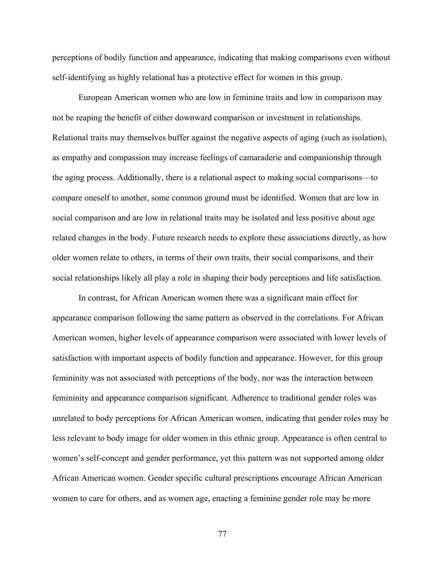perceptions of bodily function and appearance, indicating that making comparisons even without self-identifying as highly relational has a protective effect for women in this group.

European American women who are low in feminine traits and low in comparison may not be reaping the benefit of either downward comparison or investment in relationships. Relational traits may themselves buffer against the negative aspects of aging (such as isolation), as empathy and compassion may increase feelings of camaraderie and companionship through the aging process. Additionally, there is a relational aspect to making social comparisons—to compare oneself to another, some common ground must be identified. Women that are low in social comparison and are low in relational traits may be isolated and less positive about age related changes in the body. Future research needs to explore these associations directly, as how older women relate to others, in terms of their own traits, their social comparisons, and their social relationships likely all play a role in shaping their body perceptions and life satisfaction.

In contrast, for African American women there was a significant main effect for appearance comparison following the same pattern as observed in the correlations. For African American women, higher levels of appearance comparison were associated with lower levels of satisfaction with important aspects of bodily function and appearance. However, for this group femininity was not associated with perceptions of the body, nor was the interaction between femininity and appearance comparison significant. Adherence to traditional gender roles was unrelated to body perceptions for African American women, indicating that gender roles may be less relevant to body image for older women in this ethnic group. Appearance is often central to women's self-concept and gender performance, yet this pattern was not supported among older African American women. Gender specific cultural prescriptions encourage African American women to care for others, and as women age, enacting a feminine gender role may be more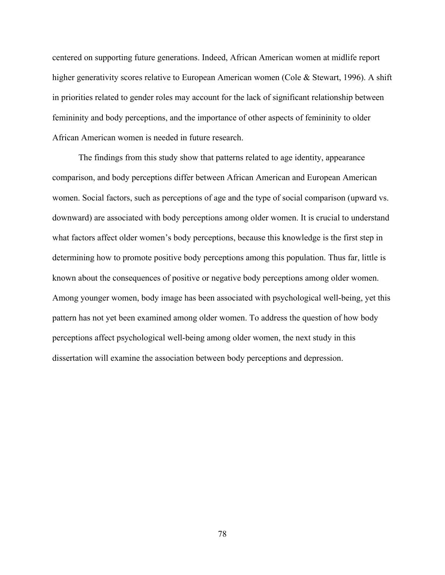centered on supporting future generations. Indeed, African American women at midlife report higher generativity scores relative to European American women (Cole & Stewart, 1996). A shift in priorities related to gender roles may account for the lack of significant relationship between femininity and body perceptions, and the importance of other aspects of femininity to older African American women is needed in future research.

The findings from this study show that patterns related to age identity, appearance comparison, and body perceptions differ between African American and European American women. Social factors, such as perceptions of age and the type of social comparison (upward vs. downward) are associated with body perceptions among older women. It is crucial to understand what factors affect older women's body perceptions, because this knowledge is the first step in determining how to promote positive body perceptions among this population. Thus far, little is known about the consequences of positive or negative body perceptions among older women. Among younger women, body image has been associated with psychological well-being, yet this pattern has not yet been examined among older women. To address the question of how body perceptions affect psychological well-being among older women, the next study in this dissertation will examine the association between body perceptions and depression.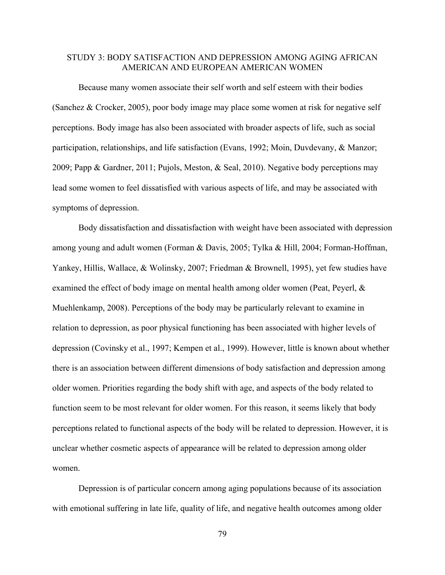## STUDY 3: BODY SATISFACTION AND DEPRESSION AMONG AGING AFRICAN AMERICAN AND EUROPEAN AMERICAN WOMEN

Because many women associate their self worth and self esteem with their bodies (Sanchez & Crocker, 2005), poor body image may place some women at risk for negative self perceptions. Body image has also been associated with broader aspects of life, such as social participation, relationships, and life satisfaction (Evans, 1992; Moin, Duvdevany, & Manzor; 2009; Papp & Gardner, 2011; Pujols, Meston, & Seal, 2010). Negative body perceptions may lead some women to feel dissatisfied with various aspects of life, and may be associated with symptoms of depression.

Body dissatisfaction and dissatisfaction with weight have been associated with depression among young and adult women (Forman & Davis, 2005; Tylka & Hill, 2004; Forman-Hoffman, Yankey, Hillis, Wallace, & Wolinsky, 2007; Friedman & Brownell, 1995), yet few studies have examined the effect of body image on mental health among older women (Peat, Peyerl, & Muehlenkamp, 2008). Perceptions of the body may be particularly relevant to examine in relation to depression, as poor physical functioning has been associated with higher levels of depression (Covinsky et al., 1997; Kempen et al., 1999). However, little is known about whether there is an association between different dimensions of body satisfaction and depression among older women. Priorities regarding the body shift with age, and aspects of the body related to function seem to be most relevant for older women. For this reason, it seems likely that body perceptions related to functional aspects of the body will be related to depression. However, it is unclear whether cosmetic aspects of appearance will be related to depression among older women.

Depression is of particular concern among aging populations because of its association with emotional suffering in late life, quality of life, and negative health outcomes among older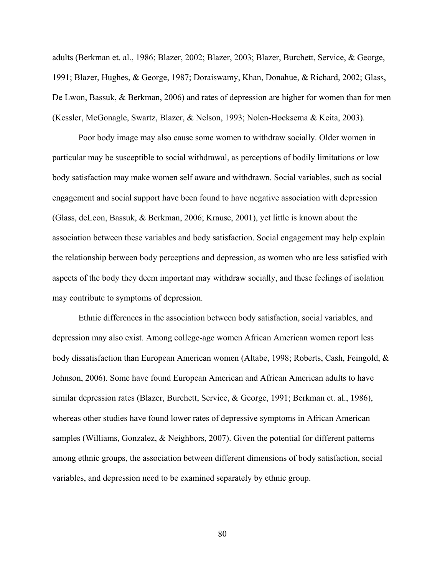adults (Berkman et. al., 1986; Blazer, 2002; Blazer, 2003; Blazer, Burchett, Service, & George, 1991; Blazer, Hughes, & George, 1987; Doraiswamy, Khan, Donahue, & Richard, 2002; Glass, De Lwon, Bassuk, & Berkman, 2006) and rates of depression are higher for women than for men (Kessler, McGonagle, Swartz, Blazer, & Nelson, 1993; Nolen-Hoeksema & Keita, 2003).

Poor body image may also cause some women to withdraw socially. Older women in particular may be susceptible to social withdrawal, as perceptions of bodily limitations or low body satisfaction may make women self aware and withdrawn. Social variables, such as social engagement and social support have been found to have negative association with depression (Glass, deLeon, Bassuk, & Berkman, 2006; Krause, 2001), yet little is known about the association between these variables and body satisfaction. Social engagement may help explain the relationship between body perceptions and depression, as women who are less satisfied with aspects of the body they deem important may withdraw socially, and these feelings of isolation may contribute to symptoms of depression.

Ethnic differences in the association between body satisfaction, social variables, and depression may also exist. Among college-age women African American women report less body dissatisfaction than European American women (Altabe, 1998; Roberts, Cash, Feingold, & Johnson, 2006). Some have found European American and African American adults to have similar depression rates (Blazer, Burchett, Service, & George, 1991; Berkman et. al., 1986), whereas other studies have found lower rates of depressive symptoms in African American samples (Williams, Gonzalez, & Neighbors, 2007). Given the potential for different patterns among ethnic groups, the association between different dimensions of body satisfaction, social variables, and depression need to be examined separately by ethnic group.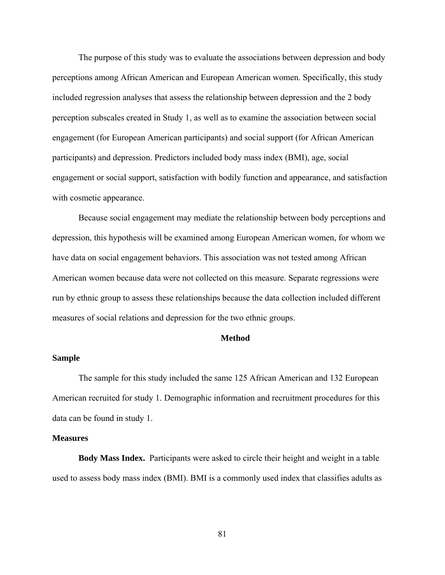The purpose of this study was to evaluate the associations between depression and body perceptions among African American and European American women. Specifically, this study included regression analyses that assess the relationship between depression and the 2 body perception subscales created in Study 1, as well as to examine the association between social engagement (for European American participants) and social support (for African American participants) and depression. Predictors included body mass index (BMI), age, social engagement or social support, satisfaction with bodily function and appearance, and satisfaction with cosmetic appearance.

Because social engagement may mediate the relationship between body perceptions and depression, this hypothesis will be examined among European American women, for whom we have data on social engagement behaviors. This association was not tested among African American women because data were not collected on this measure. Separate regressions were run by ethnic group to assess these relationships because the data collection included different measures of social relations and depression for the two ethnic groups.

#### **Method**

#### **Sample**

The sample for this study included the same 125 African American and 132 European American recruited for study 1. Demographic information and recruitment procedures for this data can be found in study 1.

#### **Measures**

**Body Mass Index.**Participants were asked to circle their height and weight in a table used to assess body mass index (BMI). BMI is a commonly used index that classifies adults as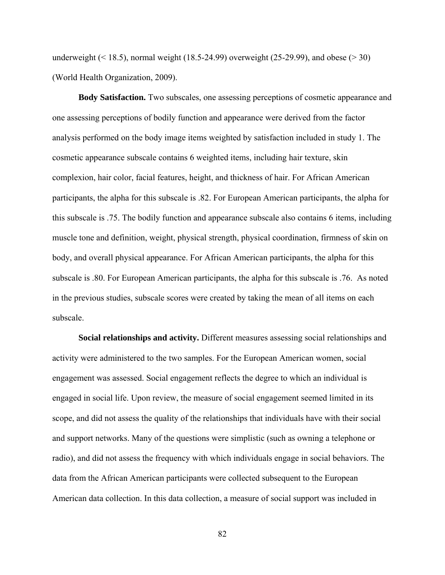underweight  $($  < 18.5), normal weight (18.5-24.99) overweight (25-29.99), and obese ( $>$ 30) (World Health Organization, 2009).

**Body Satisfaction.** Two subscales, one assessing perceptions of cosmetic appearance and one assessing perceptions of bodily function and appearance were derived from the factor analysis performed on the body image items weighted by satisfaction included in study 1. The cosmetic appearance subscale contains 6 weighted items, including hair texture, skin complexion, hair color, facial features, height, and thickness of hair. For African American participants, the alpha for this subscale is .82. For European American participants, the alpha for this subscale is .75. The bodily function and appearance subscale also contains 6 items, including muscle tone and definition, weight, physical strength, physical coordination, firmness of skin on body, and overall physical appearance. For African American participants, the alpha for this subscale is .80. For European American participants, the alpha for this subscale is .76. As noted in the previous studies, subscale scores were created by taking the mean of all items on each subscale.

**Social relationships and activity.** Different measures assessing social relationships and activity were administered to the two samples. For the European American women, social engagement was assessed. Social engagement reflects the degree to which an individual is engaged in social life. Upon review, the measure of social engagement seemed limited in its scope, and did not assess the quality of the relationships that individuals have with their social and support networks. Many of the questions were simplistic (such as owning a telephone or radio), and did not assess the frequency with which individuals engage in social behaviors. The data from the African American participants were collected subsequent to the European American data collection. In this data collection, a measure of social support was included in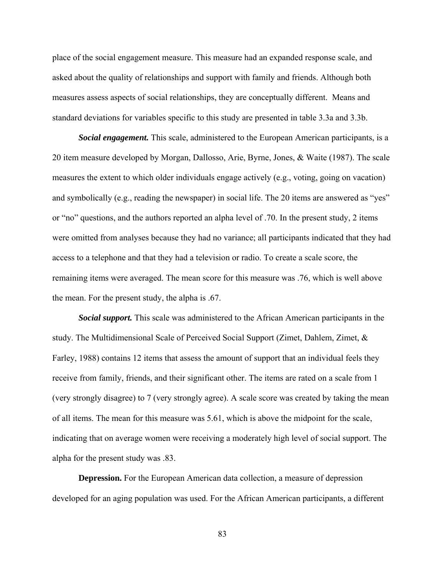place of the social engagement measure. This measure had an expanded response scale, and asked about the quality of relationships and support with family and friends. Although both measures assess aspects of social relationships, they are conceptually different. Means and standard deviations for variables specific to this study are presented in table 3.3a and 3.3b.

*Social engagement.* This scale, administered to the European American participants, is a 20 item measure developed by Morgan, Dallosso, Arie, Byrne, Jones, & Waite (1987). The scale measures the extent to which older individuals engage actively (e.g., voting, going on vacation) and symbolically (e.g., reading the newspaper) in social life. The 20 items are answered as "yes" or "no" questions, and the authors reported an alpha level of .70. In the present study, 2 items were omitted from analyses because they had no variance; all participants indicated that they had access to a telephone and that they had a television or radio. To create a scale score, the remaining items were averaged. The mean score for this measure was .76, which is well above the mean. For the present study, the alpha is .67.

*Social support.* This scale was administered to the African American participants in the study. The Multidimensional Scale of Perceived Social Support (Zimet, Dahlem, Zimet, & Farley, 1988) contains 12 items that assess the amount of support that an individual feels they receive from family, friends, and their significant other. The items are rated on a scale from 1 (very strongly disagree) to 7 (very strongly agree). A scale score was created by taking the mean of all items. The mean for this measure was 5.61, which is above the midpoint for the scale, indicating that on average women were receiving a moderately high level of social support. The alpha for the present study was .83.

**Depression.** For the European American data collection, a measure of depression developed for an aging population was used. For the African American participants, a different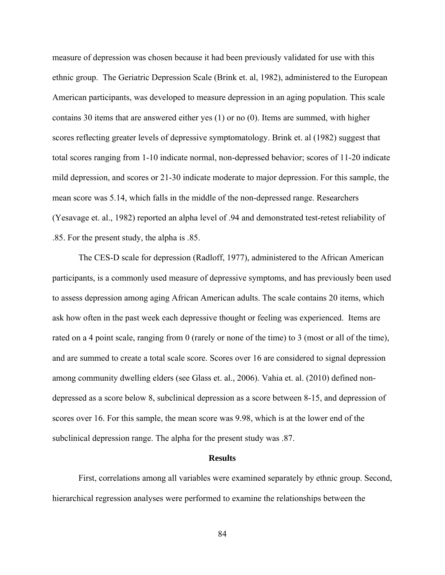measure of depression was chosen because it had been previously validated for use with this ethnic group. The Geriatric Depression Scale (Brink et. al, 1982), administered to the European American participants, was developed to measure depression in an aging population. This scale contains 30 items that are answered either yes (1) or no (0). Items are summed, with higher scores reflecting greater levels of depressive symptomatology. Brink et. al (1982) suggest that total scores ranging from 1-10 indicate normal, non-depressed behavior; scores of 11-20 indicate mild depression, and scores or 21-30 indicate moderate to major depression. For this sample, the mean score was 5.14, which falls in the middle of the non-depressed range. Researchers (Yesavage et. al., 1982) reported an alpha level of .94 and demonstrated test-retest reliability of .85. For the present study, the alpha is .85.

The CES-D scale for depression (Radloff, 1977), administered to the African American participants, is a commonly used measure of depressive symptoms, and has previously been used to assess depression among aging African American adults. The scale contains 20 items, which ask how often in the past week each depressive thought or feeling was experienced. Items are rated on a 4 point scale, ranging from 0 (rarely or none of the time) to 3 (most or all of the time), and are summed to create a total scale score. Scores over 16 are considered to signal depression among community dwelling elders (see Glass et. al., 2006). Vahia et. al. (2010) defined nondepressed as a score below 8, subclinical depression as a score between 8-15, and depression of scores over 16. For this sample, the mean score was 9.98, which is at the lower end of the subclinical depression range. The alpha for the present study was .87.

#### **Results**

 First, correlations among all variables were examined separately by ethnic group. Second, hierarchical regression analyses were performed to examine the relationships between the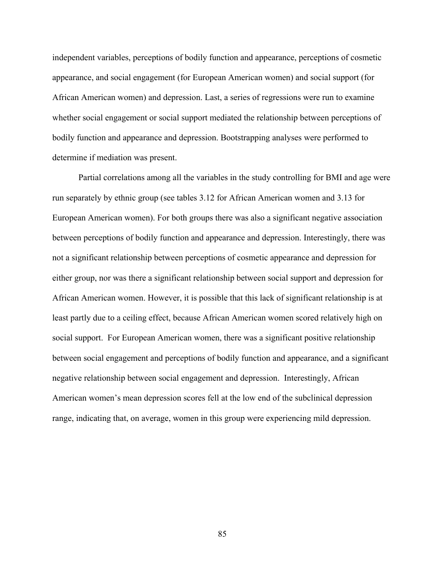independent variables, perceptions of bodily function and appearance, perceptions of cosmetic appearance, and social engagement (for European American women) and social support (for African American women) and depression. Last, a series of regressions were run to examine whether social engagement or social support mediated the relationship between perceptions of bodily function and appearance and depression. Bootstrapping analyses were performed to determine if mediation was present.

 Partial correlations among all the variables in the study controlling for BMI and age were run separately by ethnic group (see tables 3.12 for African American women and 3.13 for European American women). For both groups there was also a significant negative association between perceptions of bodily function and appearance and depression. Interestingly, there was not a significant relationship between perceptions of cosmetic appearance and depression for either group, nor was there a significant relationship between social support and depression for African American women. However, it is possible that this lack of significant relationship is at least partly due to a ceiling effect, because African American women scored relatively high on social support. For European American women, there was a significant positive relationship between social engagement and perceptions of bodily function and appearance, and a significant negative relationship between social engagement and depression. Interestingly, African American women's mean depression scores fell at the low end of the subclinical depression range, indicating that, on average, women in this group were experiencing mild depression.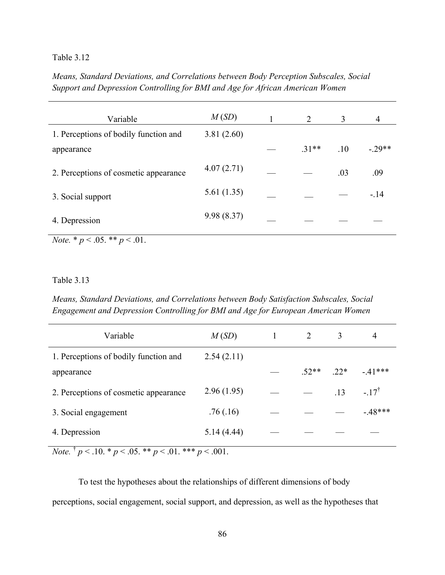# Table 3.12

*Means, Standard Deviations, and Correlations between Body Perception Subscales, Social Support and Depression Controlling for BMI and Age for African American Women* 

| Variable                                             | M(SD)       | 2      | 3   | 4       |
|------------------------------------------------------|-------------|--------|-----|---------|
| 1. Perceptions of bodily function and                | 3.81(2.60)  |        |     |         |
| appearance                                           |             | $31**$ | .10 | $-29**$ |
| 2. Perceptions of cosmetic appearance                | 4.07(2.71)  |        | .03 | .09     |
| 3. Social support                                    | 5.61(1.35)  |        |     | $-.14$  |
| 4. Depression                                        | 9.98 (8.37) |        |     |         |
| $\mathbf{M}$ , the second $\mathbf{M}$<br>$\sim$ 0.1 |             |        |     |         |

*Note.* \* *p* < .05. \*\* *p* < .01.

## Table 3.13

*Means, Standard Deviations, and Correlations between Body Satisfaction Subscales, Social Engagement and Depression Controlling for BMI and Age for European American Women* 

| Variable                              | M(SD)      |         | 3     | 4                |
|---------------------------------------|------------|---------|-------|------------------|
| 1. Perceptions of bodily function and | 2.54(2.11) |         |       |                  |
| appearance                            |            | $.52**$ | $22*$ | $-41***$         |
| 2. Perceptions of cosmetic appearance | 2.96(1.95) |         | .13   | $-.17^{\dagger}$ |
| 3. Social engagement                  | .76(.16)   |         |       | $-48***$         |
| 4. Depression                         | 5.14(4.44) |         |       |                  |

*Note.*  $\frac{1}{p}$   $\lt$  .10. \* *p*  $\lt$  .05. \*\* *p*  $\lt$  .01. \*\*\* *p*  $\lt$  .001.

To test the hypotheses about the relationships of different dimensions of body perceptions, social engagement, social support, and depression, as well as the hypotheses that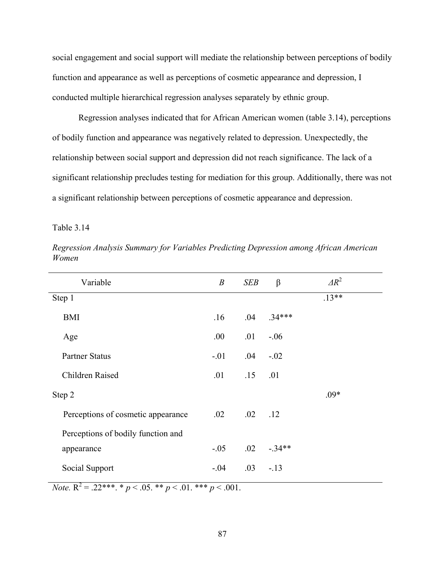social engagement and social support will mediate the relationship between perceptions of bodily function and appearance as well as perceptions of cosmetic appearance and depression, I conducted multiple hierarchical regression analyses separately by ethnic group.

 Regression analyses indicated that for African American women (table 3.14), perceptions of bodily function and appearance was negatively related to depression. Unexpectedly, the relationship between social support and depression did not reach significance. The lack of a significant relationship precludes testing for mediation for this group. Additionally, there was not a significant relationship between perceptions of cosmetic appearance and depression.

Table 3.14

| Variable                           | $\boldsymbol{B}$ | SEB          | β        | $\Delta R^2$ |
|------------------------------------|------------------|--------------|----------|--------------|
| Step 1                             |                  |              |          | $.13**$      |
| BMI                                | .16              | .04          | $.34***$ |              |
| Age                                | .00.             | .01          | $-.06$   |              |
| <b>Partner Status</b>              | $-.01$           | .04          | $-.02$   |              |
| Children Raised                    | .01              | .15          | .01      |              |
| Step 2                             |                  |              |          | $.09*$       |
| Perceptions of cosmetic appearance | .02              | $.02 \t .12$ |          |              |
| Perceptions of bodily function and |                  |              |          |              |
| appearance                         | $-.05$           | $.02\,$      | $-34**$  |              |
| Social Support                     | $-.04$           | .03          | $-.13$   |              |

*Regression Analysis Summary for Variables Predicting Depression among African American Women* 

*Note.*  $R^2 = .22^{***}$ .  $* p < .05$ .  $* p < .01$ .  $* * p < .001$ .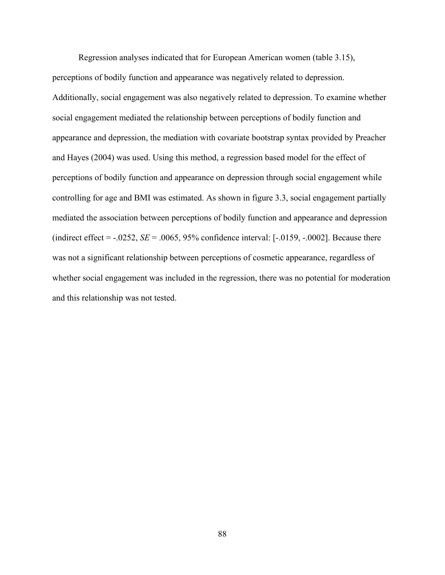Regression analyses indicated that for European American women (table 3.15), perceptions of bodily function and appearance was negatively related to depression. Additionally, social engagement was also negatively related to depression. To examine whether social engagement mediated the relationship between perceptions of bodily function and appearance and depression, the mediation with covariate bootstrap syntax provided by Preacher and Hayes (2004) was used. Using this method, a regression based model for the effect of perceptions of bodily function and appearance on depression through social engagement while controlling for age and BMI was estimated. As shown in figure 3.3, social engagement partially mediated the association between perceptions of bodily function and appearance and depression (indirect effect  $=$  -.0252, *SE*  $=$  .0065, 95% confidence interval:  $[-.0159, -.0002]$ . Because there was not a significant relationship between perceptions of cosmetic appearance, regardless of whether social engagement was included in the regression, there was no potential for moderation and this relationship was not tested.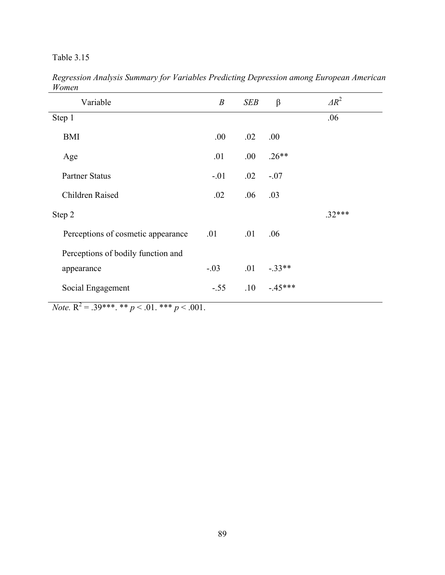# Table 3.15

| Variable                           | $\boldsymbol{B}$ | SEB     | $\beta$  | $\Delta R^2$ |
|------------------------------------|------------------|---------|----------|--------------|
| Step 1                             |                  |         |          | .06          |
| <b>BMI</b>                         | .00.             | $.02\,$ | .00      |              |
| Age                                | .01              | .00.    | $.26**$  |              |
| <b>Partner Status</b>              | $-.01$           | $.02\,$ | $-.07$   |              |
| <b>Children Raised</b>             | .02              | .06     | .03      |              |
| Step 2                             |                  |         |          | $.32***$     |
| Perceptions of cosmetic appearance | .01              | .01     | .06      |              |
| Perceptions of bodily function and |                  |         |          |              |
| appearance                         | $-.03$           | .01     | $-.33**$ |              |
| Social Engagement                  | $-.55$           | .10     | $-45***$ |              |

*Regression Analysis Summary for Variables Predicting Depression among European American Women* 

*Note.*  $R^2 = 0.39***$ . \*\*\* *p* < .01. \*\*\* *p* < .001.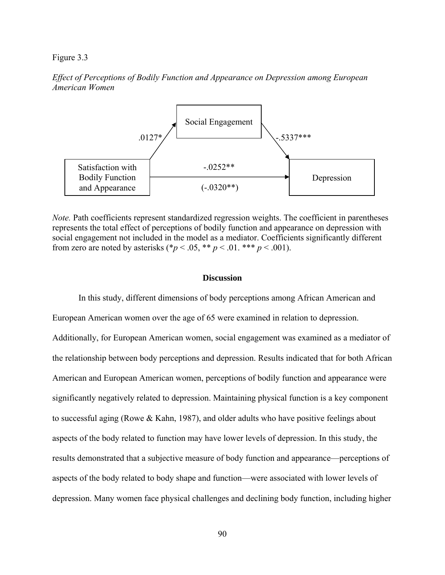#### Figure 3.3

## *Effect of Perceptions of Bodily Function and Appearance on Depression among European American Women*



*Note.* Path coefficients represent standardized regression weights. The coefficient in parentheses represents the total effect of perceptions of bodily function and appearance on depression with social engagement not included in the model as a mediator. Coefficients significantly different from zero are noted by asterisks (\* $p < .05$ , \*\*  $p < .01$ . \*\*\*  $p < .001$ ).

#### **Discussion**

 In this study, different dimensions of body perceptions among African American and European American women over the age of 65 were examined in relation to depression. Additionally, for European American women, social engagement was examined as a mediator of the relationship between body perceptions and depression. Results indicated that for both African American and European American women, perceptions of bodily function and appearance were significantly negatively related to depression. Maintaining physical function is a key component to successful aging (Rowe & Kahn, 1987), and older adults who have positive feelings about aspects of the body related to function may have lower levels of depression. In this study, the results demonstrated that a subjective measure of body function and appearance—perceptions of aspects of the body related to body shape and function—were associated with lower levels of depression. Many women face physical challenges and declining body function, including higher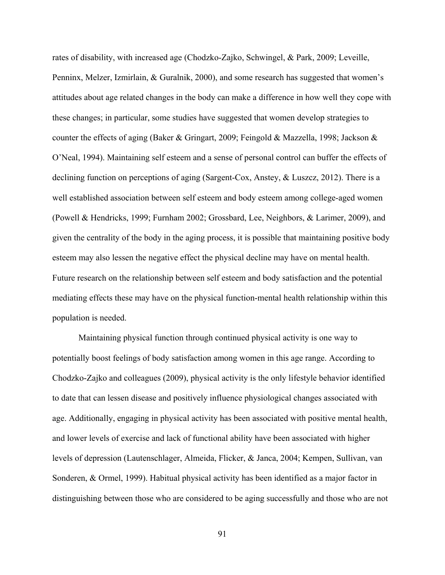rates of disability, with increased age (Chodzko-Zajko, Schwingel, & Park, 2009; Leveille, Penninx, Melzer, Izmirlain, & Guralnik, 2000), and some research has suggested that women's attitudes about age related changes in the body can make a difference in how well they cope with these changes; in particular, some studies have suggested that women develop strategies to counter the effects of aging (Baker & Gringart, 2009; Feingold & Mazzella, 1998; Jackson & O'Neal, 1994). Maintaining self esteem and a sense of personal control can buffer the effects of declining function on perceptions of aging (Sargent-Cox, Anstey, & Luszcz, 2012). There is a well established association between self esteem and body esteem among college-aged women (Powell & Hendricks, 1999; Furnham 2002; Grossbard, Lee, Neighbors, & Larimer, 2009), and given the centrality of the body in the aging process, it is possible that maintaining positive body esteem may also lessen the negative effect the physical decline may have on mental health. Future research on the relationship between self esteem and body satisfaction and the potential mediating effects these may have on the physical function-mental health relationship within this population is needed.

Maintaining physical function through continued physical activity is one way to potentially boost feelings of body satisfaction among women in this age range. According to Chodzko-Zajko and colleagues (2009), physical activity is the only lifestyle behavior identified to date that can lessen disease and positively influence physiological changes associated with age. Additionally, engaging in physical activity has been associated with positive mental health, and lower levels of exercise and lack of functional ability have been associated with higher levels of depression (Lautenschlager, Almeida, Flicker, & Janca, 2004; Kempen, Sullivan, van Sonderen, & Ormel, 1999). Habitual physical activity has been identified as a major factor in distinguishing between those who are considered to be aging successfully and those who are not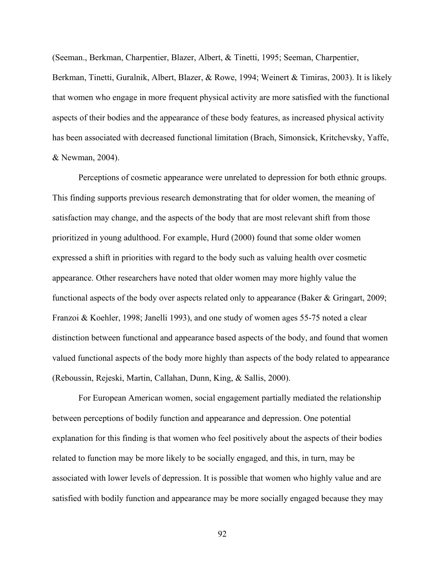(Seeman., Berkman, Charpentier, Blazer, Albert, & Tinetti, 1995; Seeman, Charpentier, Berkman, Tinetti, Guralnik, Albert, Blazer, & Rowe, 1994; Weinert & Timiras, 2003). It is likely that women who engage in more frequent physical activity are more satisfied with the functional aspects of their bodies and the appearance of these body features, as increased physical activity has been associated with decreased functional limitation (Brach, Simonsick, Kritchevsky, Yaffe, & Newman, 2004).

 Perceptions of cosmetic appearance were unrelated to depression for both ethnic groups. This finding supports previous research demonstrating that for older women, the meaning of satisfaction may change, and the aspects of the body that are most relevant shift from those prioritized in young adulthood. For example, Hurd (2000) found that some older women expressed a shift in priorities with regard to the body such as valuing health over cosmetic appearance. Other researchers have noted that older women may more highly value the functional aspects of the body over aspects related only to appearance (Baker & Gringart, 2009; Franzoi & Koehler, 1998; Janelli 1993), and one study of women ages 55-75 noted a clear distinction between functional and appearance based aspects of the body, and found that women valued functional aspects of the body more highly than aspects of the body related to appearance (Reboussin, Rejeski, Martin, Callahan, Dunn, King, & Sallis, 2000).

 For European American women, social engagement partially mediated the relationship between perceptions of bodily function and appearance and depression. One potential explanation for this finding is that women who feel positively about the aspects of their bodies related to function may be more likely to be socially engaged, and this, in turn, may be associated with lower levels of depression. It is possible that women who highly value and are satisfied with bodily function and appearance may be more socially engaged because they may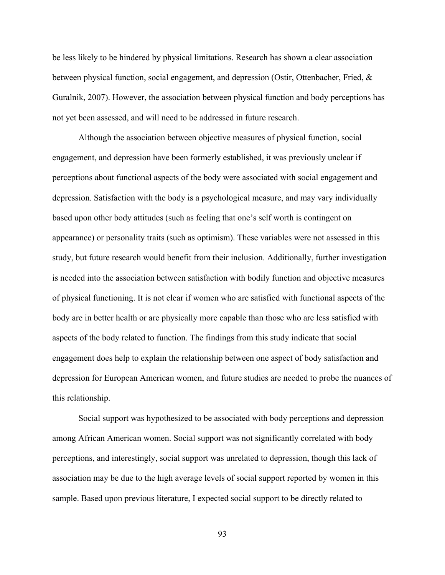be less likely to be hindered by physical limitations. Research has shown a clear association between physical function, social engagement, and depression (Ostir, Ottenbacher, Fried, & Guralnik, 2007). However, the association between physical function and body perceptions has not yet been assessed, and will need to be addressed in future research.

Although the association between objective measures of physical function, social engagement, and depression have been formerly established, it was previously unclear if perceptions about functional aspects of the body were associated with social engagement and depression. Satisfaction with the body is a psychological measure, and may vary individually based upon other body attitudes (such as feeling that one's self worth is contingent on appearance) or personality traits (such as optimism). These variables were not assessed in this study, but future research would benefit from their inclusion. Additionally, further investigation is needed into the association between satisfaction with bodily function and objective measures of physical functioning. It is not clear if women who are satisfied with functional aspects of the body are in better health or are physically more capable than those who are less satisfied with aspects of the body related to function. The findings from this study indicate that social engagement does help to explain the relationship between one aspect of body satisfaction and depression for European American women, and future studies are needed to probe the nuances of this relationship.

 Social support was hypothesized to be associated with body perceptions and depression among African American women. Social support was not significantly correlated with body perceptions, and interestingly, social support was unrelated to depression, though this lack of association may be due to the high average levels of social support reported by women in this sample. Based upon previous literature, I expected social support to be directly related to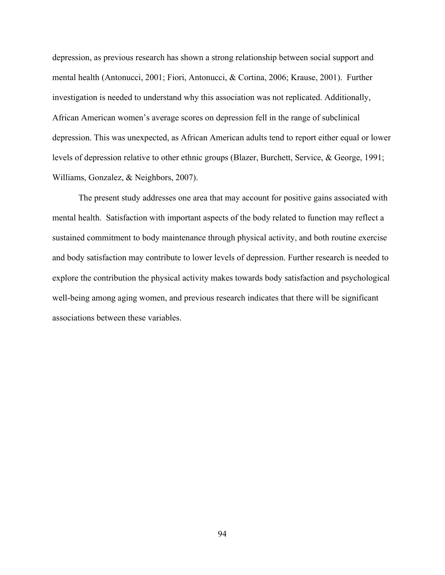depression, as previous research has shown a strong relationship between social support and mental health (Antonucci, 2001; Fiori, Antonucci, & Cortina, 2006; Krause, 2001). Further investigation is needed to understand why this association was not replicated. Additionally, African American women's average scores on depression fell in the range of subclinical depression. This was unexpected, as African American adults tend to report either equal or lower levels of depression relative to other ethnic groups (Blazer, Burchett, Service, & George, 1991; Williams, Gonzalez, & Neighbors, 2007).

The present study addresses one area that may account for positive gains associated with mental health. Satisfaction with important aspects of the body related to function may reflect a sustained commitment to body maintenance through physical activity, and both routine exercise and body satisfaction may contribute to lower levels of depression. Further research is needed to explore the contribution the physical activity makes towards body satisfaction and psychological well-being among aging women, and previous research indicates that there will be significant associations between these variables.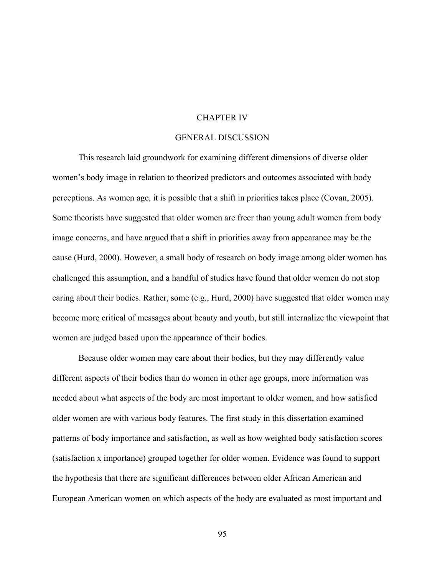#### CHAPTER IV

#### GENERAL DISCUSSION

 This research laid groundwork for examining different dimensions of diverse older women's body image in relation to theorized predictors and outcomes associated with body perceptions. As women age, it is possible that a shift in priorities takes place (Covan, 2005). Some theorists have suggested that older women are freer than young adult women from body image concerns, and have argued that a shift in priorities away from appearance may be the cause (Hurd, 2000). However, a small body of research on body image among older women has challenged this assumption, and a handful of studies have found that older women do not stop caring about their bodies. Rather, some (e.g., Hurd, 2000) have suggested that older women may become more critical of messages about beauty and youth, but still internalize the viewpoint that women are judged based upon the appearance of their bodies.

Because older women may care about their bodies, but they may differently value different aspects of their bodies than do women in other age groups, more information was needed about what aspects of the body are most important to older women, and how satisfied older women are with various body features. The first study in this dissertation examined patterns of body importance and satisfaction, as well as how weighted body satisfaction scores (satisfaction x importance) grouped together for older women. Evidence was found to support the hypothesis that there are significant differences between older African American and European American women on which aspects of the body are evaluated as most important and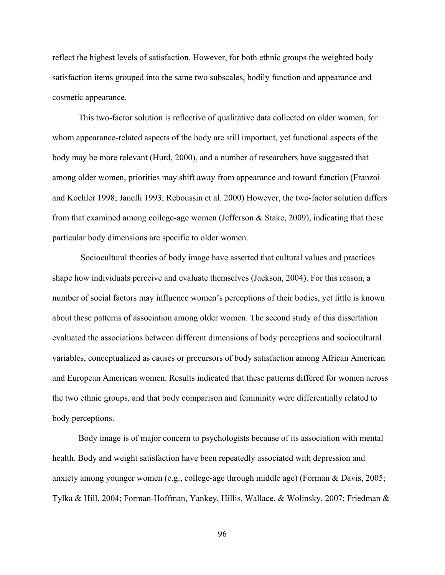reflect the highest levels of satisfaction. However, for both ethnic groups the weighted body satisfaction items grouped into the same two subscales, bodily function and appearance and cosmetic appearance.

This two-factor solution is reflective of qualitative data collected on older women, for whom appearance-related aspects of the body are still important, yet functional aspects of the body may be more relevant (Hurd, 2000), and a number of researchers have suggested that among older women, priorities may shift away from appearance and toward function (Franzoi and Koehler 1998; Janelli 1993; Reboussin et al. 2000) However, the two-factor solution differs from that examined among college-age women (Jefferson & Stake, 2009), indicating that these particular body dimensions are specific to older women.

 Sociocultural theories of body image have asserted that cultural values and practices shape how individuals perceive and evaluate themselves (Jackson, 2004). For this reason, a number of social factors may influence women's perceptions of their bodies, yet little is known about these patterns of association among older women. The second study of this dissertation evaluated the associations between different dimensions of body perceptions and sociocultural variables, conceptualized as causes or precursors of body satisfaction among African American and European American women. Results indicated that these patterns differed for women across the two ethnic groups, and that body comparison and femininity were differentially related to body perceptions.

Body image is of major concern to psychologists because of its association with mental health. Body and weight satisfaction have been repeatedly associated with depression and anxiety among younger women (e.g., college-age through middle age) (Forman & Davis, 2005; Tylka & Hill, 2004; Forman-Hoffman, Yankey, Hillis, Wallace, & Wolinsky, 2007; Friedman &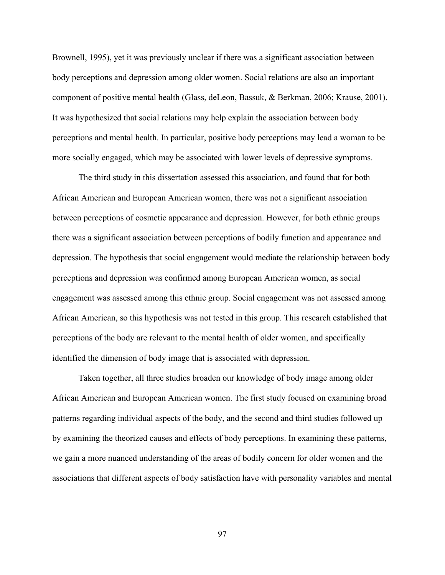Brownell, 1995), yet it was previously unclear if there was a significant association between body perceptions and depression among older women. Social relations are also an important component of positive mental health (Glass, deLeon, Bassuk, & Berkman, 2006; Krause, 2001). It was hypothesized that social relations may help explain the association between body perceptions and mental health. In particular, positive body perceptions may lead a woman to be more socially engaged, which may be associated with lower levels of depressive symptoms.

The third study in this dissertation assessed this association, and found that for both African American and European American women, there was not a significant association between perceptions of cosmetic appearance and depression. However, for both ethnic groups there was a significant association between perceptions of bodily function and appearance and depression. The hypothesis that social engagement would mediate the relationship between body perceptions and depression was confirmed among European American women, as social engagement was assessed among this ethnic group. Social engagement was not assessed among African American, so this hypothesis was not tested in this group. This research established that perceptions of the body are relevant to the mental health of older women, and specifically identified the dimension of body image that is associated with depression.

 Taken together, all three studies broaden our knowledge of body image among older African American and European American women. The first study focused on examining broad patterns regarding individual aspects of the body, and the second and third studies followed up by examining the theorized causes and effects of body perceptions. In examining these patterns, we gain a more nuanced understanding of the areas of bodily concern for older women and the associations that different aspects of body satisfaction have with personality variables and mental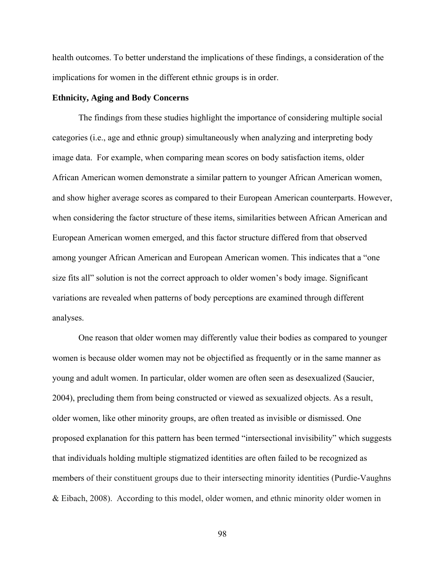health outcomes. To better understand the implications of these findings, a consideration of the implications for women in the different ethnic groups is in order.

### **Ethnicity, Aging and Body Concerns**

The findings from these studies highlight the importance of considering multiple social categories (i.e., age and ethnic group) simultaneously when analyzing and interpreting body image data. For example, when comparing mean scores on body satisfaction items, older African American women demonstrate a similar pattern to younger African American women, and show higher average scores as compared to their European American counterparts. However, when considering the factor structure of these items, similarities between African American and European American women emerged, and this factor structure differed from that observed among younger African American and European American women. This indicates that a "one size fits all" solution is not the correct approach to older women's body image. Significant variations are revealed when patterns of body perceptions are examined through different analyses.

One reason that older women may differently value their bodies as compared to younger women is because older women may not be objectified as frequently or in the same manner as young and adult women. In particular, older women are often seen as desexualized (Saucier, 2004), precluding them from being constructed or viewed as sexualized objects. As a result, older women, like other minority groups, are often treated as invisible or dismissed. One proposed explanation for this pattern has been termed "intersectional invisibility" which suggests that individuals holding multiple stigmatized identities are often failed to be recognized as members of their constituent groups due to their intersecting minority identities (Purdie-Vaughns & Eibach, 2008). According to this model, older women, and ethnic minority older women in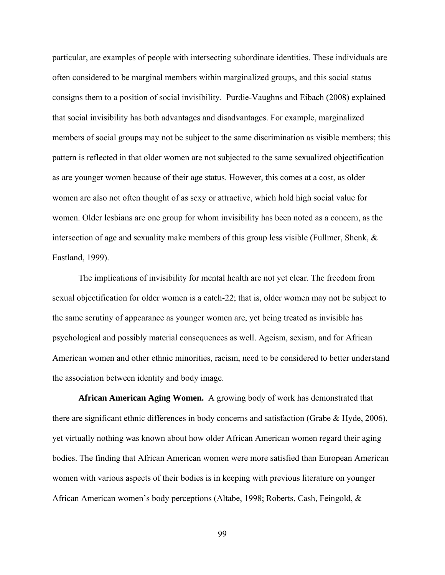particular, are examples of people with intersecting subordinate identities. These individuals are often considered to be marginal members within marginalized groups, and this social status consigns them to a position of social invisibility. Purdie-Vaughns and Eibach (2008) explained that social invisibility has both advantages and disadvantages. For example, marginalized members of social groups may not be subject to the same discrimination as visible members; this pattern is reflected in that older women are not subjected to the same sexualized objectification as are younger women because of their age status. However, this comes at a cost, as older women are also not often thought of as sexy or attractive, which hold high social value for women. Older lesbians are one group for whom invisibility has been noted as a concern, as the intersection of age and sexuality make members of this group less visible (Fullmer, Shenk,  $\&$ Eastland, 1999).

The implications of invisibility for mental health are not yet clear. The freedom from sexual objectification for older women is a catch-22; that is, older women may not be subject to the same scrutiny of appearance as younger women are, yet being treated as invisible has psychological and possibly material consequences as well. Ageism, sexism, and for African American women and other ethnic minorities, racism, need to be considered to better understand the association between identity and body image.

**African American Aging Women.** A growing body of work has demonstrated that there are significant ethnic differences in body concerns and satisfaction (Grabe & Hyde, 2006), yet virtually nothing was known about how older African American women regard their aging bodies. The finding that African American women were more satisfied than European American women with various aspects of their bodies is in keeping with previous literature on younger African American women's body perceptions (Altabe, 1998; Roberts, Cash, Feingold, &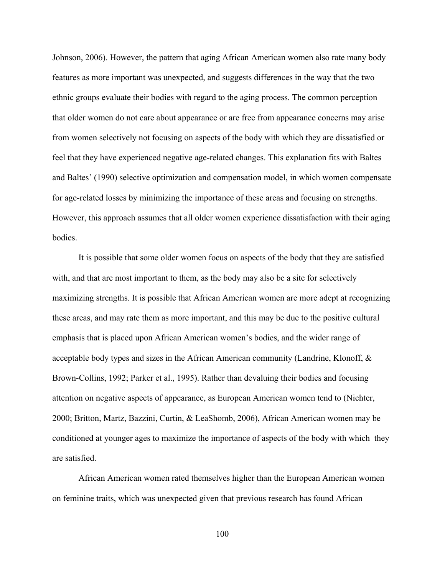Johnson, 2006). However, the pattern that aging African American women also rate many body features as more important was unexpected, and suggests differences in the way that the two ethnic groups evaluate their bodies with regard to the aging process. The common perception that older women do not care about appearance or are free from appearance concerns may arise from women selectively not focusing on aspects of the body with which they are dissatisfied or feel that they have experienced negative age-related changes. This explanation fits with Baltes and Baltes' (1990) selective optimization and compensation model, in which women compensate for age-related losses by minimizing the importance of these areas and focusing on strengths. However, this approach assumes that all older women experience dissatisfaction with their aging bodies.

It is possible that some older women focus on aspects of the body that they are satisfied with, and that are most important to them, as the body may also be a site for selectively maximizing strengths. It is possible that African American women are more adept at recognizing these areas, and may rate them as more important, and this may be due to the positive cultural emphasis that is placed upon African American women's bodies, and the wider range of acceptable body types and sizes in the African American community (Landrine, Klonoff, & Brown-Collins, 1992; Parker et al., 1995). Rather than devaluing their bodies and focusing attention on negative aspects of appearance, as European American women tend to (Nichter, 2000; Britton, Martz, Bazzini, Curtin, & LeaShomb, 2006), African American women may be conditioned at younger ages to maximize the importance of aspects of the body with which they are satisfied.

African American women rated themselves higher than the European American women on feminine traits, which was unexpected given that previous research has found African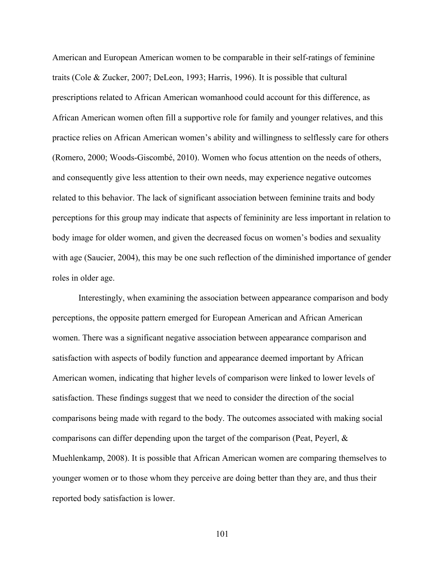American and European American women to be comparable in their self-ratings of feminine traits (Cole & Zucker, 2007; DeLeon, 1993; Harris, 1996). It is possible that cultural prescriptions related to African American womanhood could account for this difference, as African American women often fill a supportive role for family and younger relatives, and this practice relies on African American women's ability and willingness to selflessly care for others (Romero, 2000; Woods-Giscombé, 2010). Women who focus attention on the needs of others, and consequently give less attention to their own needs, may experience negative outcomes related to this behavior. The lack of significant association between feminine traits and body perceptions for this group may indicate that aspects of femininity are less important in relation to body image for older women, and given the decreased focus on women's bodies and sexuality with age (Saucier, 2004), this may be one such reflection of the diminished importance of gender roles in older age.

Interestingly, when examining the association between appearance comparison and body perceptions, the opposite pattern emerged for European American and African American women. There was a significant negative association between appearance comparison and satisfaction with aspects of bodily function and appearance deemed important by African American women, indicating that higher levels of comparison were linked to lower levels of satisfaction. These findings suggest that we need to consider the direction of the social comparisons being made with regard to the body. The outcomes associated with making social comparisons can differ depending upon the target of the comparison (Peat, Peyerl, & Muehlenkamp, 2008). It is possible that African American women are comparing themselves to younger women or to those whom they perceive are doing better than they are, and thus their reported body satisfaction is lower.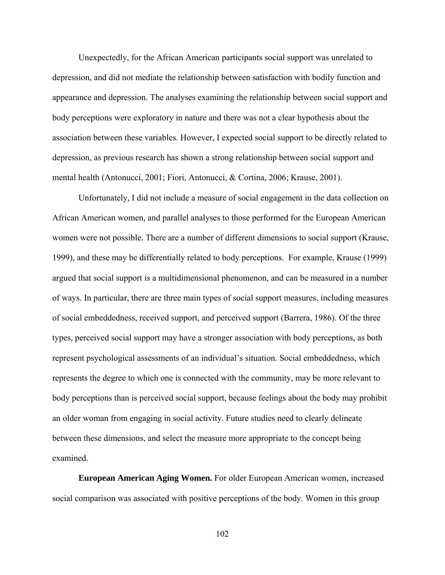Unexpectedly, for the African American participants social support was unrelated to depression, and did not mediate the relationship between satisfaction with bodily function and appearance and depression. The analyses examining the relationship between social support and body perceptions were exploratory in nature and there was not a clear hypothesis about the association between these variables. However, I expected social support to be directly related to depression, as previous research has shown a strong relationship between social support and mental health (Antonucci, 2001; Fiori, Antonucci, & Cortina, 2006; Krause, 2001).

Unfortunately, I did not include a measure of social engagement in the data collection on African American women, and parallel analyses to those performed for the European American women were not possible. There are a number of different dimensions to social support (Krause, 1999), and these may be differentially related to body perceptions. For example, Krause (1999) argued that social support is a multidimensional phenomenon, and can be measured in a number of ways. In particular, there are three main types of social support measures, including measures of social embeddedness, received support, and perceived support (Barrera, 1986). Of the three types, perceived social support may have a stronger association with body perceptions, as both represent psychological assessments of an individual's situation. Social embeddedness, which represents the degree to which one is connected with the community, may be more relevant to body perceptions than is perceived social support, because feelings about the body may prohibit an older woman from engaging in social activity. Future studies need to clearly delineate between these dimensions, and select the measure more appropriate to the concept being examined.

**European American Aging Women.** For older European American women, increased social comparison was associated with positive perceptions of the body. Women in this group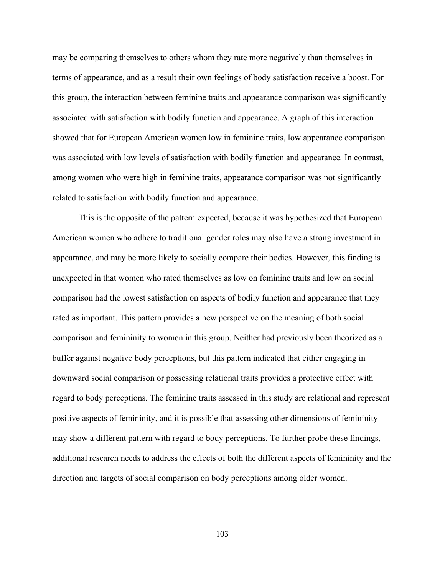may be comparing themselves to others whom they rate more negatively than themselves in terms of appearance, and as a result their own feelings of body satisfaction receive a boost. For this group, the interaction between feminine traits and appearance comparison was significantly associated with satisfaction with bodily function and appearance. A graph of this interaction showed that for European American women low in feminine traits, low appearance comparison was associated with low levels of satisfaction with bodily function and appearance*.* In contrast, among women who were high in feminine traits, appearance comparison was not significantly related to satisfaction with bodily function and appearance.

This is the opposite of the pattern expected, because it was hypothesized that European American women who adhere to traditional gender roles may also have a strong investment in appearance, and may be more likely to socially compare their bodies. However, this finding is unexpected in that women who rated themselves as low on feminine traits and low on social comparison had the lowest satisfaction on aspects of bodily function and appearance that they rated as important. This pattern provides a new perspective on the meaning of both social comparison and femininity to women in this group. Neither had previously been theorized as a buffer against negative body perceptions, but this pattern indicated that either engaging in downward social comparison or possessing relational traits provides a protective effect with regard to body perceptions. The feminine traits assessed in this study are relational and represent positive aspects of femininity, and it is possible that assessing other dimensions of femininity may show a different pattern with regard to body perceptions. To further probe these findings, additional research needs to address the effects of both the different aspects of femininity and the direction and targets of social comparison on body perceptions among older women.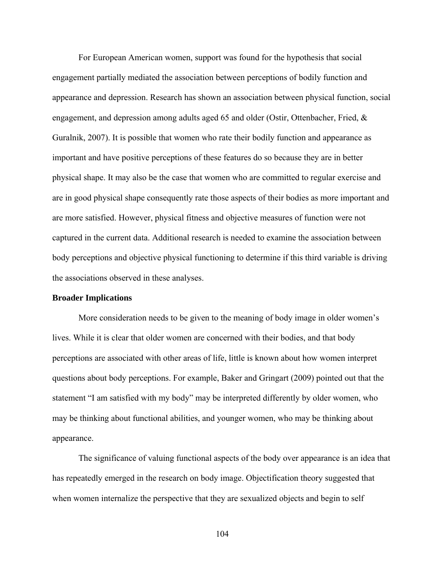For European American women, support was found for the hypothesis that social engagement partially mediated the association between perceptions of bodily function and appearance and depression. Research has shown an association between physical function, social engagement, and depression among adults aged 65 and older (Ostir, Ottenbacher, Fried, & Guralnik, 2007). It is possible that women who rate their bodily function and appearance as important and have positive perceptions of these features do so because they are in better physical shape. It may also be the case that women who are committed to regular exercise and are in good physical shape consequently rate those aspects of their bodies as more important and are more satisfied. However, physical fitness and objective measures of function were not captured in the current data. Additional research is needed to examine the association between body perceptions and objective physical functioning to determine if this third variable is driving the associations observed in these analyses.

### **Broader Implications**

More consideration needs to be given to the meaning of body image in older women's lives. While it is clear that older women are concerned with their bodies, and that body perceptions are associated with other areas of life, little is known about how women interpret questions about body perceptions. For example, Baker and Gringart (2009) pointed out that the statement "I am satisfied with my body" may be interpreted differently by older women, who may be thinking about functional abilities, and younger women, who may be thinking about appearance.

The significance of valuing functional aspects of the body over appearance is an idea that has repeatedly emerged in the research on body image. Objectification theory suggested that when women internalize the perspective that they are sexualized objects and begin to self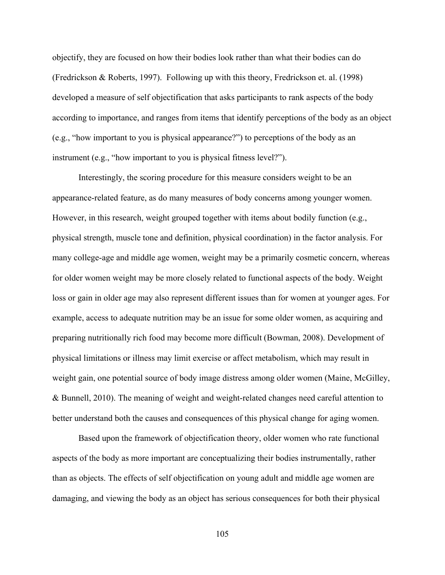objectify, they are focused on how their bodies look rather than what their bodies can do (Fredrickson & Roberts, 1997). Following up with this theory, Fredrickson et. al. (1998) developed a measure of self objectification that asks participants to rank aspects of the body according to importance, and ranges from items that identify perceptions of the body as an object (e.g., "how important to you is physical appearance?") to perceptions of the body as an instrument (e.g., "how important to you is physical fitness level?").

Interestingly, the scoring procedure for this measure considers weight to be an appearance-related feature, as do many measures of body concerns among younger women. However, in this research, weight grouped together with items about bodily function (e.g., physical strength, muscle tone and definition, physical coordination) in the factor analysis. For many college-age and middle age women, weight may be a primarily cosmetic concern, whereas for older women weight may be more closely related to functional aspects of the body. Weight loss or gain in older age may also represent different issues than for women at younger ages. For example, access to adequate nutrition may be an issue for some older women, as acquiring and preparing nutritionally rich food may become more difficult (Bowman, 2008). Development of physical limitations or illness may limit exercise or affect metabolism, which may result in weight gain, one potential source of body image distress among older women (Maine, McGilley, & Bunnell, 2010). The meaning of weight and weight-related changes need careful attention to better understand both the causes and consequences of this physical change for aging women.

Based upon the framework of objectification theory, older women who rate functional aspects of the body as more important are conceptualizing their bodies instrumentally, rather than as objects. The effects of self objectification on young adult and middle age women are damaging, and viewing the body as an object has serious consequences for both their physical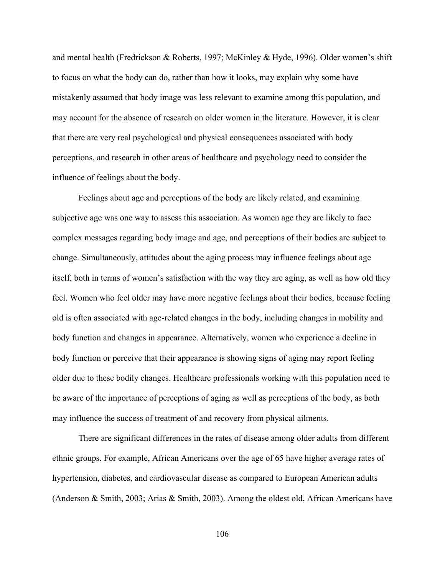and mental health (Fredrickson & Roberts, 1997; McKinley & Hyde, 1996). Older women's shift to focus on what the body can do, rather than how it looks, may explain why some have mistakenly assumed that body image was less relevant to examine among this population, and may account for the absence of research on older women in the literature. However, it is clear that there are very real psychological and physical consequences associated with body perceptions, and research in other areas of healthcare and psychology need to consider the influence of feelings about the body.

 Feelings about age and perceptions of the body are likely related, and examining subjective age was one way to assess this association. As women age they are likely to face complex messages regarding body image and age, and perceptions of their bodies are subject to change. Simultaneously, attitudes about the aging process may influence feelings about age itself, both in terms of women's satisfaction with the way they are aging, as well as how old they feel. Women who feel older may have more negative feelings about their bodies, because feeling old is often associated with age-related changes in the body, including changes in mobility and body function and changes in appearance. Alternatively, women who experience a decline in body function or perceive that their appearance is showing signs of aging may report feeling older due to these bodily changes. Healthcare professionals working with this population need to be aware of the importance of perceptions of aging as well as perceptions of the body, as both may influence the success of treatment of and recovery from physical ailments.

There are significant differences in the rates of disease among older adults from different ethnic groups. For example, African Americans over the age of 65 have higher average rates of hypertension, diabetes, and cardiovascular disease as compared to European American adults (Anderson & Smith, 2003; Arias & Smith, 2003). Among the oldest old, African Americans have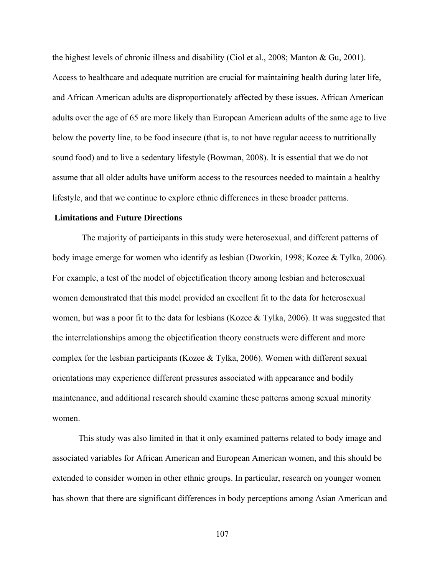the highest levels of chronic illness and disability (Ciol et al., 2008; Manton & Gu, 2001). Access to healthcare and adequate nutrition are crucial for maintaining health during later life, and African American adults are disproportionately affected by these issues. African American adults over the age of 65 are more likely than European American adults of the same age to live below the poverty line, to be food insecure (that is, to not have regular access to nutritionally sound food) and to live a sedentary lifestyle (Bowman, 2008). It is essential that we do not assume that all older adults have uniform access to the resources needed to maintain a healthy lifestyle, and that we continue to explore ethnic differences in these broader patterns.

### **Limitations and Future Directions**

The majority of participants in this study were heterosexual, and different patterns of body image emerge for women who identify as lesbian (Dworkin, 1998; Kozee & Tylka, 2006). For example, a test of the model of objectification theory among lesbian and heterosexual women demonstrated that this model provided an excellent fit to the data for heterosexual women, but was a poor fit to the data for lesbians (Kozee & Tylka, 2006). It was suggested that the interrelationships among the objectification theory constructs were different and more complex for the lesbian participants (Kozee & Tylka, 2006). Women with different sexual orientations may experience different pressures associated with appearance and bodily maintenance, and additional research should examine these patterns among sexual minority women.

This study was also limited in that it only examined patterns related to body image and associated variables for African American and European American women, and this should be extended to consider women in other ethnic groups. In particular, research on younger women has shown that there are significant differences in body perceptions among Asian American and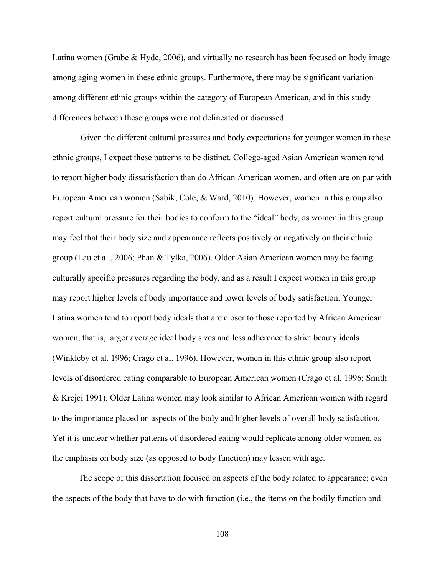Latina women (Grabe & Hyde, 2006), and virtually no research has been focused on body image among aging women in these ethnic groups. Furthermore, there may be significant variation among different ethnic groups within the category of European American, and in this study differences between these groups were not delineated or discussed.

 Given the different cultural pressures and body expectations for younger women in these ethnic groups, I expect these patterns to be distinct. College-aged Asian American women tend to report higher body dissatisfaction than do African American women, and often are on par with European American women (Sabik, Cole, & Ward, 2010). However, women in this group also report cultural pressure for their bodies to conform to the "ideal" body, as women in this group may feel that their body size and appearance reflects positively or negatively on their ethnic group (Lau et al., 2006; Phan & Tylka, 2006). Older Asian American women may be facing culturally specific pressures regarding the body, and as a result I expect women in this group may report higher levels of body importance and lower levels of body satisfaction. Younger Latina women tend to report body ideals that are closer to those reported by African American women, that is, larger average ideal body sizes and less adherence to strict beauty ideals (Winkleby et al. 1996; Crago et al. 1996). However, women in this ethnic group also report levels of disordered eating comparable to European American women (Crago et al. 1996; Smith & Krejci 1991). Older Latina women may look similar to African American women with regard to the importance placed on aspects of the body and higher levels of overall body satisfaction. Yet it is unclear whether patterns of disordered eating would replicate among older women, as the emphasis on body size (as opposed to body function) may lessen with age.

The scope of this dissertation focused on aspects of the body related to appearance; even the aspects of the body that have to do with function (i.e., the items on the bodily function and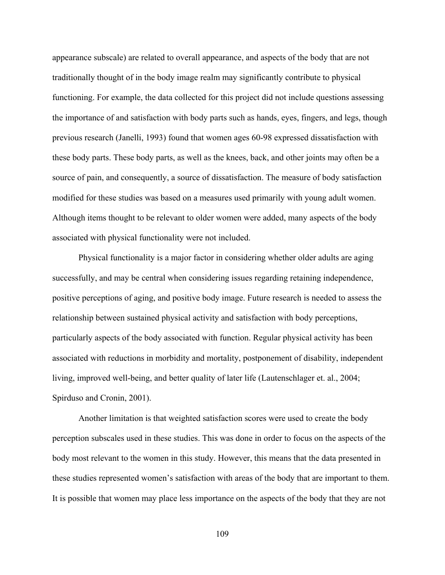appearance subscale) are related to overall appearance, and aspects of the body that are not traditionally thought of in the body image realm may significantly contribute to physical functioning. For example, the data collected for this project did not include questions assessing the importance of and satisfaction with body parts such as hands, eyes, fingers, and legs, though previous research (Janelli, 1993) found that women ages 60-98 expressed dissatisfaction with these body parts. These body parts, as well as the knees, back, and other joints may often be a source of pain, and consequently, a source of dissatisfaction. The measure of body satisfaction modified for these studies was based on a measures used primarily with young adult women. Although items thought to be relevant to older women were added, many aspects of the body associated with physical functionality were not included.

Physical functionality is a major factor in considering whether older adults are aging successfully, and may be central when considering issues regarding retaining independence, positive perceptions of aging, and positive body image. Future research is needed to assess the relationship between sustained physical activity and satisfaction with body perceptions, particularly aspects of the body associated with function. Regular physical activity has been associated with reductions in morbidity and mortality, postponement of disability, independent living, improved well-being, and better quality of later life (Lautenschlager et. al., 2004; Spirduso and Cronin, 2001).

Another limitation is that weighted satisfaction scores were used to create the body perception subscales used in these studies. This was done in order to focus on the aspects of the body most relevant to the women in this study. However, this means that the data presented in these studies represented women's satisfaction with areas of the body that are important to them. It is possible that women may place less importance on the aspects of the body that they are not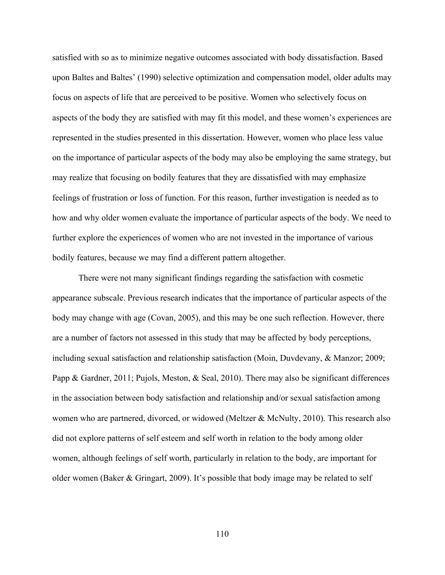satisfied with so as to minimize negative outcomes associated with body dissatisfaction. Based upon Baltes and Baltes' (1990) selective optimization and compensation model, older adults may focus on aspects of life that are perceived to be positive. Women who selectively focus on aspects of the body they are satisfied with may fit this model, and these women's experiences are represented in the studies presented in this dissertation. However, women who place less value on the importance of particular aspects of the body may also be employing the same strategy, but may realize that focusing on bodily features that they are dissatisfied with may emphasize feelings of frustration or loss of function. For this reason, further investigation is needed as to how and why older women evaluate the importance of particular aspects of the body. We need to further explore the experiences of women who are not invested in the importance of various bodily features, because we may find a different pattern altogether.

There were not many significant findings regarding the satisfaction with cosmetic appearance subscale. Previous research indicates that the importance of particular aspects of the body may change with age (Covan, 2005), and this may be one such reflection. However, there are a number of factors not assessed in this study that may be affected by body perceptions, including sexual satisfaction and relationship satisfaction (Moin, Duvdevany, & Manzor; 2009; Papp & Gardner, 2011; Pujols, Meston, & Seal, 2010). There may also be significant differences in the association between body satisfaction and relationship and/or sexual satisfaction among women who are partnered, divorced, or widowed (Meltzer & McNulty, 2010). This research also did not explore patterns of self esteem and self worth in relation to the body among older women, although feelings of self worth, particularly in relation to the body, are important for older women (Baker & Gringart, 2009). It's possible that body image may be related to self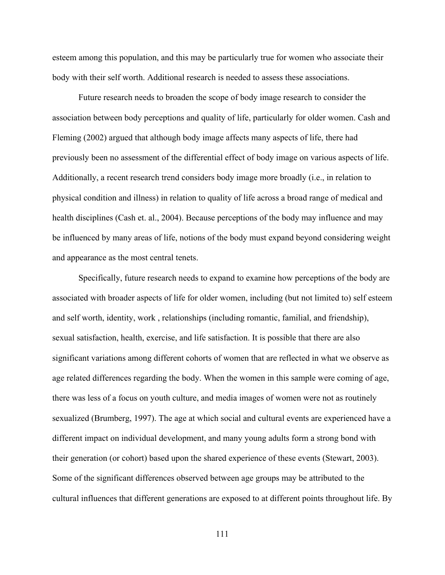esteem among this population, and this may be particularly true for women who associate their body with their self worth. Additional research is needed to assess these associations.

Future research needs to broaden the scope of body image research to consider the association between body perceptions and quality of life, particularly for older women. Cash and Fleming (2002) argued that although body image affects many aspects of life, there had previously been no assessment of the differential effect of body image on various aspects of life. Additionally, a recent research trend considers body image more broadly (i.e., in relation to physical condition and illness) in relation to quality of life across a broad range of medical and health disciplines (Cash et. al., 2004). Because perceptions of the body may influence and may be influenced by many areas of life, notions of the body must expand beyond considering weight and appearance as the most central tenets.

Specifically, future research needs to expand to examine how perceptions of the body are associated with broader aspects of life for older women, including (but not limited to) self esteem and self worth, identity, work , relationships (including romantic, familial, and friendship), sexual satisfaction, health, exercise, and life satisfaction. It is possible that there are also significant variations among different cohorts of women that are reflected in what we observe as age related differences regarding the body. When the women in this sample were coming of age, there was less of a focus on youth culture, and media images of women were not as routinely sexualized (Brumberg, 1997). The age at which social and cultural events are experienced have a different impact on individual development, and many young adults form a strong bond with their generation (or cohort) based upon the shared experience of these events (Stewart, 2003). Some of the significant differences observed between age groups may be attributed to the cultural influences that different generations are exposed to at different points throughout life. By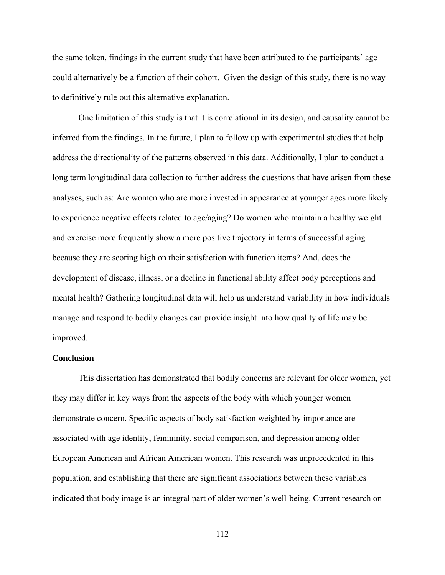the same token, findings in the current study that have been attributed to the participants' age could alternatively be a function of their cohort. Given the design of this study, there is no way to definitively rule out this alternative explanation.

One limitation of this study is that it is correlational in its design, and causality cannot be inferred from the findings. In the future, I plan to follow up with experimental studies that help address the directionality of the patterns observed in this data. Additionally, I plan to conduct a long term longitudinal data collection to further address the questions that have arisen from these analyses, such as: Are women who are more invested in appearance at younger ages more likely to experience negative effects related to age/aging? Do women who maintain a healthy weight and exercise more frequently show a more positive trajectory in terms of successful aging because they are scoring high on their satisfaction with function items? And, does the development of disease, illness, or a decline in functional ability affect body perceptions and mental health? Gathering longitudinal data will help us understand variability in how individuals manage and respond to bodily changes can provide insight into how quality of life may be improved.

### **Conclusion**

This dissertation has demonstrated that bodily concerns are relevant for older women, yet they may differ in key ways from the aspects of the body with which younger women demonstrate concern. Specific aspects of body satisfaction weighted by importance are associated with age identity, femininity, social comparison, and depression among older European American and African American women. This research was unprecedented in this population, and establishing that there are significant associations between these variables indicated that body image is an integral part of older women's well-being. Current research on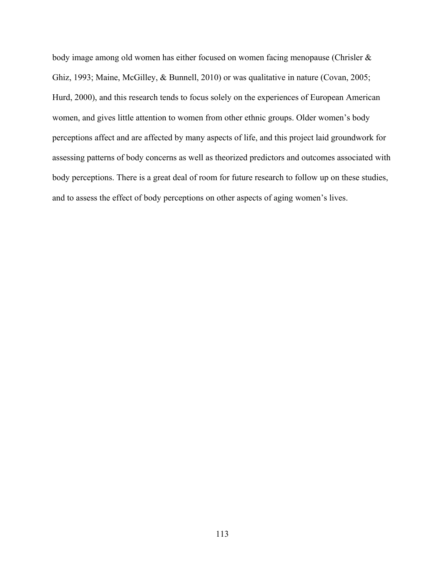body image among old women has either focused on women facing menopause (Chrisler & Ghiz, 1993; Maine, McGilley, & Bunnell, 2010) or was qualitative in nature (Covan, 2005; Hurd, 2000), and this research tends to focus solely on the experiences of European American women, and gives little attention to women from other ethnic groups. Older women's body perceptions affect and are affected by many aspects of life, and this project laid groundwork for assessing patterns of body concerns as well as theorized predictors and outcomes associated with body perceptions. There is a great deal of room for future research to follow up on these studies, and to assess the effect of body perceptions on other aspects of aging women's lives.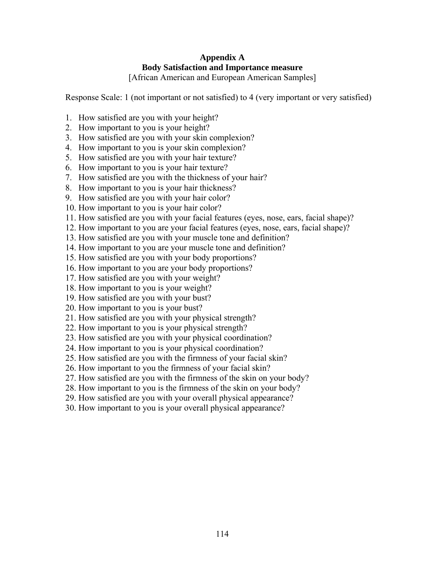### **Appendix A Body Satisfaction and Importance measure**

[African American and European American Samples]

Response Scale: 1 (not important or not satisfied) to 4 (very important or very satisfied)

- 1. How satisfied are you with your height?
- 2. How important to you is your height?
- 3. How satisfied are you with your skin complexion?
- 4. How important to you is your skin complexion?
- 5. How satisfied are you with your hair texture?
- 6. How important to you is your hair texture?
- 7. How satisfied are you with the thickness of your hair?
- 8. How important to you is your hair thickness?
- 9. How satisfied are you with your hair color?
- 10. How important to you is your hair color?
- 11. How satisfied are you with your facial features (eyes, nose, ears, facial shape)?
- 12. How important to you are your facial features (eyes, nose, ears, facial shape)?
- 13. How satisfied are you with your muscle tone and definition?
- 14. How important to you are your muscle tone and definition?
- 15. How satisfied are you with your body proportions?
- 16. How important to you are your body proportions?
- 17. How satisfied are you with your weight?
- 18. How important to you is your weight?
- 19. How satisfied are you with your bust?
- 20. How important to you is your bust?
- 21. How satisfied are you with your physical strength?
- 22. How important to you is your physical strength?
- 23. How satisfied are you with your physical coordination?
- 24. How important to you is your physical coordination?
- 25. How satisfied are you with the firmness of your facial skin?
- 26. How important to you the firmness of your facial skin?
- 27. How satisfied are you with the firmness of the skin on your body?
- 28. How important to you is the firmness of the skin on your body?
- 29. How satisfied are you with your overall physical appearance?
- 30. How important to you is your overall physical appearance?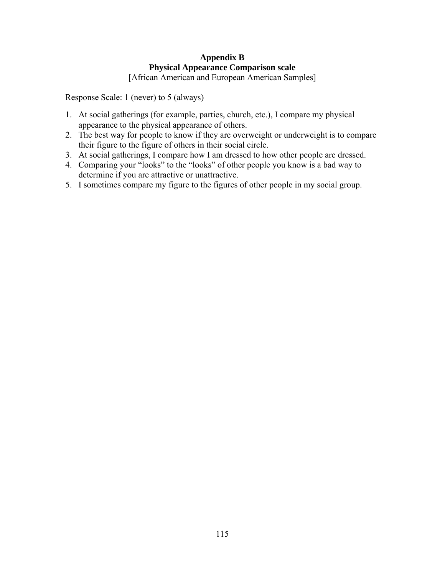## **Appendix B Physical Appearance Comparison scale**

[African American and European American Samples]

Response Scale: 1 (never) to 5 (always)

- 1. At social gatherings (for example, parties, church, etc.), I compare my physical appearance to the physical appearance of others.
- 2. The best way for people to know if they are overweight or underweight is to compare their figure to the figure of others in their social circle.
- 3. At social gatherings, I compare how I am dressed to how other people are dressed.
- 4. Comparing your "looks" to the "looks" of other people you know is a bad way to determine if you are attractive or unattractive.
- 5. I sometimes compare my figure to the figures of other people in my social group.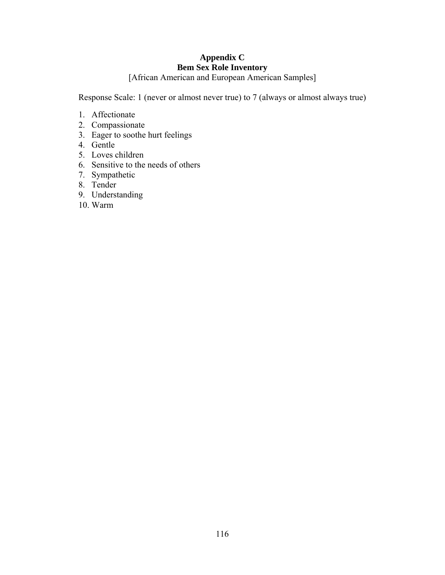## **Appendix C Bem Sex Role Inventory**

[African American and European American Samples]

Response Scale: 1 (never or almost never true) to 7 (always or almost always true)

- 1. Affectionate
- 2. Compassionate
- 3. Eager to soothe hurt feelings
- 4. Gentle
- 5. Loves children
- 6. Sensitive to the needs of others
- 7. Sympathetic
- 8. Tender
- 9. Understanding
- 10. Warm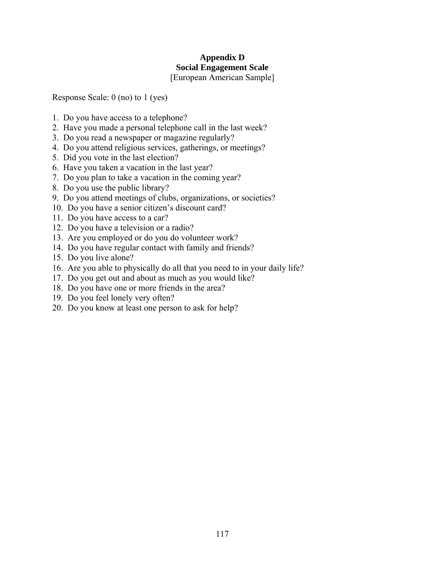# **Appendix D Social Engagement Scale**

[European American Sample]

Response Scale: 0 (no) to 1 (yes)

- 1. Do you have access to a telephone?
- 2. Have you made a personal telephone call in the last week?
- 3. Do you read a newspaper or magazine regularly?
- 4. Do you attend religious services, gatherings, or meetings?
- 5. Did you vote in the last election?
- 6. Have you taken a vacation in the last year?
- 7. Do you plan to take a vacation in the coming year?
- 8. Do you use the public library?
- 9. Do you attend meetings of clubs, organizations, or societies?
- 10. Do you have a senior citizen's discount card?
- 11. Do you have access to a car?
- 12. Do you have a television or a radio?
- 13. Are you employed or do you do volunteer work?
- 14. Do you have regular contact with family and friends?
- 15. Do you live alone?
- 16. Are you able to physically do all that you need to in your daily life?
- 17. Do you get out and about as much as you would like?
- 18. Do you have one or more friends in the area?
- 19. Do you feel lonely very often?
- 20. Do you know at least one person to ask for help?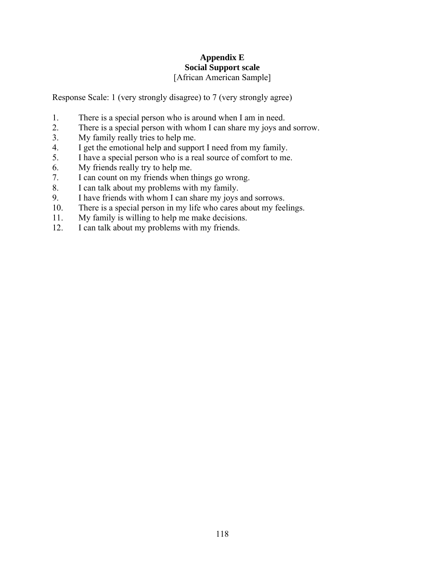### **Appendix E Social Support scale**  [African American Sample]

Response Scale: 1 (very strongly disagree) to 7 (very strongly agree)

- 1. There is a special person who is around when I am in need.
- 2. There is a special person with whom I can share my joys and sorrow.
- 3. My family really tries to help me.
- 4. I get the emotional help and support I need from my family.
- 5. I have a special person who is a real source of comfort to me.
- 6. My friends really try to help me.
- 7. I can count on my friends when things go wrong.
- 8. I can talk about my problems with my family.
- 9. I have friends with whom I can share my joys and sorrows.
- 10. There is a special person in my life who cares about my feelings.
- 11. My family is willing to help me make decisions.
- 12. I can talk about my problems with my friends.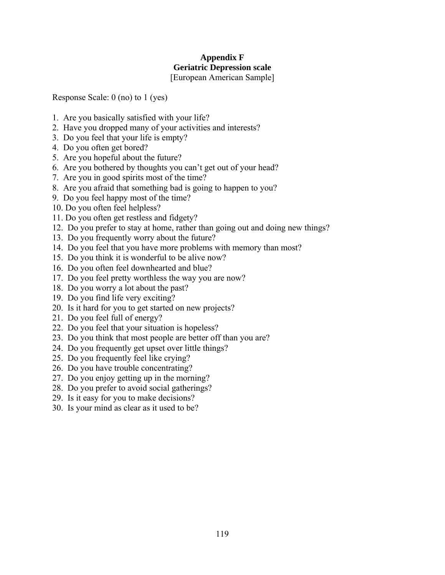# **Appendix F Geriatric Depression scale**

[European American Sample]

Response Scale: 0 (no) to 1 (yes)

- 1. Are you basically satisfied with your life?
- 2. Have you dropped many of your activities and interests?
- 3. Do you feel that your life is empty?
- 4. Do you often get bored?
- 5. Are you hopeful about the future?
- 6. Are you bothered by thoughts you can't get out of your head?
- 7. Are you in good spirits most of the time?
- 8. Are you afraid that something bad is going to happen to you?
- 9. Do you feel happy most of the time?
- 10. Do you often feel helpless?
- 11. Do you often get restless and fidgety?
- 12. Do you prefer to stay at home, rather than going out and doing new things?
- 13. Do you frequently worry about the future?
- 14. Do you feel that you have more problems with memory than most?
- 15. Do you think it is wonderful to be alive now?
- 16. Do you often feel downhearted and blue?
- 17. Do you feel pretty worthless the way you are now?
- 18. Do you worry a lot about the past?
- 19. Do you find life very exciting?
- 20. Is it hard for you to get started on new projects?
- 21. Do you feel full of energy?
- 22. Do you feel that your situation is hopeless?
- 23. Do you think that most people are better off than you are?
- 24. Do you frequently get upset over little things?
- 25. Do you frequently feel like crying?
- 26. Do you have trouble concentrating?
- 27. Do you enjoy getting up in the morning?
- 28. Do you prefer to avoid social gatherings?
- 29. Is it easy for you to make decisions?
- 30. Is your mind as clear as it used to be?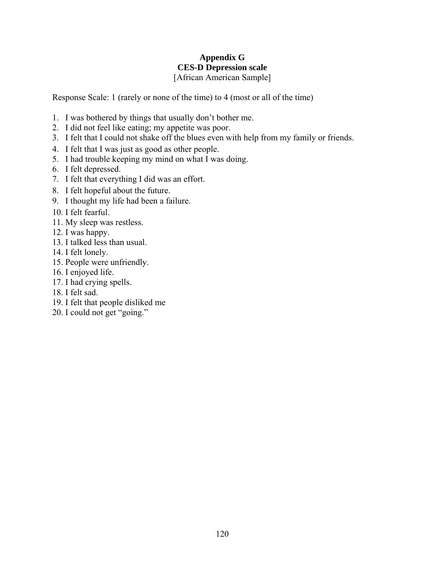### **Appendix G CES-D Depression scale**  [African American Sample]

Response Scale: 1 (rarely or none of the time) to 4 (most or all of the time)

- 1. I was bothered by things that usually don't bother me.
- 2. I did not feel like eating; my appetite was poor.
- 3. I felt that I could not shake off the blues even with help from my family or friends.
- 4. I felt that I was just as good as other people.
- 5. I had trouble keeping my mind on what I was doing.
- 6. I felt depressed.
- 7. I felt that everything I did was an effort.
- 8. I felt hopeful about the future.
- 9. I thought my life had been a failure.
- 10. I felt fearful.
- 11. My sleep was restless.
- 12. I was happy.
- 13. I talked less than usual.
- 14. I felt lonely.
- 15. People were unfriendly.
- 16. I enjoyed life.
- 17. I had crying spells.
- 18. I felt sad.
- 19. I felt that people disliked me
- 20. I could not get "going."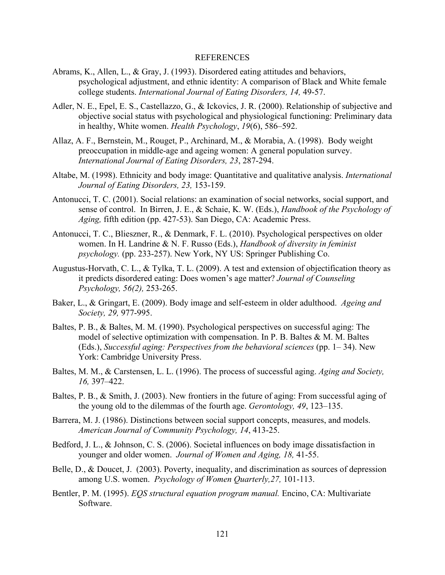#### REFERENCES

- Abrams, K., Allen, L., & Gray, J. (1993). Disordered eating attitudes and behaviors, psychological adjustment, and ethnic identity: A comparison of Black and White female college students. *International Journal of Eating Disorders, 14,* 49-57.
- Adler, N. E., Epel, E. S., Castellazzo, G., & Ickovics, J. R. (2000). Relationship of subjective and objective social status with psychological and physiological functioning: Preliminary data in healthy, White women. *Health Psychology*, *19*(6), 586–592.
- Allaz, A. F., Bernstein, M., Rouget, P., Archinard, M., & Morabia, A. (1998). Body weight preoccupation in middle-age and ageing women: A general population survey. *International Journal of Eating Disorders, 23*, 287-294.
- Altabe, M. (1998). Ethnicity and body image: Quantitative and qualitative analysis. *International Journal of Eating Disorders, 23,* 153-159.
- Antonucci, T. C. (2001). Social relations: an examination of social networks, social support, and sense of control. In Birren, J. E., & Schaie, K. W. (Eds.), *Handbook of the Psychology of Aging,* fifth edition (pp. 427-53). San Diego, CA: Academic Press.
- Antonucci, T. C., Blieszner, R., & Denmark, F. L. (2010). Psychological perspectives on older women. In H. Landrine & N. F. Russo (Eds.), *Handbook of diversity in feminist psychology.* (pp. 233-257). New York, NY US: Springer Publishing Co.
- Augustus-Horvath, C. L., & Tylka, T. L. (2009). A test and extension of objectification theory as it predicts disordered eating: Does women's age matter? *Journal of Counseling Psychology, 56(2),* 253-265.
- Baker, L., & Gringart, E. (2009). Body image and self-esteem in older adulthood. *Ageing and Society, 29,* 977-995.
- Baltes, P. B., & Baltes, M. M. (1990). Psychological perspectives on successful aging: The model of selective optimization with compensation. In P. B. Baltes  $\&$  M. M. Baltes (Eds.), *Successful aging: Perspectives from the behavioral sciences* (pp. 1– 34). New York: Cambridge University Press.
- Baltes, M. M., & Carstensen, L. L. (1996). The process of successful aging. *Aging and Society, 16,* 397–422.
- Baltes, P. B., & Smith, J. (2003). New frontiers in the future of aging: From successful aging of the young old to the dilemmas of the fourth age. *Gerontology, 49*, 123–135.
- Barrera, M. J. (1986). Distinctions between social support concepts, measures, and models. *American Journal of Community Psychology, 14*, 413-25.
- Bedford, J. L., & Johnson, C. S. (2006). Societal influences on body image dissatisfaction in younger and older women. *Journal of Women and Aging, 18,* 41-55.
- Belle, D., & Doucet, J. (2003). Poverty, inequality, and discrimination as sources of depression among U.S. women. *Psychology of Women Quarterly,27,* 101-113.
- Bentler, P. M. (1995). *EQS structural equation program manual.* Encino, CA: Multivariate Software.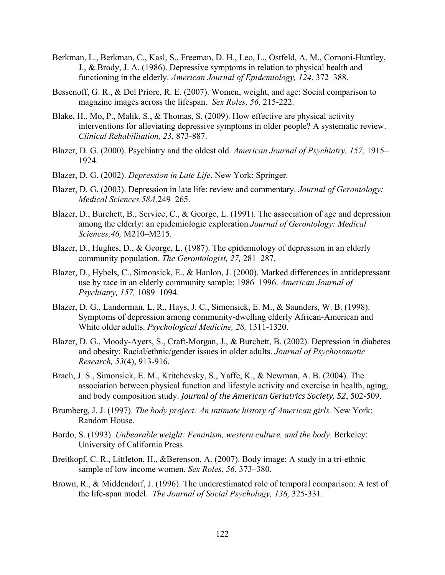- Berkman, L., Berkman, C., Kasl, S., Freeman, D. H., Leo, L., Ostfeld, A. M., Cornoni-Huntley, J., & Brody, J. A. (1986). Depressive symptoms in relation to physical health and functioning in the elderly. *American Journal of Epidemiology, 124*, 372–388.
- Bessenoff, G. R., & Del Priore, R. E. (2007). Women, weight, and age: Social comparison to magazine images across the lifespan. *Sex Roles, 56,* 215-222.
- Blake, H., Mo, P., Malik, S., & Thomas, S. (2009). How effective are physical activity interventions for alleviating depressive symptoms in older people? A systematic review. *Clinical Rehabilitation, 23*, 873-887.
- Blazer, D. G. (2000). Psychiatry and the oldest old. *American Journal of Psychiatry, 157,* 1915– 1924.
- Blazer, D. G. (2002). *Depression in Late Life*. New York: Springer.
- Blazer, D. G. (2003). Depression in late life: review and commentary. *Journal of Gerontology: Medical Sciences,58A,*249–265.
- Blazer, D., Burchett, B., Service, C., & George, L. (1991). The association of age and depression among the elderly: an epidemiologic exploration *Journal of Gerontology: Medical Sciences,46,* M210–M215.
- Blazer, D., Hughes, D., & George, L. (1987). The epidemiology of depression in an elderly community population. *The Gerontologist, 27,* 281–287.
- Blazer, D., Hybels, C., Simonsick, E., & Hanlon, J. (2000). Marked differences in antidepressant use by race in an elderly community sample: 1986–1996. *American Journal of Psychiatry, 157,* 1089–1094.
- Blazer, D. G., Landerman, L. R., Hays, J. C., Simonsick, E. M., & Saunders, W. B. (1998). Symptoms of depression among community-dwelling elderly African-American and White older adults. *Psychological Medicine, 28,* 1311-1320.
- Blazer, D. G., Moody-Ayers, S., Craft-Morgan, J., & Burchett, B. (2002). Depression in diabetes and obesity: Racial/ethnic/gender issues in older adults. *Journal of Psychosomatic Research, 53*(4), 913-916.
- Brach, J. S., Simonsick, E. M., Kritchevsky, S., Yaffe, K., & Newman, A. B. (2004). The association between physical function and lifestyle activity and exercise in health, aging, and body composition study. *Journal of the American Geriatrics Society, 52*, 502-509.
- Brumberg, J. J. (1997). *The body project: An intimate history of American girls.* New York: Random House.
- Bordo, S. (1993). *Unbearable weight: Feminism, western culture, and the body.* Berkeley: University of California Press.
- Breitkopf, C. R., Littleton, H., &Berenson, A. (2007). Body image: A study in a tri-ethnic sample of low income women. *Sex Roles*, *56*, 373–380.
- Brown, R., & Middendorf, J. (1996). The underestimated role of temporal comparison: A test of the life-span model. *The Journal of Social Psychology, 136,* 325-331.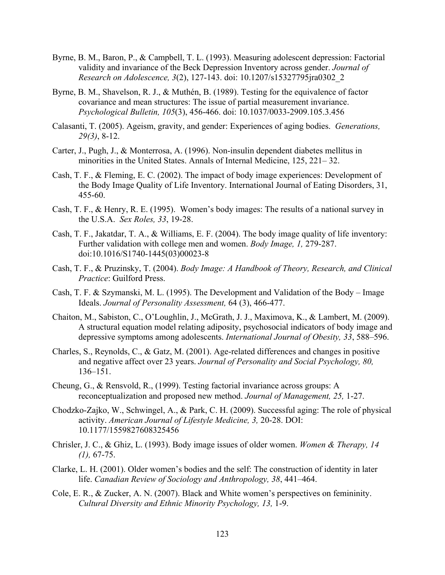- Byrne, B. M., Baron, P., & Campbell, T. L. (1993). Measuring adolescent depression: Factorial validity and invariance of the Beck Depression Inventory across gender. *Journal of Research on Adolescence, 3*(2), 127-143. doi: 10.1207/s15327795jra0302\_2
- Byrne, B. M., Shavelson, R. J., & Muthén, B. (1989). Testing for the equivalence of factor covariance and mean structures: The issue of partial measurement invariance. *Psychological Bulletin, 105*(3), 456-466. doi: 10.1037/0033-2909.105.3.456
- Calasanti, T. (2005). Ageism, gravity, and gender: Experiences of aging bodies. *Generations, 29(3)*, 8-12.
- Carter, J., Pugh, J., & Monterrosa, A. (1996). Non-insulin dependent diabetes mellitus in minorities in the United States. Annals of Internal Medicine, 125, 221– 32.
- Cash, T. F., & Fleming, E. C. (2002). The impact of body image experiences: Development of the Body Image Quality of Life Inventory. International Journal of Eating Disorders, 31, 455-60.
- Cash, T. F., & Henry, R. E. (1995). Women's body images: The results of a national survey in the U.S.A. *Sex Roles, 33*, 19-28.
- Cash, T. F., Jakatdar, T. A., & Williams, E. F. (2004). The body image quality of life inventory: Further validation with college men and women. *Body Image, 1,* 279-287. doi:10.1016/S1740-1445(03)00023-8
- Cash, T. F., & Pruzinsky, T. (2004). *Body Image: A Handbook of Theory, Research, and Clinical Practice*: Guilford Press.
- Cash, T. F. & Szymanski, M. L. (1995). The Development and Validation of the Body Image Ideals. *Journal of Personality Assessment,* 64 (3), 466-477.
- Chaiton, M., Sabiston, C., O'Loughlin, J., McGrath, J. J., Maximova, K., & Lambert, M. (2009). A structural equation model relating adiposity, psychosocial indicators of body image and depressive symptoms among adolescents. *International Journal of Obesity, 33*, 588–596.
- Charles, S., Reynolds, C., & Gatz, M. (2001). Age-related differences and changes in positive and negative affect over 23 years. *Journal of Personality and Social Psychology, 80,* 136–151.
- Cheung, G., & Rensvold, R., (1999). Testing factorial invariance across groups: A reconceptualization and proposed new method. *Journal of Management, 25,* 1-27.
- Chodzko-Zajko, W., Schwingel, A., & Park, C. H. (2009). Successful aging: The role of physical activity. *American Journal of Lifestyle Medicine, 3,* 20-28. DOI: 10.1177/1559827608325456
- Chrisler, J. C., & Ghiz, L. (1993). Body image issues of older women. *Women & Therapy, 14 (1),* 67-75.
- Clarke, L. H. (2001). Older women's bodies and the self: The construction of identity in later life. *Canadian Review of Sociology and Anthropology, 38*, 441–464.
- Cole, E. R., & Zucker, A. N. (2007). Black and White women's perspectives on femininity. *Cultural Diversity and Ethnic Minority Psychology, 13,* 1-9.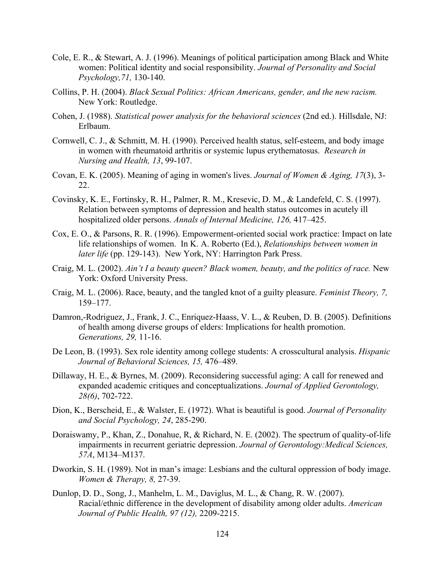- Cole, E. R., & Stewart, A. J. (1996). Meanings of political participation among Black and White women: Political identity and social responsibility. *Journal of Personality and Social Psychology,71,* 130-140.
- Collins, P. H. (2004). *Black Sexual Politics: African Americans, gender, and the new racism.*  New York: Routledge.
- Cohen, J. (1988). *Statistical power analysis for the behavioral sciences* (2nd ed.). Hillsdale, NJ: Erlbaum.
- Cornwell, C. J., & Schmitt, M. H. (1990). Perceived health status, self-esteem, and body image in women with rheumatoid arthritis or systemic lupus erythematosus. *Research in Nursing and Health, 13*, 99-107.
- Covan, E. K. (2005). Meaning of aging in women's lives. *Journal of Women & Aging, 17*(3), 3- 22.
- Covinsky, K. E., Fortinsky, R. H., Palmer, R. M., Kresevic, D. M., & Landefeld, C. S. (1997). Relation between symptoms of depression and health status outcomes in acutely ill hospitalized older persons. *Annals of Internal Medicine, 126,* 417–425.
- Cox, E. O., & Parsons, R. R. (1996). Empowerment-oriented social work practice: Impact on late life relationships of women. In K. A. Roberto (Ed.), *Relationships between women in later life* (pp. 129-143). New York, NY: Harrington Park Press.
- Craig, M. L. (2002). *Ain't I a beauty queen? Black women, beauty, and the politics of race.* New York: Oxford University Press.
- Craig, M. L. (2006). Race, beauty, and the tangled knot of a guilty pleasure. *Feminist Theory, 7,*  159–177.
- Damron,-Rodriguez, J., Frank, J. C., Enriquez-Haass, V. L., & Reuben, D. B. (2005). Definitions of health among diverse groups of elders: Implications for health promotion. *Generations, 29,* 11-16.
- De Leon, B. (1993). Sex role identity among college students: A crosscultural analysis. *Hispanic Journal of Behavioral Sciences, 15,* 476–489.
- Dillaway, H. E., & Byrnes, M. (2009). Reconsidering successful aging: A call for renewed and expanded academic critiques and conceptualizations. *Journal of Applied Gerontology, 28(6)*, 702-722.
- Dion, K., Berscheid, E., & Walster, E. (1972). What is beautiful is good. *Journal of Personality and Social Psychology, 24*, 285-290.
- Doraiswamy, P., Khan, Z., Donahue, R, & Richard, N. E. (2002). The spectrum of quality-of-life impairments in recurrent geriatric depression. *Journal of Gerontology:Medical Sciences, 57A*, M134–M137.
- Dworkin, S. H. (1989). Not in man's image: Lesbians and the cultural oppression of body image. *Women & Therapy, 8,* 27-39.
- Dunlop, D. D., Song, J., Manhelm, L. M., Daviglus, M. L., & Chang, R. W. (2007). Racial/ethnic difference in the development of disability among older adults. *American Journal of Public Health, 97 (12),* 2209-2215.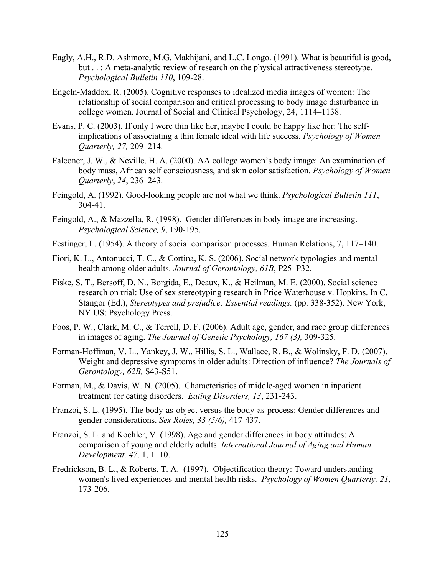- Eagly, A.H., R.D. Ashmore, M.G. Makhijani, and L.C. Longo. (1991). What is beautiful is good, but . . : A meta-analytic review of research on the physical attractiveness stereotype. *Psychological Bulletin 110*, 109-28.
- Engeln-Maddox, R. (2005). Cognitive responses to idealized media images of women: The relationship of social comparison and critical processing to body image disturbance in college women. Journal of Social and Clinical Psychology, 24, 1114–1138.
- Evans, P. C. (2003). If only I were thin like her, maybe I could be happy like her: The selfimplications of associating a thin female ideal with life success. *Psychology of Women Quarterly, 27,* 209–214.
- Falconer, J. W., & Neville, H. A. (2000). AA college women's body image: An examination of body mass, African self consciousness, and skin color satisfaction. *Psychology of Women Quarterly*, *24*, 236–243.
- Feingold, A. (1992). Good-looking people are not what we think. *Psychological Bulletin 111*, 304-41.
- Feingold, A., & Mazzella, R. (1998). Gender differences in body image are increasing. *Psychological Science, 9*, 190-195.
- Festinger, L. (1954). A theory of social comparison processes. Human Relations, 7, 117–140.
- Fiori, K. L., Antonucci, T. C., & Cortina, K. S. (2006). Social network typologies and mental health among older adults. *Journal of Gerontology, 61B*, P25–P32.
- Fiske, S. T., Bersoff, D. N., Borgida, E., Deaux, K., & Heilman, M. E. (2000). Social science research on trial: Use of sex stereotyping research in Price Waterhouse v. Hopkins. In C. Stangor (Ed.), *Stereotypes and prejudice: Essential readings.* (pp. 338-352). New York, NY US: Psychology Press.
- Foos, P. W., Clark, M. C., & Terrell, D. F. (2006). Adult age, gender, and race group differences in images of aging. *The Journal of Genetic Psychology, 167 (3),* 309-325.
- Forman-Hoffman, V. L., Yankey, J. W., Hillis, S. L., Wallace, R. B., & Wolinsky, F. D. (2007). Weight and depressive symptoms in older adults: Direction of influence? *The Journals of Gerontology, 62B,* S43-S51.
- Forman, M., & Davis, W. N. (2005). Characteristics of middle-aged women in inpatient treatment for eating disorders. *Eating Disorders, 13*, 231-243.
- Franzoi, S. L. (1995). The body-as-object versus the body-as-process: Gender differences and gender considerations. *Sex Roles, 33 (5/6),* 417-437.
- Franzoi, S. L. and Koehler, V. (1998). Age and gender differences in body attitudes: A comparison of young and elderly adults. *International Journal of Aging and Human Development, 47,* 1, 1–10.
- Fredrickson, B. L., & Roberts, T. A. (1997). Objectification theory: Toward understanding women's lived experiences and mental health risks. *Psychology of Women Quarterly, 21*, 173-206.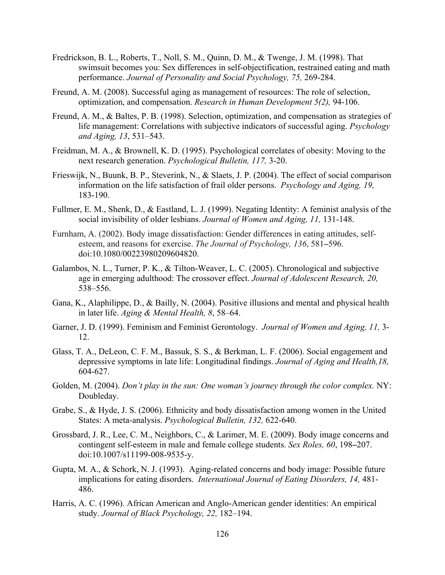- Fredrickson, B. L., Roberts, T., Noll, S. M., Quinn, D. M., & Twenge, J. M. (1998). That swimsuit becomes you: Sex differences in self-objectification, restrained eating and math performance. *Journal of Personality and Social Psychology, 75,* 269-284.
- Freund, A. M. (2008). Successful aging as management of resources: The role of selection, optimization, and compensation. *Research in Human Development 5(2),* 94-106.
- Freund, A. M., & Baltes, P. B. (1998). Selection, optimization, and compensation as strategies of life management: Correlations with subjective indicators of successful aging. *Psychology and Aging, 13*, 531–543.
- Freidman, M. A., & Brownell, K. D. (1995). Psychological correlates of obesity: Moving to the next research generation. *Psychological Bulletin, 117,* 3-20.
- Frieswijk, N., Buunk, B. P., Steverink, N., & Slaets, J. P. (2004). The effect of social comparison information on the life satisfaction of frail older persons. *Psychology and Aging, 19,* 183-190.
- Fullmer, E. M., Shenk, D., & Eastland, L. J. (1999). Negating Identity: A feminist analysis of the social invisibility of older lesbians. *Journal of Women and Aging, 11,* 131-148.
- Furnham, A. (2002). Body image dissatisfaction: Gender differences in eating attitudes, selfesteem, and reasons for exercise. *The Journal of Psychology, 136*, 581**–**596. doi:10.1080/00223980209604820.
- Galambos, N. L., Turner, P. K., & Tilton-Weaver, L. C. (2005). Chronological and subjective age in emerging adulthood: The crossover effect. *Journal of Adolescent Research, 20,* 538–556.
- Gana, K., Alaphilippe, D., & Bailly, N. (2004). Positive illusions and mental and physical health in later life. *Aging & Mental Health, 8*, 58–64.
- Garner, J. D. (1999). Feminism and Feminist Gerontology. *Journal of Women and Aging, 11,* 3- 12.
- Glass, T. A., DeLeon, C. F. M., Bassuk, S. S., & Berkman, L. F. (2006). Social engagement and depressive symptoms in late life: Longitudinal findings. *Journal of Aging and Health,18,*  604-627.
- Golden, M. (2004). *Don't play in the sun: One woman's journey through the color complex.* NY: Doubleday.
- Grabe, S., & Hyde, J. S. (2006). Ethnicity and body dissatisfaction among women in the United States: A meta-analysis. *Psychological Bulletin, 132,* 622-640.
- Grossbard, J. R., Lee, C. M., Neighbors, C., & Larimer, M. E. (2009). Body image concerns and contingent self-esteem in male and female college students. *Sex Roles, 60*, 198**–**207. doi:10.1007/s11199-008-9535-y.
- Gupta, M. A., & Schork, N. J. (1993). Aging-related concerns and body image: Possible future implications for eating disorders. *International Journal of Eating Disorders, 14,* 481- 486.
- Harris, A. C. (1996). African American and Anglo-American gender identities: An empirical study. *Journal of Black Psychology, 22,* 182–194.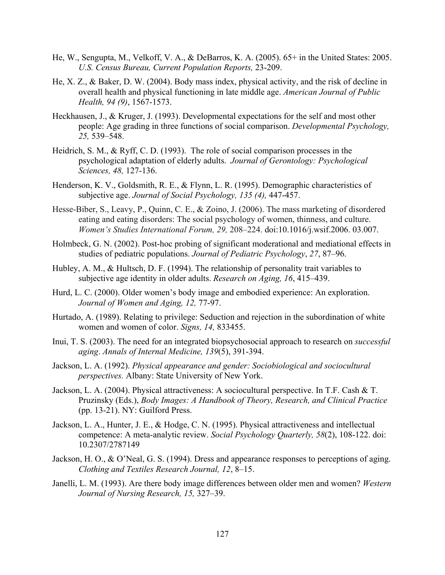- He, W., Sengupta, M., Velkoff, V. A., & DeBarros, K. A. (2005). 65+ in the United States: 2005. *U.S. Census Bureau, Current Population Reports,* 23-209.
- He, X. Z., & Baker, D. W. (2004). Body mass index, physical activity, and the risk of decline in overall health and physical functioning in late middle age. *American Journal of Public Health, 94 (9)*, 1567-1573.
- Heckhausen, J., & Kruger, J. (1993). Developmental expectations for the self and most other people: Age grading in three functions of social comparison. *Developmental Psychology, 25,* 539–548.
- Heidrich, S. M., & Ryff, C. D. (1993). The role of social comparison processes in the psychological adaptation of elderly adults. *Journal of Gerontology: Psychological Sciences, 48,* 127-136.
- Henderson, K. V., Goldsmith, R. E., & Flynn, L. R. (1995). Demographic characteristics of subjective age. *Journal of Social Psychology, 135 (4),* 447-457.
- Hesse-Biber, S., Leavy, P., Quinn, C. E., & Zoino, J. (2006). The mass marketing of disordered eating and eating disorders: The social psychology of women, thinness, and culture. *Women's Studies International Forum, 29,* 208–224. doi:10.1016/j.wsif.2006. 03.007.
- Holmbeck, G. N. (2002). Post-hoc probing of significant moderational and mediational effects in studies of pediatric populations. *Journal of Pediatric Psychology*, *27*, 87–96.
- Hubley, A. M., & Hultsch, D. F. (1994). The relationship of personality trait variables to subjective age identity in older adults. *Research on Aging, 16*, 415–439.
- Hurd, L. C. (2000). Older women's body image and embodied experience: An exploration. *Journal of Women and Aging, 12,* 77-97.
- Hurtado, A. (1989). Relating to privilege: Seduction and rejection in the subordination of white women and women of color. *Signs, 14,* 833455.
- Inui, T. S. (2003). The need for an integrated biopsychosocial approach to research on *successful aging*. *Annals of Internal Medicine, 139*(5), 391-394.
- Jackson, L. A. (1992). *Physical appearance and gender: Sociobiological and sociocultural perspectives.* Albany: State University of New York.
- Jackson, L. A. (2004). Physical attractiveness: A sociocultural perspective. In T.F. Cash & T. Pruzinsky (Eds.), *Body Images: A Handbook of Theory, Research, and Clinical Practice* (pp. 13-21). NY: Guilford Press.
- Jackson, L. A., Hunter, J. E., & Hodge, C. N. (1995). Physical attractiveness and intellectual competence: A meta-analytic review. *Social Psychology Quarterly, 58*(2), 108-122. doi: 10.2307/2787149
- Jackson, H. O., & O'Neal, G. S. (1994). Dress and appearance responses to perceptions of aging. *Clothing and Textiles Research Journal, 12*, 8–15.
- Janelli, L. M. (1993). Are there body image differences between older men and women? *Western Journal of Nursing Research, 15,* 327–39.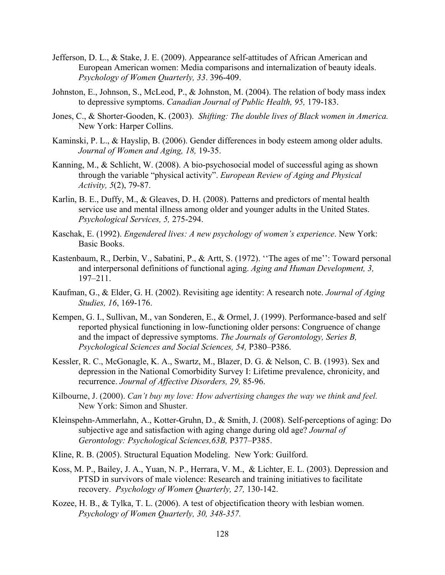- Jefferson, D. L., & Stake, J. E. (2009). Appearance self-attitudes of African American and European American women: Media comparisons and internalization of beauty ideals. *Psychology of Women Quarterly, 33*. 396-409.
- Johnston, E., Johnson, S., McLeod, P., & Johnston, M. (2004). The relation of body mass index to depressive symptoms. *Canadian Journal of Public Health, 95,* 179-183.
- Jones, C., & Shorter-Gooden, K. (2003). *Shifting: The double lives of Black women in America.*  New York: Harper Collins.
- Kaminski, P. L., & Hayslip, B. (2006). Gender differences in body esteem among older adults. *Journal of Women and Aging, 18,* 19-35.
- Kanning, M., & Schlicht, W. (2008). A bio-psychosocial model of successful aging as shown through the variable "physical activity". *European Review of Aging and Physical Activity, 5*(2), 79-87.
- Karlin, B. E., Duffy, M., & Gleaves, D. H. (2008). Patterns and predictors of mental health service use and mental illness among older and younger adults in the United States. *Psychological Services, 5,* 275-294.
- Kaschak, E. (1992). *Engendered lives: A new psychology of women's experience*. New York: Basic Books.
- Kastenbaum, R., Derbin, V., Sabatini, P., & Artt, S. (1972). ''The ages of me'': Toward personal and interpersonal definitions of functional aging. *Aging and Human Development, 3,* 197–211.
- Kaufman, G., & Elder, G. H. (2002). Revisiting age identity: A research note. *Journal of Aging Studies, 16*, 169-176.
- Kempen, G. I., Sullivan, M., van Sonderen, E., & Ormel, J. (1999). Performance-based and self reported physical functioning in low-functioning older persons: Congruence of change and the impact of depressive symptoms. *The Journals of Gerontology, Series B, Psychological Sciences and Social Sciences, 54,* P380–P386.
- Kessler, R. C., McGonagle, K. A., Swartz, M., Blazer, D. G. & Nelson, C. B. (1993). Sex and depression in the National Comorbidity Survey I: Lifetime prevalence, chronicity, and recurrence. *Journal of Affective Disorders, 29,* 85-96.
- Kilbourne, J. (2000). *Can't buy my love: How advertising changes the way we think and feel.* New York: Simon and Shuster.
- Kleinspehn-Ammerlahn, A., Kotter-Gruhn, D., & Smith, J. (2008). Self-perceptions of aging: Do subjective age and satisfaction with aging change during old age? *Journal of Gerontology: Psychological Sciences,63B,* P377–P385.
- Kline, R. B. (2005). Structural Equation Modeling. New York: Guilford.
- Koss, M. P., Bailey, J. A., Yuan, N. P., Herrara, V. M., & Lichter, E. L. (2003). Depression and PTSD in survivors of male violence: Research and training initiatives to facilitate recovery. *Psychology of Women Quarterly, 27,* 130-142.
- Kozee, H. B., & Tylka, T. L. (2006). A test of objectification theory with lesbian women. *Psychology of Women Quarterly, 30, 348-357.*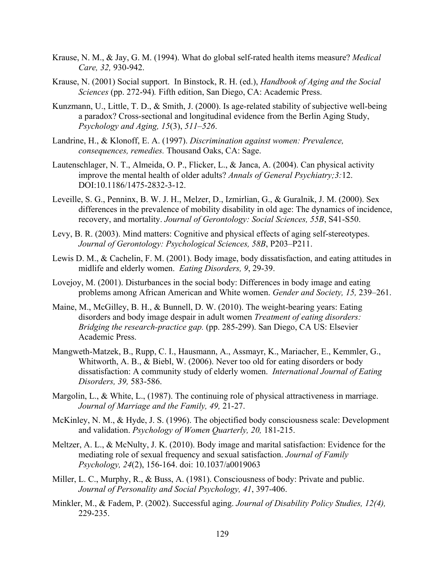- Krause, N. M., & Jay, G. M. (1994). What do global self-rated health items measure? *Medical Care, 32,* 930-942.
- Krause, N. (2001) Social support. In Binstock, R. H. (ed.), *Handbook of Aging and the Social Sciences* (pp. 272-94)*.* Fifth edition, San Diego, CA: Academic Press.
- Kunzmann, U., Little, T. D., & Smith, J. (2000). Is age-related stability of subjective well-being a paradox? Cross-sectional and longitudinal evidence from the Berlin Aging Study, *Psychology and Aging, 15*(3), *511–526*.
- Landrine, H., & Klonoff, E. A. (1997). *Discrimination against women: Prevalence, consequences, remedies.* Thousand Oaks, CA: Sage.
- Lautenschlager, N. T., Almeida, O. P., Flicker, L., & Janca, A. (2004). Can physical activity improve the mental health of older adults? *Annals of General Psychiatry;3:*12. DOI:10.1186/1475-2832-3-12.
- Leveille, S. G., Penninx, B. W. J. H., Melzer, D., Izmirlian, G., & Guralnik, J. M. (2000). Sex differences in the prevalence of mobility disability in old age: The dynamics of incidence, recovery, and mortality. *Journal of Gerontology: Social Sciences, 55B*, S41-S50.
- Levy, B. R. (2003). Mind matters: Cognitive and physical effects of aging self-stereotypes. *Journal of Gerontology: Psychological Sciences, 58B*, P203–P211.
- Lewis D. M., & Cachelin, F. M. (2001). Body image, body dissatisfaction, and eating attitudes in midlife and elderly women. *Eating Disorders, 9*, 29-39.
- Lovejoy, M. (2001). Disturbances in the social body: Differences in body image and eating problems among African American and White women. *Gender and Society, 15,* 239–261.
- Maine, M., McGilley, B. H., & Bunnell, D. W. (2010). The weight-bearing years: Eating disorders and body image despair in adult women *Treatment of eating disorders: Bridging the research-practice gap.* (pp. 285-299). San Diego, CA US: Elsevier Academic Press.
- Mangweth-Matzek, B., Rupp, C. I., Hausmann, A., Assmayr, K., Mariacher, E., Kemmler, G., Whitworth, A. B., & Biebl, W. (2006). Never too old for eating disorders or body dissatisfaction: A community study of elderly women. *International Journal of Eating Disorders, 39,* 583-586.
- Margolin, L., & White, L., (1987). The continuing role of physical attractiveness in marriage. *Journal of Marriage and the Family, 49,* 21-27.
- McKinley, N. M., & Hyde, J. S. (1996). The objectified body consciousness scale: Development and validation. *Psychology of Women Quarterly, 20,* 181-215.
- Meltzer, A. L., & McNulty, J. K. (2010). Body image and marital satisfaction: Evidence for the mediating role of sexual frequency and sexual satisfaction. *Journal of Family Psychology, 24*(2), 156-164. doi: 10.1037/a0019063
- Miller, L. C., Murphy, R., & Buss, A. (1981). Consciousness of body: Private and public. *Journal of Personality and Social Psychology, 41*, 397-406.
- Minkler, M., & Fadem, P. (2002). Successful aging. *Journal of Disability Policy Studies, 12(4),*  229-235.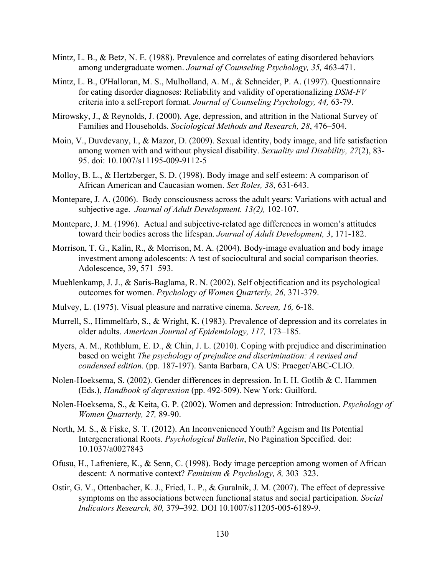- Mintz, L. B., & Betz, N. E. (1988). Prevalence and correlates of eating disordered behaviors among undergraduate women. *Journal of Counseling Psychology, 35,* 463-471.
- Mintz, L. B., O'Halloran, M. S., Mulholland, A. M., & Schneider, P. A. (1997). Questionnaire for eating disorder diagnoses: Reliability and validity of operationalizing *DSM-FV*  criteria into a self-report format. *Journal of Counseling Psychology, 44,* 63-79.
- Mirowsky, J., & Reynolds, J. (2000). Age, depression, and attrition in the National Survey of Families and Households. *Sociological Methods and Research, 28*, 476–504.
- Moin, V., Duvdevany, I., & Mazor, D. (2009). Sexual identity, body image, and life satisfaction among women with and without physical disability. *Sexuality and Disability, 27*(2), 83- 95. doi: 10.1007/s11195-009-9112-5
- Molloy, B. L., & Hertzberger, S. D. (1998). Body image and self esteem: A comparison of African American and Caucasian women. *Sex Roles, 38*, 631-643.
- Montepare, J. A. (2006). Body consciousness across the adult years: Variations with actual and subjective age. *Journal of Adult Development. 13(2),* 102-107.
- Montepare, J. M. (1996). Actual and subjective-related age differences in women's attitudes toward their bodies across the lifespan. *Journal of Adult Development, 3*, 171-182.
- Morrison, T. G., Kalin, R., & Morrison, M. A. (2004). Body-image evaluation and body image investment among adolescents: A test of sociocultural and social comparison theories. Adolescence, 39, 571–593.
- Muehlenkamp, J. J., & Saris-Baglama, R. N. (2002). Self objectification and its psychological outcomes for women. *Psychology of Women Quarterly, 26,* 371-379.
- Mulvey, L. (1975). Visual pleasure and narrative cinema. *Screen, 16,* 6-18.
- Murrell, S., Himmelfarb, S., & Wright, K. (1983). Prevalence of depression and its correlates in older adults. *American Journal of Epidemiology, 117,* 173–185.
- Myers, A. M., Rothblum, E. D., & Chin, J. L. (2010). Coping with prejudice and discrimination based on weight *The psychology of prejudice and discrimination: A revised and condensed edition.* (pp. 187-197). Santa Barbara, CA US: Praeger/ABC-CLIO.
- Nolen-Hoeksema, S. (2002). Gender differences in depression. In I. H. Gotlib & C. Hammen (Eds.), *Handbook of depression* (pp. 492-509). New York: Guilford.
- Nolen-Hoeksema, S., & Keita, G. P. (2002). Women and depression: Introduction. *Psychology of Women Quarterly, 27,* 89-90.
- North, M. S., & Fiske, S. T. (2012). An Inconvenienced Youth? Ageism and Its Potential Intergenerational Roots. *Psychological Bulletin*, No Pagination Specified. doi: 10.1037/a0027843
- Ofusu, H., Lafreniere, K., & Senn, C. (1998). Body image perception among women of African descent: A normative context? *Feminism & Psychology, 8,* 303–323.
- Ostir, G. V., Ottenbacher, K. J., Fried, L. P., & Guralnik, J. M. (2007). The effect of depressive symptoms on the associations between functional status and social participation. *Social Indicators Research, 80,* 379–392. DOI 10.1007/s11205-005-6189-9.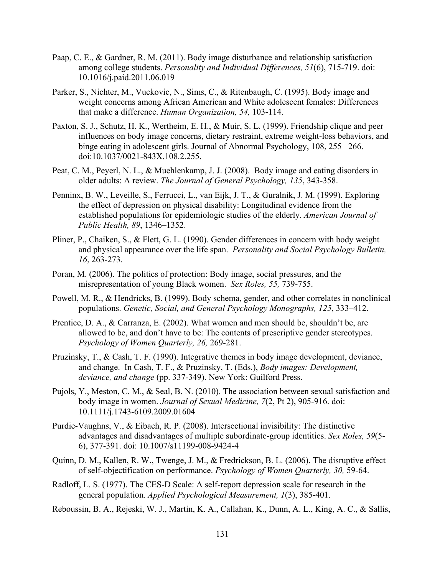- Paap, C. E., & Gardner, R. M. (2011). Body image disturbance and relationship satisfaction among college students. *Personality and Individual Differences, 51*(6), 715-719. doi: 10.1016/j.paid.2011.06.019
- Parker, S., Nichter, M., Vuckovic, N., Sims, C., & Ritenbaugh, C. (1995). Body image and weight concerns among African American and White adolescent females: Differences that make a difference. *Human Organization, 54,* 103-114.
- Paxton, S. J., Schutz, H. K., Wertheim, E. H., & Muir, S. L. (1999). Friendship clique and peer influences on body image concerns, dietary restraint, extreme weight-loss behaviors, and binge eating in adolescent girls. Journal of Abnormal Psychology, 108, 255– 266. doi:10.1037/0021-843X.108.2.255.
- Peat, C. M., Peyerl, N. L., & Muehlenkamp, J. J. (2008). Body image and eating disorders in older adults: A review. *The Journal of General Psychology, 135*, 343-358.
- Penninx, B. W., Leveille, S., Ferrucci, L., van Eijk, J. T., & Guralnik, J. M. (1999). Exploring the effect of depression on physical disability: Longitudinal evidence from the established populations for epidemiologic studies of the elderly. *American Journal of Public Health, 89*, 1346–1352.
- Pliner, P., Chaiken, S., & Flett, G. L. (1990). Gender differences in concern with body weight and physical appearance over the life span. *Personality and Social Psychology Bulletin, 16*, 263-273.
- Poran, M. (2006). The politics of protection: Body image, social pressures, and the misrepresentation of young Black women. *Sex Roles, 55,* 739-755.
- Powell, M. R., & Hendricks, B. (1999). Body schema, gender, and other correlates in nonclinical populations. *Genetic, Social, and General Psychology Monographs, 125*, 333–412.
- Prentice, D. A., & Carranza, E. (2002). What women and men should be, shouldn't be, are allowed to be, and don't have to be: The contents of prescriptive gender stereotypes. *Psychology of Women Quarterly, 26,* 269-281.
- Pruzinsky, T., & Cash, T. F. (1990). Integrative themes in body image development, deviance, and change. In Cash, T. F., & Pruzinsky, T. (Eds.), *Body images: Development, deviance, and change* (pp. 337-349). New York: Guilford Press.
- Pujols, Y., Meston, C. M., & Seal, B. N. (2010). The association between sexual satisfaction and body image in women. *Journal of Sexual Medicine, 7*(2, Pt 2), 905-916. doi: 10.1111/j.1743-6109.2009.01604
- Purdie-Vaughns, V., & Eibach, R. P. (2008). Intersectional invisibility: The distinctive advantages and disadvantages of multiple subordinate-group identities. *Sex Roles, 59*(5- 6), 377-391. doi: 10.1007/s11199-008-9424-4
- Quinn, D. M., Kallen, R. W., Twenge, J. M., & Fredrickson, B. L. (2006). The disruptive effect of self-objectification on performance. *Psychology of Women Quarterly, 30,* 59-64.
- Radloff, L. S. (1977). The CES-D Scale: A self-report depression scale for research in the general population. *Applied Psychological Measurement, 1*(3), 385-401.
- Reboussin, B. A., Rejeski, W. J., Martin, K. A., Callahan, K., Dunn, A. L., King, A. C., & Sallis,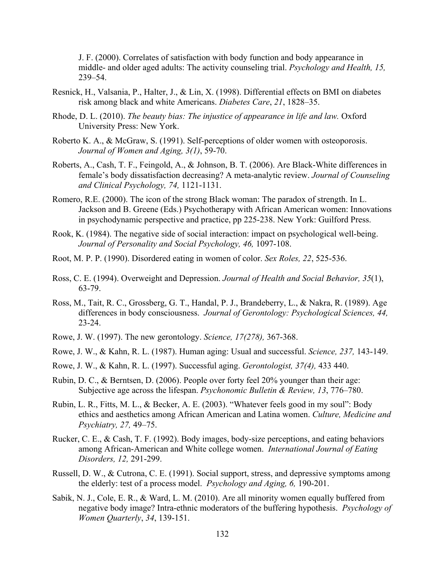J. F. (2000). Correlates of satisfaction with body function and body appearance in middle- and older aged adults: The activity counseling trial. *Psychology and Health, 15,* 239–54.

- Resnick, H., Valsania, P., Halter, J., & Lin, X. (1998). Differential effects on BMI on diabetes risk among black and white Americans. *Diabetes Care*, *21*, 1828–35.
- Rhode, D. L. (2010). *The beauty bias: The injustice of appearance in life and law.* Oxford University Press: New York.
- Roberto K. A., & McGraw, S. (1991). Self-perceptions of older women with osteoporosis. *Journal of Women and Aging, 3(1)*, 59-70.
- Roberts, A., Cash, T. F., Feingold, A., & Johnson, B. T. (2006). Are Black-White differences in female's body dissatisfaction decreasing? A meta-analytic review. *Journal of Counseling and Clinical Psychology, 74,* 1121-1131.
- Romero, R.E. (2000). The icon of the strong Black woman: The paradox of strength. In L. Jackson and B. Greene (Eds.) Psychotherapy with African American women: Innovations in psychodynamic perspective and practice, pp 225-238. New York: Guilford Press.
- Rook, K. (1984). The negative side of social interaction: impact on psychological well-being. *Journal of Personality and Social Psychology, 46,* 1097-108.
- Root, M. P. P. (1990). Disordered eating in women of color. *Sex Roles, 22*, 525-536.
- Ross, C. E. (1994). Overweight and Depression. *Journal of Health and Social Behavior, 35*(1), 63-79.
- Ross, M., Tait, R. C., Grossberg, G. T., Handal, P. J., Brandeberry, L., & Nakra, R. (1989). Age differences in body consciousness. *Journal of Gerontology: Psychological Sciences, 44,* 23-24.
- Rowe, J. W. (1997). The new gerontology. *Science, 17(278),* 367-368.
- Rowe, J. W., & Kahn, R. L. (1987). Human aging: Usual and successful. *Science, 237,* 143-149.
- Rowe, J. W., & Kahn, R. L. (1997). Successful aging. *Gerontologist, 37(4),* 433 440.
- Rubin, D. C., & Berntsen, D. (2006). People over forty feel 20% younger than their age: Subjective age across the lifespan. *Psychonomic Bulletin & Review, 13*, 776–780.
- Rubin, L. R., Fitts, M. L., & Becker, A. E. (2003). "Whatever feels good in my soul": Body ethics and aesthetics among African American and Latina women. *Culture, Medicine and Psychiatry, 27,* 49–75.
- Rucker, C. E., & Cash, T. F. (1992). Body images, body-size perceptions, and eating behaviors among African-American and White college women. *International Journal of Eating Disorders, 12,* 291-299.
- Russell, D. W., & Cutrona, C. E. (1991). Social support, stress, and depressive symptoms among the elderly: test of a process model. *Psychology and Aging, 6,* 190-201.
- Sabik, N. J., Cole, E. R., & Ward, L. M. (2010). Are all minority women equally buffered from negative body image? Intra-ethnic moderators of the buffering hypothesis. *Psychology of Women Quarterly*, *34*, 139-151.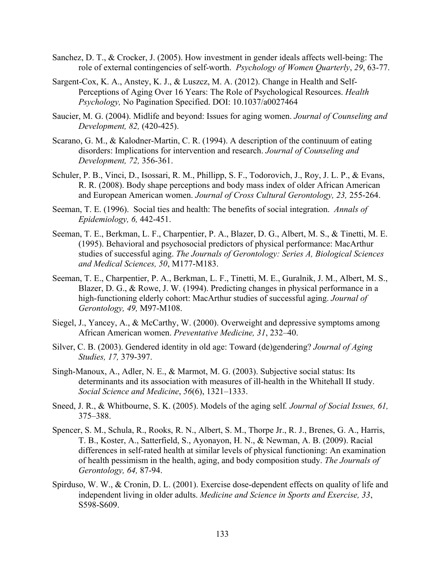- Sanchez, D. T., & Crocker, J. (2005). How investment in gender ideals affects well-being: The role of external contingencies of self-worth. *Psychology of Women Quarterly*, *29*, 63-77.
- Sargent-Cox, K. A., Anstey, K. J., & Luszcz, M. A. (2012). Change in Health and Self-Perceptions of Aging Over 16 Years: The Role of Psychological Resources. *Health Psychology,* No Pagination Specified. DOI: 10.1037/a0027464
- Saucier, M. G. (2004). Midlife and beyond: Issues for aging women. *Journal of Counseling and Development, 82,* (420-425).
- Scarano, G. M., & Kalodner-Martin, C. R. (1994). A description of the continuum of eating disorders: Implications for intervention and research. *Journal of Counseling and Development, 72,* 356-361.
- Schuler, P. B., Vinci, D., Isossari, R. M., Phillipp, S. F., Todorovich, J., Roy, J. L. P., & Evans, R. R. (2008). Body shape perceptions and body mass index of older African American and European American women. *Journal of Cross Cultural Gerontology, 23,* 255-264.
- Seeman, T. E. (1996). Social ties and health: The benefits of social integration. *Annals of Epidemiology, 6,* 442-451.
- Seeman, T. E., Berkman, L. F., Charpentier, P. A., Blazer, D. G., Albert, M. S., & Tinetti, M. E. (1995). Behavioral and psychosocial predictors of physical performance: MacArthur studies of successful aging. *The Journals of Gerontology: Series A, Biological Sciences and Medical Sciences, 50*, M177-M183.
- Seeman, T. E., Charpentier, P. A., Berkman, L. F., Tinetti, M. E., Guralnik, J. M., Albert, M. S., Blazer, D. G., & Rowe, J. W. (1994). Predicting changes in physical performance in a high-functioning elderly cohort: MacArthur studies of successful aging. *Journal of Gerontology, 49,* M97-M108.
- Siegel, J., Yancey, A., & McCarthy, W. (2000). Overweight and depressive symptoms among African American women. *Preventative Medicine, 31*, 232–40.
- Silver, C. B. (2003). Gendered identity in old age: Toward (de)gendering? *Journal of Aging Studies, 17,* 379-397.
- Singh-Manoux, A., Adler, N. E., & Marmot, M. G. (2003). Subjective social status: Its determinants and its association with measures of ill-health in the Whitehall II study. *Social Science and Medicine*, *56*(6), 1321–1333.
- Sneed, J. R., & Whitbourne, S. K. (2005). Models of the aging self*. Journal of Social Issues, 61,* 375–388.
- Spencer, S. M., Schula, R., Rooks, R. N., Albert, S. M., Thorpe Jr., R. J., Brenes, G. A., Harris, T. B., Koster, A., Satterfield, S., Ayonayon, H. N., & Newman, A. B. (2009). Racial differences in self-rated health at similar levels of physical functioning: An examination of health pessimism in the health, aging, and body composition study. *The Journals of Gerontology, 64,* 87-94.
- Spirduso, W. W., & Cronin, D. L. (2001). Exercise dose-dependent effects on quality of life and independent living in older adults. *Medicine and Science in Sports and Exercise, 33*, S598-S609.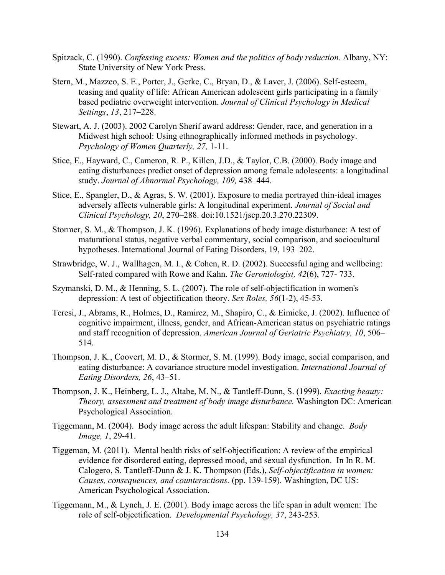- Spitzack, C. (1990). *Confessing excess: Women and the politics of body reduction.* Albany, NY: State University of New York Press.
- Stern, M., Mazzeo, S. E., Porter, J., Gerke, C., Bryan, D., & Laver, J. (2006). Self-esteem, teasing and quality of life: African American adolescent girls participating in a family based pediatric overweight intervention. *Journal of Clinical Psychology in Medical Settings*, *13*, 217–228.
- Stewart, A. J. (2003). 2002 Carolyn Sherif award address: Gender, race, and generation in a Midwest high school: Using ethnographically informed methods in psychology. *Psychology of Women Quarterly, 27,* 1-11.
- Stice, E., Hayward, C., Cameron, R. P., Killen, J.D., & Taylor, C.B. (2000). Body image and eating disturbances predict onset of depression among female adolescents: a longitudinal study. *Journal of Abnormal Psychology, 109,* 438–444.
- Stice, E., Spangler, D., & Agras, S. W. (2001). Exposure to media portrayed thin-ideal images adversely affects vulnerable girls: A longitudinal experiment. *Journal of Social and Clinical Psychology, 20*, 270–288. doi:10.1521/jscp.20.3.270.22309.
- Stormer, S. M., & Thompson, J. K. (1996). Explanations of body image disturbance: A test of maturational status, negative verbal commentary, social comparison, and sociocultural hypotheses. International Journal of Eating Disorders, 19, 193–202.
- Strawbridge, W. J., Wallhagen, M. I., & Cohen, R. D. (2002). Successful aging and wellbeing: Self-rated compared with Rowe and Kahn. *The Gerontologist, 42*(6), 727- 733.
- Szymanski, D. M., & Henning, S. L. (2007). The role of self-objectification in women's depression: A test of objectification theory. *Sex Roles, 56*(1-2), 45-53.
- Teresi, J., Abrams, R., Holmes, D., Ramirez, M., Shapiro, C., & Eimicke, J. (2002). Influence of cognitive impairment, illness, gender, and African-American status on psychiatric ratings and staff recognition of depression. *American Journal of Geriatric Psychiatry, 10*, 506– 514.
- Thompson, J. K., Coovert, M. D., & Stormer, S. M. (1999). Body image, social comparison, and eating disturbance: A covariance structure model investigation. *International Journal of Eating Disorders, 26*, 43–51.
- Thompson, J. K., Heinberg, L. J., Altabe, M. N., & Tantleff-Dunn, S. (1999). *Exacting beauty: Theory, assessment and treatment of body image disturbance.* Washington DC: American Psychological Association.
- Tiggemann, M. (2004). Body image across the adult lifespan: Stability and change. *Body Image, 1*, 29-41.
- Tiggeman, M. (2011). Mental health risks of self-objectification: A review of the empirical evidence for disordered eating, depressed mood, and sexual dysfunction. In In R. M. Calogero, S. Tantleff-Dunn & J. K. Thompson (Eds.), *Self-objectification in women: Causes, consequences, and counteractions.* (pp. 139-159). Washington, DC US: American Psychological Association.
- Tiggemann, M., & Lynch, J. E. (2001). Body image across the life span in adult women: The role of self-objectification. *Developmental Psychology, 37*, 243-253.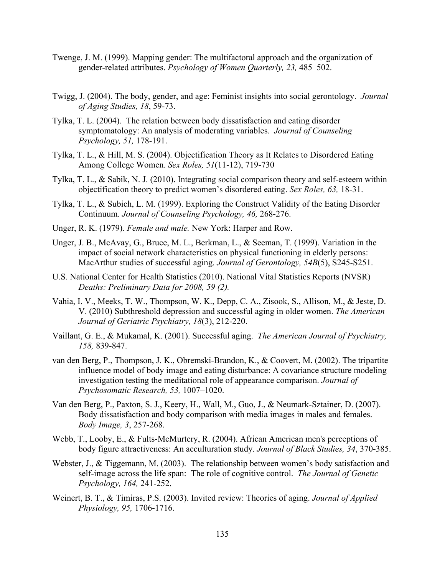- Twenge, J. M. (1999). Mapping gender: The multifactoral approach and the organization of gender-related attributes. *Psychology of Women Quarterly, 23,* 485–502.
- Twigg, J. (2004). The body, gender, and age: Feminist insights into social gerontology. *Journal of Aging Studies, 18*, 59-73.
- Tylka, T. L. (2004). The relation between body dissatisfaction and eating disorder symptomatology: An analysis of moderating variables. *Journal of Counseling Psychology, 51,* 178-191.
- Tylka, T. L., & Hill, M. S. (2004). Objectification Theory as It Relates to Disordered Eating Among College Women. *Sex Roles, 51*(11-12), 719-730
- Tylka, T. L., & Sabik, N. J. (2010). Integrating social comparison theory and self-esteem within objectification theory to predict women's disordered eating. *Sex Roles, 63,* 18-31.
- Tylka, T. L., & Subich, L. M. (1999). Exploring the Construct Validity of the Eating Disorder Continuum. *Journal of Counseling Psychology, 46,* 268-276.
- Unger, R. K. (1979). *Female and male.* New York: Harper and Row.
- Unger, J. B., McAvay, G., Bruce, M. L., Berkman, L., & Seeman, T. (1999). Variation in the impact of social network characteristics on physical functioning in elderly persons: MacArthur studies of successful aging. *Journal of Gerontology, 54B*(5), S245-S251.
- U.S. National Center for Health Statistics (2010). National Vital Statistics Reports (NVSR) *Deaths: Preliminary Data for 2008, 59 (2).*
- Vahia, I. V., Meeks, T. W., Thompson, W. K., Depp, C. A., Zisook, S., Allison, M., & Jeste, D. V. (2010) Subthreshold depression and successful aging in older women. *The American Journal of Geriatric Psychiatry, 18*(3), 212-220.
- Vaillant, G. E., & Mukamal, K. (2001). Successful aging. *The American Journal of Psychiatry, 158,* 839-847.
- van den Berg, P., Thompson, J. K., Obremski-Brandon, K., & Coovert, M. (2002). The tripartite influence model of body image and eating disturbance: A covariance structure modeling investigation testing the meditational role of appearance comparison. *Journal of Psychosomatic Research, 53,* 1007–1020.
- Van den Berg, P., Paxton, S. J., Keery, H., Wall, M., Guo, J., & Neumark-Sztainer, D. (2007). Body dissatisfaction and body comparison with media images in males and females. *Body Image, 3*, 257-268.
- Webb, T., Looby, E., & Fults-McMurtery, R. (2004). African American men's perceptions of body figure attractiveness: An acculturation study. *Journal of Black Studies, 34*, 370-385.
- Webster, J., & Tiggemann, M. (2003). The relationship between women's body satisfaction and self-image across the life span: The role of cognitive control. *The Journal of Genetic Psychology, 164,* 241-252.
- Weinert, B. T., & Timiras, P.S. (2003). Invited review: Theories of aging. *Journal of Applied Physiology, 95,* 1706-1716.